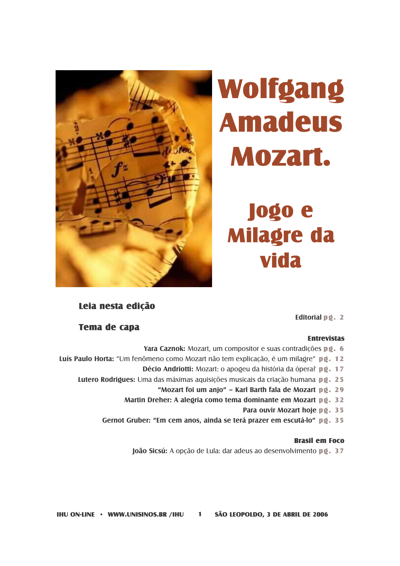

# Wolfgang **Amadeus** Mozart.

# **Jogo** e **Milagre da** vida

### Leia nesta edicão

### Editorial  $p \varrho$ . 2

### **Tema de capa**

### **Entrevistas**

- Yara Caznok: Mozart, um compositor e suas contradicões po. 6
- Luís Paulo Horta: "Um fenômeno como Mozart não tem explicação, é um milagre" pg. 12
	- Décio Andriotti: Mozart: o apogeu da história da ópera? pg. 17
	- Lutero Rodrigues: Uma das máximas aquisições musicais da criação humana pg. 25
		- "Mozart foi um anjo" Karl Barth fala de Mozart pg. 29
		- Martin Dreher: A alegria como tema dominante em Mozart pg. 32
			- Para ouvir Mozart hoje pg. 35
		- Gernot Gruber: "Em cem anos, ainda se terá prazer em escutá-lo" pg. 35

#### **Rrasil em Foco**

João Sicsú: A opção de Lula: dar adeus ao desenvolvimento po. 37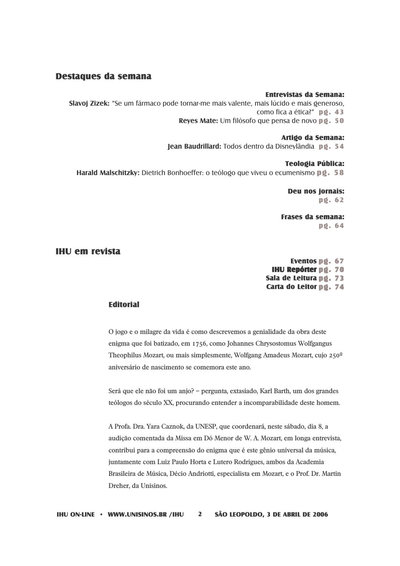### **Destaques da semana**

#### **Entrevistas da Semana:**

Slavoj Zizek: "Se um fármaco pode tornar-me mais valente, mais lúcido e mais generoso, como fica a ética?" pg. 43 Reyes Mate: Um filósofo que pensa de novo pg. 50

#### **Artido da Semana:**

lean Baudrillard: Todos dentro da Disneylândia pg. 54

#### **Teologia Pública:**

Harald Malschitzky: Dietrich Bonhoeffer: o teólogo que viveu o ecumenismo pg. 58

**Deu nos jornais:**  $p\ddot{q}$ . 62

**Frases da semana:**  $pQ.64$ 

#### **IHU em revista**

Eventos pg. 67 **IHU Repórter pø. 70** Sala de Leitura pg. 73 Carta do Leitor pg. 74

#### **Fditorial**

O jogo e o milagre da vida é como descrevemos a genialidade da obra deste enigma que foi batizado, em 1756, como Johannes Chrysostomus Wolfgangus Theophilus Mozart, ou mais simplesmente, Wolfgang Amadeus Mozart, cujo 250<sup>o</sup> aniversário de nascimento se comemora este ano.

Será que ele não foi um anjo? - pergunta, extasiado, Karl Barth, um dos grandes teólogos do século XX, procurando entender a incomparabilidade deste homem.

A Profa. Dra. Yara Caznok, da UNESP, que coordenará, neste sábado, dia 8, a audição comentada da Missa em Dó Menor de W. A. Mozart, em longa entrevista, contribui para a compreensão do enigma que é este gênio universal da música, juntamente com Luiz Paulo Horta e Lutero Rodrigues, ambos da Academia Brasileira de Música, Décio Andriotti, especialista em Mozart, e o Prof. Dr. Martin Dreher, da Unisinos.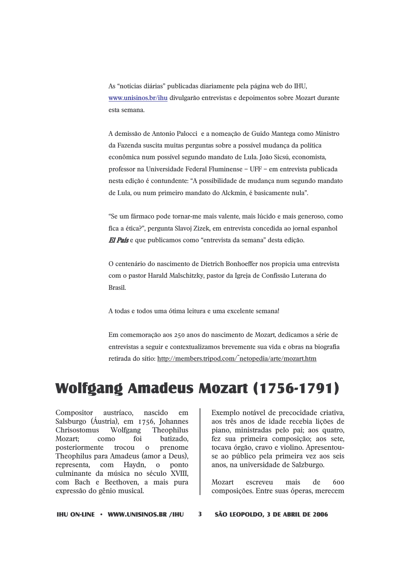As "notícias diárias" publicadas diariamente pela página web do IHU, www.unisinos.br/ihu divulgarão entrevistas e depoimentos sobre Mozart durante esta semana.

A demissão de Antonio Palocci e a nomeação de Guido Mantega como Ministro da Fazenda suscita muitas perguntas sobre a possível mudança da política econômica num possível segundo mandato de Lula. João Sicsú, economista, professor na Universidade Federal Fluminense - UFF - em entrevista publicada nesta edição é contundente: "A possibilidade de mudança num segundo mandato de Lula, ou num primeiro mandato do Alckmin, é basicamente nula".

"Se um fármaco pode tornar-me mais valente, mais lúcido e mais generoso, como fica a ética?", pergunta Slavoj Zizek, em entrevista concedida ao jornal espanhol El País e que publicamos como "entrevista da semana" desta edição.

O centenário do nascimento de Dietrich Bonhoeffer nos propicia uma entrevista com o pastor Harald Malschitzky, pastor da Igreja de Confissão Luterana do Brasil.

A todas e todos uma ótima leitura e uma excelente semana!

Em comemoração aos 250 anos do nascimento de Mozart, dedicamos a série de entrevistas a seguir e contextualizamos brevemente sua vida e obras na biografia retirada do sítio: http://members.tripod.com/~netopedia/arte/mozart.htm

### **Wolfgang Amadeus Mozart (1756-1791)**

Compositor austríaco, nascido em Salsburgo (Áustria), em 1756, Johannes Chrisostomus Wolfgang Theophilus Mozart: foi batizado.  $com<sub>0</sub>$ prenome posteriormente trocou o Theophilus para Amadeus (amor a Deus).  $com$ Haydn, representa, ponto  $\mathbf{O}$ culminante da música no século XVIII. com Bach e Beethoven, a mais pura expressão do gênio musical.

Exemplo notável de precocidade criativa, aos três anos de idade recebia lições de piano, ministradas pelo pai; aos quatro, fez sua primeira composição; aos sete, tocava órgão, cravo e violino. Apresentouse ao público pela primeira vez aos seis anos, na universidade de Salzburgo.

Mozart escreveu mais de 600 composições. Entre suas óperas, merecem

**IHU ON-LINE · WWW.UNISINOS.BR /IHU** 3

SÃO LEOPOLDO, 3 DE ABRIL DE 2006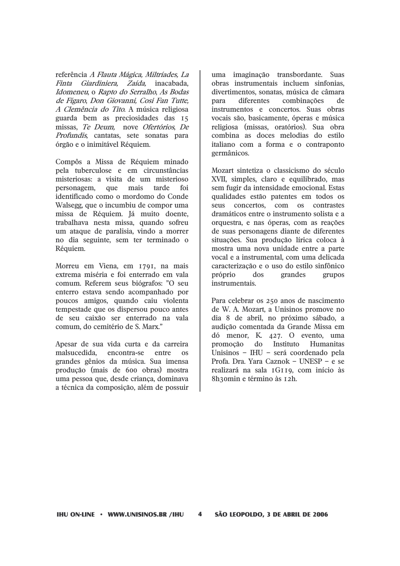referência A Flauta Mágica, Miltríades, La Giardiniera, Zaída, inacabada, Finta Idomeneu, o Rapto do Serralho, As Bodas de Fígaro, Don Giovanni, Così Fan Tutte, A Clemência do Tito. A música religiosa guarda bem as preciosidades das 15 missas, Te Deum, nove Ofertórios, De Profundis, cantatas, sete sonatas para órgão e o inimitável Réquiem.

Compôs a Missa de Réquiem minado pela tuberculose e em circunstâncias misteriosas: a visita de um misterioso que mais tarde  $f$ oi personagem. identificado como o mordomo do Conde Walsegg, que o incumbiu de compor uma missa de Réquiem. Já muito doente, trabalhava nesta missa, quando sofreu um ataque de paralisia, vindo a morrer no dia seguinte, sem ter terminado o Réquiem.

Morreu em Viena, em 1791, na mais extrema miséria e foi enterrado em vala comum. Referem seus biógrafos: "O seu enterro estava sendo acompanhado por poucos amigos, quando caiu violenta tempestade que os dispersou pouco antes de seu caixão ser enterrado na vala comum, do cemitério de S. Marx."

Apesar de sua vida curta e da carreira malsucedida. encontra-se entre os grandes gênios da música. Sua imensa produção (mais de 600 obras) mostra uma pessoa que, desde criança, dominava a técnica da composição, além de possuir

uma imaginação transbordante. Suas obras instrumentais incluem sinfonias, divertimentos, sonatas, música de câmara nara diferentes combinações  $d\rho$ instrumentos e concertos. Suas obras vocais são, basicamente, óperas e música religiosa (missas, oratórios). Sua obra combina as doces melodias do estilo italiano com a forma e o contraponto germânicos.

Mozart sintetiza o classicismo do século XVII, simples, claro e equilibrado, mas sem fugir da intensidade emocional. Estas qualidades estão patentes em todos os seus concertos, com os contrastes dramáticos entre o instrumento solista e a orquestra, e nas óperas, com as reações de suas personagens diante de diferentes situações. Sua produção lírica coloca à mostra uma nova unidade entre a parte vocal e a instrumental, com uma delicada caracterização e o uso do estilo sinfônico próprio  $d$  os grandes grupos instrumentais.

Para celebrar os 250 anos de nascimento de W. A. Mozart, a Unisinos promove no dia 8 de abril, no próximo sábado, a audição comentada da Grande Missa em dó menor. K.  $427.$  O evento, uma promoção do Instituto Humanitas Unisinos - IHU - será coordenado pela Profa. Dra. Yara Caznok - UNESP - e se realizará na sala IGII9, com início às 8h30min e término às 12h.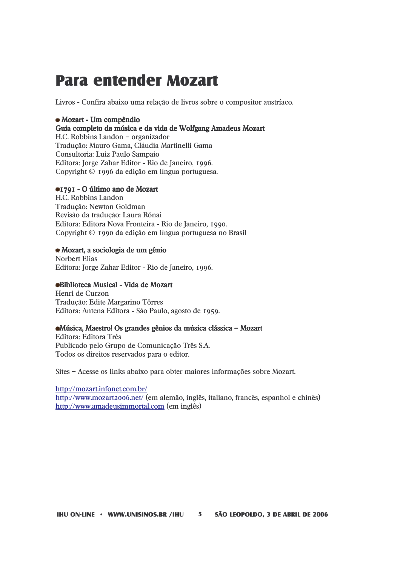# **Para entender Mozart**

Livros - Confira abaixo uma relação de livros sobre o compositor austríaco.

### · Mozart - Um compêndio

### Guia completo da música e da vida de Wolfgang Amadeus Mozart

H.C. Robbins Landon - organizador Tradução: Mauro Gama, Cláudia Martinelli Gama Consultoria: Luiz Paulo Sampaio Editora: Jorge Zahar Editor - Rio de Janeiro, 1996. Copyright © 1996 da edição em língua portuguesa.

#### ●1791 - O último ano de Mozart

H.C. Robbins Landon Traducão: Newton Goldman Revisão da tradução: Laura Rónai Editora: Editora Nova Fronteira - Rio de Janeiro, 1990. Copyright © 1990 da edição em língua portuguesa no Brasil

#### · Mozart, a sociologia de um gênio

**Norbert Elias** Editora: Jorge Zahar Editor - Rio de Janeiro, 1996.

#### Biblioteca Musical - Vida de Mozart

Henri de Curzon Tradução: Edite Margarino Tôrres Editora: Antena Editora - São Paulo, agosto de 1959.

#### • Música, Maestrol Os grandes gênios da música clássica - Mozart

Editora: Editora Três Publicado pelo Grupo de Comunicação Três S.A. Todos os direitos reservados para o editor.

Sites – Acesse os links abaixo para obter maiores informações sobre Mozart.

http://mozart.infonet.com.br/ http://www.mozart2006.net/ (em alemão, inglês, italiano, francês, espanhol e chinês) http://www.amadeusimmortal.com (em inglês)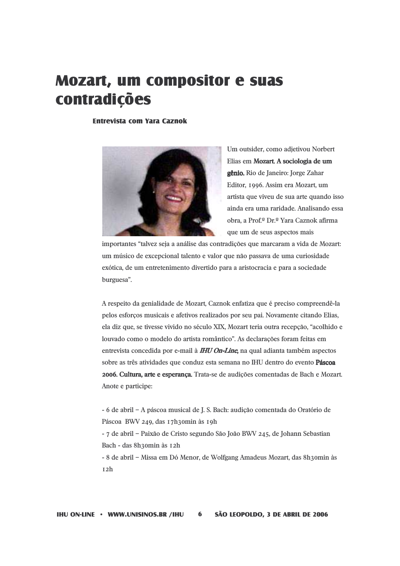# **Mozart, um compositor e suas** contradições

**Entrevista com Yara Caznok** 



Um outsider, como adjetivou Norbert Elias em Mozart. A sociologia de um gênio. Rio de Janeiro: Jorge Zahar Editor, 1996. Assim era Mozart, um artista que viveu de sua arte quando isso ainda era uma raridade. Analisando essa obra, a Prof.º Dr.º Yara Caznok afirma que um de seus aspectos mais

importantes "talvez seja a análise das contradições que marcaram a vida de Mozart: um músico de excepcional talento e valor que não passava de uma curiosidade exótica, de um entretenimento divertido para a aristocracia e para a sociedade burguesa".

A respeito da genialidade de Mozart, Caznok enfatiza que é preciso compreendê-la pelos esforcos musicais e afetivos realizados por seu pai. Novamente citando Elias, ela diz que, se tivesse vivido no século XIX, Mozart teria outra recepção, "acolhido e louvado como o modelo do artista romântico". As declarações foram feitas em entrevista concedida por e-mail à **IHU On-Line**, na qual adianta também aspectos sobre as três atividades que conduz esta semana no IHU dentro do evento Páscoa 2006. Cultura, arte e esperança. Trata-se de audições comentadas de Bach e Mozart. Anote e participe:

- 6 de abril - A páscoa musical de J. S. Bach: audição comentada do Oratório de Páscoa BWV 249, das 17h30min às 19h

- 7 de abril - Paixão de Cristo segundo São João BWV 245, de Johann Sebastian Bach - das 8h30min às 12h

- 8 de abril - Missa em Dó Menor, de Wolfgang Amadeus Mozart, das 8h3omin às  $I2h$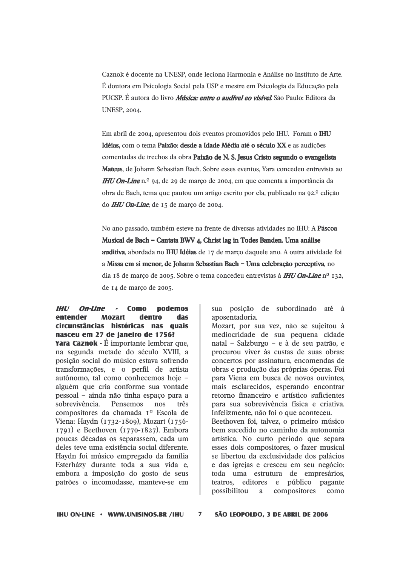Caznok é docente na UNESP, onde leciona Harmonia e Análise no Instituto de Arte. É doutora em Psicologia Social pela USP e mestre em Psicologia da Educação pela PUCSP. É autora do livro *Música: entre o audível eo visível* São Paulo: Editora da **UNESP, 2004.** 

Em abril de 2004, apresentou dois eventos promovidos pelo IHU. Foram o IHU Idéias, com o tema Paixão: desde a Idade Média até o século XX e as audições comentadas de trechos da obra Paixão de N. S. Jesus Cristo segundo o evangelista Mateus, de Johann Sebastian Bach. Sobre esses eventos, Yara concedeu entrevista ao **IHU On-Line** n.º 94, de 29 de março de 2004, em que comenta a importância da obra de Bach, tema que pautou um artigo escrito por ela, publicado na 92.<sup>ª</sup> edição do **IHU On-Line**, de 15 de março de 2004.

No ano passado, também esteve na frente de diversas atividades no IHU: A Páscoa Musical de Bach - Cantata BWV 4, Christ lag in Todes Banden. Uma análise auditiva, abordada no IHU Idéias de 17 de março daquele ano. A outra atividade foi a Missa em si menor, de Johann Sebastian Bach - Uma celebração perceptiva, no dia 18 de março de 2005. Sobre o tema concedeu entrevistas à **IHU On-Line** nº 132, de 14 de março de 2005.

**IHU On-Line** -**Como nodemos** entender **Mozart** dentro **das** circunstâncias históricas nas quais nasceu em 27 de janeiro de 1756? **Yara Caznok - É** importante lembrar que. na segunda metade do século XVIII, a posição social do músico estava sofrendo transformações, e o perfil de artista autônomo, tal como conhecemos hoje alguém que cria conforme sua vontade pessoal - ainda não tinha espaco para a sobrevivência. Pensemos  $nos$ três compositores da chamada 1<sup>o</sup> Escola de Viena: Haydn (1732-1809), Mozart (1756- $1791$ ) e Beethoven ( $1770-1827$ ). Embora poucas décadas os separassem, cada um deles teve uma existência social diferente. Haydn foi músico empregado da família Esterházy durante toda a sua vida e, embora a imposição do gosto de seus patrões o incomodasse, manteve-se em

sua posição de subordinado até à aposentadoria.

Mozart, por sua vez, não se sujeitou à mediocridade de sua pequena cidade natal - Salzburgo - e à de seu patrão, e procurou viver às custas de suas obras: concertos por assinatura, encomendas de obras e produção das próprias óperas. Foi para Viena em busca de novos ouvintes, mais esclarecidos, esperando encontrar retorno financeiro e artístico suficientes para sua sobrevivência física e criativa. Infelizmente, não foi o que aconteceu. Beethoven foi, talvez, o primeiro músico bem sucedido no caminho da autonomia artística. No curto período que separa esses dois compositores, o fazer musical se libertou da exclusividade dos palácios e das igrejas e cresceu em seu negócio: toda uma estrutura de empresários, teatros, editores e público pagante possibilitou a compositores como

**IHU ON-LINE • WWW.UNISINOS.BR /IHU**  $\overline{7}$ SÃO LEOPOLDO, 3 DE ABRIL DE 2006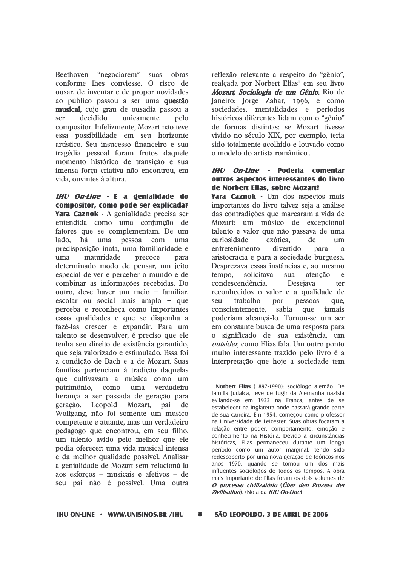Beethoven "negociarem" suas obras conforme lhes conviesse. O risco de ousar, de inventar e de propor novidades ao público passou a ser uma questão musical, cuio grau de ousadia passou a decidido unicamente ser pelo compositor. Infelizmente, Mozart não teve essa possibilidade em seu horizonte artístico. Seu insucesso financeiro e sua tragédia pessoal foram frutos daquele momento histórico de transição e sua imensa força criativa não encontrou, em vida, ouvintes à altura.

 $H U$  On-Line  $\cdot$  E a genialidade do compositor, como pode ser explicada? Yara Caznok - A genialidade precisa ser entendida como uma conjunção de fatores que se complementam. De um lado. há uma pessoa com uma predisposição inata, uma familiaridade e  $11<sub>ma</sub>$ maturidade precoce para determinado modo de pensar, um jeito especial de ver e perceber o mundo e de combinar as informações recebidas. Do outro, deve haver um meio - familiar. escolar ou social mais amplo - que perceba e reconheça como importantes essas qualidades e que se disponha a fazê-las crescer e expandir. Para um talento se desenvolver, é preciso que ele tenha seu direito de existência garantido, que seja valorizado e estimulado. Essa foi a condição de Bach e a de Mozart. Suas famílias pertenciam à tradição daquelas que cultivavam a música como um patrimônio, como uma verdadeira herança a ser passada de geração para geração. Leopold Mozart, pai de Wolfgang, não foi somente um músico competente e atuante, mas um verdadeiro pedagogo que encontrou, em seu filho, um talento ávido pelo melhor que ele podia oferecer: uma vida musical intensa e da melhor qualidade possível. Analisar a genialidade de Mozart sem relacioná-la aos esforços - musicais e afetivos - de seu pai não é possível. Uma outra

reflexão relevante a respeito do "gênio". realçada por Norbert Elias<sup>1</sup> em seu livro Mozart, Sociologia de um Gênio. Rio de Janeiro: Jorge Zahar, 1996, é como sociedades, mentalidades e períodos históricos diferentes lidam com o "gênio" de formas distintas: se Mozart tivesse vivido no século XIX, por exemplo, teria sido totalmente acolhido e louvado como o modelo do artista romântico

#### **IHI**/ On-line - Poderia comentar outros aspectos interessantes do livro de Norbert Elias, sobre Mozart?

Yara Caznok - Um dos aspectos mais importantes do livro talvez seja a análise das contradições que marcaram a vida de Mozart: um músico de excepcional talento e valor que não passava de uma curiosidade exótica. de  $um$ entretenimento divertido para  $\overline{a}$ aristocracia e para a sociedade burguesa. Desprezava essas instâncias e, ao mesmo tempo, solicitava sua atenção e condescendência. Desejava ter reconhecidos o valor e a qualidade de trabalho pessoas **SP11** por que. conscientemente. sabia que jamais poderiam alcancá-lo. Tornou-se um ser em constante busca de uma resposta para o significado de sua existência, um outsider, como Elias fala. Um outro ponto muito interessante trazido pelo livro é a interpretação que hoje a sociedade tem

SÃO LEOPOLDO, 3 DE ABRIL DE 2006

<sup>·</sup> Norbert Elias (1897-1990): sociólogo alemão. De família judaica, teve de fugir da Alemanha nazista exilando-se em 1933 na França, antes de se estabelecer na Inglaterra onde passará grande parte de sua carreira. Em 1954, começou como professor na Universidade de Leicester. Suas obras focaram a relação entre poder, comportamento, emoção e conhecimento na História. Devido a circunstâncias históricas, Elias permaneceu durante um longo período como um autor marginal, tendo sido redescoberto por uma nova geração de teóricos nos anos 1970, quando se tornou um dos mais influentes sociólogos de todos os tempos. A obra mais importante de Elias foram os dois volumes de O processo civilizatório (Über den Prozess der Zivilisation). (Nota da IHU On-Line)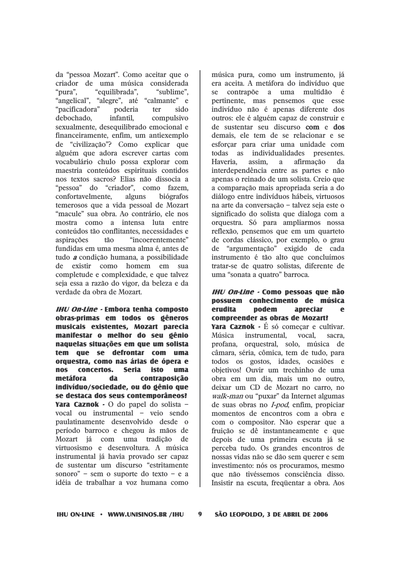da "pessoa Mozart". Como aceitar que o criador de uma música considerada "pura", "equilibrada", "sublime". "angelical", "alegre", até "calmante" e "pacificadora" sido poderia ter debochado. infantil. compulsivo sexualmente, desequilibrado emocional e financeiramente, enfim, um antiexemplo de "civilização"? Como explicar que alguém que adora escrever cartas com vocabulário chulo possa explorar com maestria conteúdos espirituais contidos nos textos sacros? Elias não dissocia a "pessoa" do "criador", como fazem, confortavelmente. alguns biógrafos temerosos que a vida pessoal de Mozart "macule" sua obra. Ao contrário, ele nos mostra como a intensa luta entre conteúdos tão conflitantes, necessidades e aspirações tão "incoerentemente" fundidas em uma mesma alma é, antes de tudo *a* condição humana, a possibilidade de existir como homem em sua completude e complexidade, e que talvez seja essa a razão do vigor, da beleza e da verdade da obra de Mozart.

**IHU On-Line - Embora tenha composto** obras-primas em todos os gêneros musicais existentes, Mozart parecia manifestar o melhor do seu gênio naquelas situações em que um solista tem que se defrontar com uma orquestra, como nas árias de ópera e nos concertos. Seria isto uma metáfora contraposicão da indivíduo/sociedade, ou do gênio que se destaca dos seus contemporâneos? Yara Caznok - O do papel do solista vocal ou instrumental – veio sendo paulatinamente desenvolvido desde o período barroco e chegou às mãos de Mozart já com uma tradição de virtuosismo e desenvoltura. A música instrumental já havia provado ser capaz de sustentar um discurso "estritamente sonoro" - sem o suporte do texto - e a idéia de trabalhar a voz humana como

música pura, como um instrumento, já era aceita. A metáfora do indivíduo que contrapõe a uma multidão se  $\epsilon$ pertinente, mas pensemos que esse indivíduo não é apenas diferente dos outros: ele é alguém capaz de construir e de sustentar seu discurso com e dos demais, ele tem de se relacionar e se esforcar para criar uma unidade com todas as individualidades presentes. Haveria. assim. afirmação a  $\mathbf{d}$ interdependência entre as partes e não apenas o reinado de um solista. Creio que a comparação mais apropriada seria a do diálogo entre indivíduos hábeis, virtuosos na arte da conversação - talvez seja este o significado do solista que dialoga com a orquestra. Só para ampliarmos nossa reflexão, pensemos que em um quarteto de cordas clássico, por exemplo, o grau de "argumentação" exigido de cada instrumento é tão alto que concluímos tratar-se de quatro solistas, diferente de uma "sonata a quatro" barroca.

#### IHU On-Line - Como pessoas que não possuem conhecimento de música erudita podem apreciar  $\bullet$ compreender as obras de Mozart?

**Yara Caznok** - É só comecar e cultivar. Música instrumental. vocal. sacra. profana, orquestral, solo, música de câmara, séria, cômica, tem de tudo, para todos os gostos, idades, ocasiões e objetivos! Ouvir um trechinho de uma obra em um dia, mais um no outro, deixar um CD de Mozart no carro, no walk-man ou "puxar" da Internet algumas de suas obras no *I-pod*, enfim, propiciar momentos de encontros com a obra e com o compositor. Não esperar que a fruição se dê instantaneamente e que depois de uma primeira escuta já se perceba tudo. Os grandes encontros de nossas vidas não se dão sem querer e sem investimento: nós os procuramos, mesmo que não tivéssemos consciência disso. Insistir na escuta, freqüentar a obra. Aos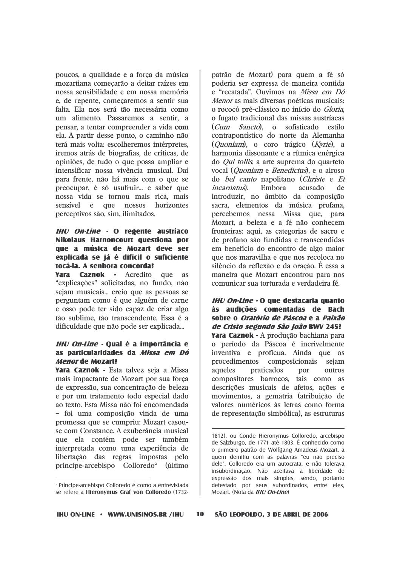poucos, a qualidade e a forca da música mozartiana começarão a deitar raízes em nossa sensibilidade e em nossa memória e, de repente, comecaremos a sentir sua falta. Ela nos será tão necessária como um alimento. Passaremos a sentir, a pensar, a tentar compreender a vida com ela. A partir desse ponto, o caminho não terá mais volta: escolheremos intérpretes. iremos atrás de biografias, de críticas, de opiniões, de tudo o que possa ampliar e intensificar nossa vivência musical. Daí para frente, não há mais com o que se preocupar, é só usufruir... e saber que nossa vida se tornou mais rica, mais sensível e que nossos horizontes perceptivos são, sim, ilimitados.

### IHU On-Line - O regente austríaco Nikolaus Harnoncourt questiona por que a música de Mozart deve ser explicada se já é difícil o suficiente tocá-la. A senhora concorda?

**Caznok** - Acredito que **Yara** as "explicações" solicitadas, no fundo, não sejam musicais... creio que as pessoas se perguntam como é que alguém de carne e osso pode ter sido capaz de criar algo tão sublime, tão transcendente. Essa é a dificuldade que não pode ser explicada...

#### IHU On-Line - Qual é a importância e as particularidades da *Missa em Dó* **Menor de Mozart?**

Yara Caznok - Esta talvez seja a Missa mais impactante de Mozart por sua força de expressão, sua concentração de beleza e por um tratamento todo especial dado ao texto. Esta Missa não foi encomendada - foi uma composição vinda de uma promessa que se cumpriu: Mozart casouse com Constance. A exuberância musical que ela contém pode ser também interpretada como uma experiência de libertação das regras impostas pelo príncipe-arcebispo Colloredo<sup>2</sup> (último

patrão de Mozart) para quem a fé só poderia ser expressa de maneira contida e "recatada". Ouvimos na Missa em Dó *Menor* as mais diversas poéticas musicais: o rococó pré-clássico no início do Gloria. o fugato tradicional das missas austríacas (*Cum Sancto*), o sofisticado estilo contrapontístico do norte da Alemanha (*Ouoniam*), o coro trágico (*Kvrie*), a harmonia dissonante e a rítmica enérgica do *Qui tollis*, a arte suprema do quarteto vocal (Quoniam e Benedictus), e o airoso do *bel canto* napolitano (*Christe* e *Et incarnatus*). Embora acusado  $d\rho$ introduzir, no âmbito da composição sacra, elementos da música profana, percebemos nessa Missa que, para Mozart, a beleza e a fé não conhecem fronteiras: aqui, as categorias de sacro e de profano são fundidas e transcendidas em benefício do encontro de algo maior que nos maravilha e que nos recoloca no silêncio da reflexão e da oração. É essa a maneira que Mozart encontrou para nos comunicar sua torturada e verdadeira fé.

#### IHU On-Line - O que destacaria quanto às audicões comentadas de Bach sobre o *Oratório de Páscoa* e a *Paixão* de Cristo segundo São João BWV 245?

Yara Caznok - A produção bachiana para o período da Páscoa é incrivelmente inventiva e profícua. Ainda que os procedimentos composicionais sejam aqueles praticados por outros compositores barrocos, tais como as descrições musicais de afetos, ações e movimentos, a gematria (atribuição de valores numéricos às letras como forma de representação simbólica), as estruturas

1812), ou Conde Hieronymus Colloredo, arcebispo de Salzburgo, de 1771 até 1803. É conhecido como o primeiro patrão de Wolfgang Amadeus Mozart, a quem demitiu com as palavras "eu não preciso dele". Colloredo era um autocrata, e não tolerava insubordinação. Não aceitava a liberdade de expressão dos mais simples, sendo, portanto detestado por seus subordinados, entre eles, Mozart. (Nota da IHU On-Line)

10

<sup>&</sup>lt;sup>2</sup> Príncipe-arcebispo Colloredo é como a entrevistada se refere a Hieronymus Graf von Colloredo (1732-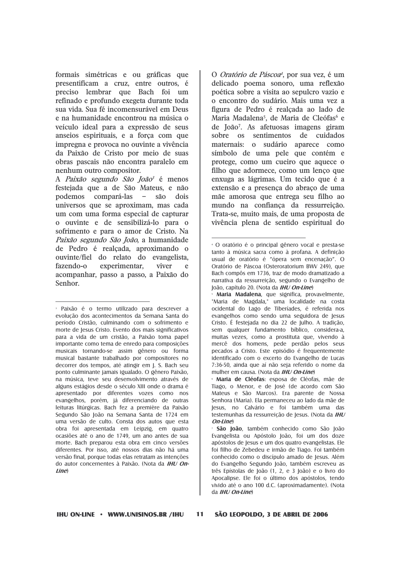formais simétricas e ou gráficas que presentificam a cruz, entre outros, é preciso lembrar que Bach foi um refinado e profundo exegeta durante toda sua vida. Sua fé incomensurável em Deus e na humanidade encontrou na música o veículo ideal para a expressão de seus anseios espirituais, e a força com que impregna e provoca no ouvinte a vivência da Paixão de Cristo por meio de suas obras pascais não encontra paralelo em nenhum outro compositor.

A Paixão segundo São João<sup>3</sup> é menos festejada que a de São Mateus, e não podemos compará-las  $\overline{\phantom{a}}$ são dois universos que se aproximam, mas cada um com uma forma especial de capturar o ouvinte e de sensibilizá-lo para o sofrimento e para o amor de Cristo. Na Paixão segundo São João, a humanidade de Pedro é realcada, aproximando o ouvinte/fiel do relato do evangelista. fazendo-o experimentar. viver  $\epsilon$ acompanhar, passo a passo, a Paixão do Senhor.

O Oratório de Páscoa<sup>4</sup>, por sua vez, é um delicado poema sonoro, uma reflexão poética sobre a visita ao sepulcro vazio e o encontro do sudário. Mais uma vez a figura de Pedro é realcada ao lado de Maria Madalena<sup>5</sup>, de Maria de Cleófas<sup>6</sup> e de João<sup>7</sup>. As afetuosas imagens giram sobre os sentimentos de cuidados maternais: o sudário aparece como símbolo de uma pele que contém e protege, como um cueiro que aquece o filho que adormece, como um lenço que enxuga as lágrimas. Um tecido que é a extensão e a presença do abraço de uma mãe amorosa que entrega seu filho ao mundo na confiança da ressurreição. Trata-se, muito mais, de uma proposta de vivência plena de sentido espiritual do

<sup>&</sup>lt;sup>3</sup> Paixão é o termo utilizado para descrever a evolução dos acontecimentos da Semana Santa do período Cristão, culminando com o sofrimento e morte de Jesus Cristo. Evento dos mais significativos para a vida de um cristão, a Paixão toma papel importante como tema de enredo para composições musicais tornando-se assim gênero ou forma musical bastante trabalhado por compositores no decorrer dos tempos, até atingir em I. S. Bach seu ponto culminante jamais igualado. O gênero Paixão. na música, teve seu desenvolvimento através de alguns estágios desde o século XIII onde o drama é apresentado por diferentes vozes como nos evangelhos, porém, já diferenciando de outras leituras litúrgicas. Bach fez a première da Paixão Segundo São João na Semana Santa de 1724 em uma versão de culto. Consta dos autos que esta obra foi apresentada em Leipzig, em quatro ocasiões até o ano de 1749, um ano antes de sua morte. Bach preparou esta obra em cinco versões diferentes. Por isso, até nossos dias não há uma versão final, porque todas elas retratam as intenções do autor concernentes à Paixão. (Nota da IHU On $line$ 

<sup>&</sup>lt;sup>4</sup> O oratório é o principal gênero vocal e presta-se tanto à música sacra como à profana. A definição usual de oratório é "ópera sem encenação". O Oratório de Páscoa (Osteroratorium BWV 249), que Bach compôs em 1736, traz de modo dramatizado a narrativa da ressurreição, segundo o Evangelho de loão, capítulo 20. (Nota da IHU On-Line)

Maria Madalena, que significa, provavelmente, "Maria de Magdala," uma localidade na costa ocidental do Lago de Tiberíades, é referida nos evandelhos como sendo uma seduidora de Jesus Cristo. É festejada no dia 22 de Julho. A tradição, sem qualquer fundamento bíblico, considera-a. muitas vezes, como a prostituta que, vivendo à mercê dos homens, pede perdão pelos seus pecados a Cristo. Este episódio é frequentemente identificado com o excerto do Evangelho de Lucas 7:36-50, ainda que aí não seja referido o nome da mulher em causa. (Nota da IHU On-Line)

<sup>·</sup> Maria de Cléofas: esposa de Cléofas, mãe de Tiago, o Menor, e de José (de acordo com São Mateus e São Marcos). Era parente de Nossa Senhora (Maria). Ela permaneceu ao lado da mãe de Jesus, no Calvário e foi também uma das testemunhas da ressurreição de Jesus. (Nota da IHU On-Line)

<sup>5</sup>ão João, também conhecido como São João Evangelista ou Apóstolo João, foi um dos doze apóstolos de Jesus e um dos quatro evangelistas. Ele foi filho de Zebedeu e irmão de Tiago. Foi também conhecido como o discípulo amado de Jesus. Além do Evangelho Segundo João, também escreveu as três Epístolas de João (1, 2, e 3 João) e o livro do Apocalipse. Ele foi o último dos apóstolos, tendo vivido até o ano 100 d.C. (aproximadamente). (Nota da *IHU On-Line*)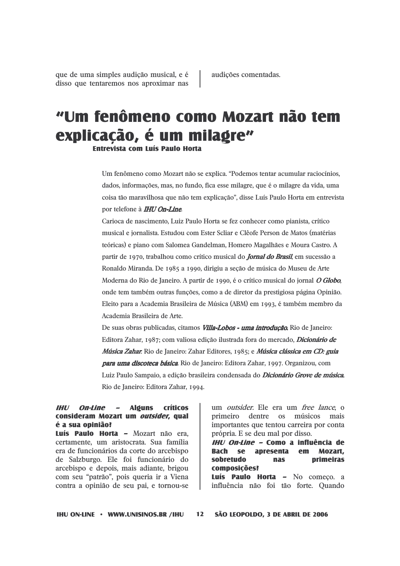que de uma simples audição musical, e é disso que tentaremos nos aproximar nas

# "Um fenômeno como Mozart não tem explicação, é um milagre"

**Entrevista com Luís Paulo Horta** 

Um fenômeno como Mozart não se explica. "Podemos tentar acumular raciocínios. dados, informações, mas, no fundo, fica esse milagre, que é o milagre da vida, uma coisa tão maravilhosa que não tem explicação", disse Luís Paulo Horta em entrevista por telefone à **IHU On-Line**.

Carioca de nascimento. Luiz Paulo Horta se fez conhecer como pianista, crítico musical e jornalista. Estudou com Ester Scliar e Clêofe Person de Matos (matérias teóricas) e piano com Salomea Gandelman, Homero Magalhães e Moura Castro. A partir de 1970, trabalhou como crítico musical do *Jornal do Brasil*, em sucessão a Ronaldo Miranda. De 1985 a 1990, dirigiu a seção de música do Museu de Arte Moderna do Rio de Janeiro. A partir de 1990, é o crítico musical do jornal O Globo, onde tem também outras funções, como a de diretor da prestigiosa página Opinião. Eleito para a Academia Brasileira de Música (ABM) em 1993, é também membro da Academia Brasileira de Arte

De suas obras publicadas, citamos *Villa-Lobos - uma introdução*, Rio de Janeiro: Editora Zahar, 1987; com valiosa edição ilustrada fora do mercado. *Dicionário de* Música Zahar. Rio de Janeiro: Zahar Editores, 1985; e Música clássica em CD: guia para uma discoteca básica. Rio de Janeiro: Editora Zahar, 1997. Organizou, com Luiz Paulo Sampaio, a edição brasileira condensada do *Dicionário Grove de música*. Rio de Janeiro: Editora Zahar, 1994.

#### **IHU On-Line Alguns Críticos** consideram Mozart um *outsider*, qual é a sua opinião?

Luís Paulo Horta - Mozart não era, certamente, um aristocrata. Sua família era de funcionários da corte do arcebispo de Salzburgo. Ele foi funcionário do arcebispo e depois, mais adiante, brigou com seu "patrão", pois queria ir a Viena contra a opinião de seu pai, e tornou-se

um outsider. Ele era um free lance, o primeiro dentre os músicos mais importantes que tentou carreira por conta própria. E se deu mal por disso.

IHU On-Line - Como a influência de **Bach** se apresenta Mozart.  $em$ sobretudo **nas primeiras** composicões? Luís Paulo Horta - No comeco, a influência não foi tão forte. Quando

**IHU ON-LINE • WWW.UNISINOS.BR /IHU**  $12$ SÃO LEOPOLDO, 3 DE ABRIL DE 2006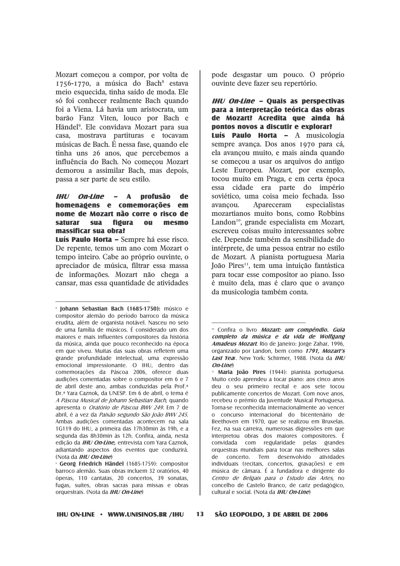Mozart começou a compor, por volta de 1756-1770, a música do Bach<sup>8</sup> estava meio esquecida, tinha saído de moda. Ele só foi conhecer realmente Bach quando foi a Viena. Lá havia um aristocrata, um barão Fanz Viten, louco por Bach e Händel<sup>9</sup>. Ele convidava Mozart para sua casa, mostrava partituras e tocavam músicas de Bach. É nessa fase, quando ele tinha uns 26 anos, que percebemos a influência do Bach. No começou Mozart demorou a assimilar Bach, mas depois, passa a ser parte de seu estilo.

#### **IHU** *On-Line -* A profusão de homenagens e comemorações  $em$ nome de Mozart não corre o risco de **saturar** sua fiøura  $0<sub>II</sub>$ mesmo massificar sua obra?

Luís Paulo Horta - Sempre há esse risco. De repente, temos um ano com Mozart o tempo inteiro. Cabe ao próprio ouvinte, o apreciador de música, filtrar essa massa de informações. Mozart não chega a cansar, mas essa quantidade de atividades pode desgastar um pouco. O próprio ouvinte deve fazer seu repertório.

#### **IHU On-Line - Quais as perspectivas** para a interpretação teórica das obras de Mozart? Acredita que ainda há pontos novos a discutir e explorar?

Luís Paulo Horta - A musicologia sempre avança. Dos anos 1970 para cá, ela avançou muito, e mais ainda quando se começou a usar os arquivos do antigo Leste Europeu. Mozart, por exemplo, tocou muito em Praga, e em certa época essa cidade era parte do império soviético, uma coisa meio fechada. Isso avancou. Apareceram especialistas mozartianos muito bons, como Robbins Landon<sup>10</sup>, grande especialista em Mozart, escreveu coisas muito interessantes sobre ele. Depende também da sensibilidade do intérprete, de uma pessoa entrar no estilo de Mozart. A pianista portuguesa Maria João Pires<sup>11</sup>, tem uma intuição fantástica para tocar esse compositor ao piano. Isso é muito dela, mas é claro que o avanço da musicologia também conta.

<sup>&</sup>lt;sup>8</sup> Iohann Sebastian Bach (1685-1750): músico e compositor alemão do período barroco da música erudita, além de organista notável. Nasceu no seio de uma família de músicos. É considerado um dos majores e mais influentes compositores da história da música, ainda que pouco reconhecido na época em que viveu. Muitas das suas obras refletem uma grande profundidade intelectual, uma expressão emocional impressionante. O IHU, dentro das comemorações da Páscoa 2006, oferece duas audições comentadas sobre o compositor em 6 e 7 de abril deste ano, ambas conduzidas pela Prof.<sup>a</sup> Dr.ª Yara Caznok, da UNESP. Em 6 de abril, o tema é A Páscoa Musical de Johann Sebastian Bach, quando apresenta o Oratório de Páscoa BWV 249. Em 7 de abril, é a vez da Paixão segundo São João BWV 245. Ambas audições comentadas acontecem na sala 1G119 do IHU, a primeira das 17h30min às 19h, e a segunda das 8h30min às 12h. Confira, ainda, nesta edição da IHU On-Line, entrevista com Yara Caznok, adiantando aspectos dos eventos que conduzirá. (Nota da IHU On-Line)

Georg Friedrich Händel (1685-1759): compositor barroco alemão. Suas obras incluem 32 oratórios, 40 óperas, 110 cantatas, 20 concertos, 39 sonatas, fugas, suítes, obras sacras para missas e obras orquestrais. (Nota da IHU On-Line)

<sup>&</sup>lt;sup>10</sup> Confira o livro *Mozart: um compêndio. Guia* completo da música e da vida de Wolfgang **Amadeus Mozart**, Rio de Janeiro: Jorde Zahar, 1996. organizado por Landon, bem como 1791, Mozart's Last Year. New York: Schirmer. 1988. (Nota da IHU  $On$ -line

<sup>&</sup>quot; Maria Ioão Pires (1944): pianista portuguesa. Muito cedo aprendeu a tocar piano: aos cinco anos deu o seu primeiro recital e aos sete tocou publicamente concertos de Mozart. Com nove anos, recebeu o prémio da Juventude Musical Portuguesa. Torna-se reconhecida internacionalmente ao vencer o concurso internacional do bicentenário de Beethoven em 1970, que se realizou em Bruxelas. Fez, na sua carreira, numerosas digressões em que interpretou obras dos maiores compositores. É convidada com regularidade pelas grandes orquestras mundiais para tocar nas melhores salas concerto. Tem desenvolvido de atividades individuais (recitais, concertos, gravações) e em música de câmara. É a fundadora e dirigente do Centro de Belgais para o Estudo das Artes, no concelho de Castelo Branco, de cariz pedagógico, cultural e social. (Nota da IHU On-Line)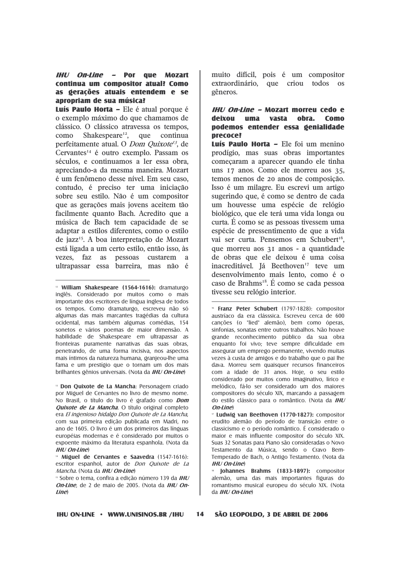#### IHU On-Line - Por que Mozart continua um compositor atual? Como as gerações atuais entendem e se apropriam de sua música?

Luís Paulo Horta - Ele é atual porque é o exemplo máximo do que chamamos de clássico. O clássico atravessa os tempos, como Shakespeare<sup>12</sup>, que continua perfeitamente atual. O *Dom Quixote<sup>13</sup>*, de Cervantes<sup>14</sup> é outro exemplo. Passam os séculos, e continuamos a ler essa obra, apreciando-a da mesma maneira. Mozart é um fenômeno desse nível. Em seu caso, contudo, é preciso ter uma iniciação sobre seu estilo. Não é um compositor que as gerações mais jovens aceitem tão facilmente quanto Bach. Acredito que a música de Bach tem capacidade de se adaptar a estilos diferentes, como o estilo de jazz<sup>15</sup>. A boa interpretação de Mozart está ligada a um certo estilo, então isso, às faz pessoas custarem a vezes. as ultrapassar essa barreira, mas não é

<sup>12</sup> William Shakespeare (1564-1616): dramaturoo inglês. Considerado por muitos como o mais importante dos escritores de língua inglesa de todos os tempos. Como dramaturgo, escreveu não só aldumas das mais marcantes tradédias da cultura ocidental, mas também algumas comédias, 154 sonetos e vários poemas de maior dimensão. A habilidade de Shakespeare em ultrapassar as fronteiras puramente narrativas das suas obras. penetrando, de uma forma incisiva, nos aspectos mais íntimos da natureza humana, granieou-lhe uma fama e um prestídio que o tornam um dos mais brilhantes gênios universais. (Nota da IHU On-Line)

<sup>13</sup> Don Quixote de La Mancha: Personagem criado por Miguel de Cervantes no livro de mesmo nome. No Brasil, o título do livro é grafado como *Dom* Quixote de La Mancha. O título original completo era El ingenioso hidalgo Don Quixote de La Mancha, com sua primeira edição publicada em Madri, no ano de 1605. O livro é um dos primeiros das línguas européias modernas e é considerado por muitos o expoente máximo da literatura espanhola. (Nota da  $H$ *HI* $\prime$  *On-Iine* $\prime$ 

" Miduel de Cervantes e Saavedra (1547-1616): escritor espanhol, autor de Don Quixote de La Mancha. (Nota da IHU On-Line)

<sup>15</sup> Sobre o tema, confira a edição número 139 da IHU On-Line, de 2 de maio de 2005. (Nota da IHU On $line$ 

muito difícil, pois é um compositor extraordinário, que criou todos os gêneros.

#### IHU On-Line - Mozart morreu cedo e deixou uma vasta obra. **Como** podemos entender essa genialidade precoce?

Luís Paulo Horta - Ele foi um menino prodígio, mas suas obras importantes começaram a aparecer quando ele tinha uns 17 anos. Como ele morreu aos 35, temos menos de 20 anos de composição. Isso é um milagre. Eu escrevi um artigo sugerindo que, é como se dentro de cada um houvesse uma espécie de relógio biológico, que ele terá uma vida longa ou curta. È como se as pessoas tivessem uma espécie de pressentimento de que a vida vai ser curta. Pensemos em Schubert<sup>16</sup>. que morreu aos 31 anos - a quantidade de obras que ele deixou é uma coisa inacreditável. Já Beethoven<sup>17</sup> teve um desenvolvimento mais lento, como é o caso de Brahms<sup>18</sup>. É como se cada pessoa tivesse seu relógio interior.

**Eranz Peter Schubert** (1797-1828): compositor austríaco da era clásssica. Escreveu cerca de 600 cancões (o "lied" alemão), bem como óperas, sinfonias, sonatas entre outros trabalhos. Não houve grande reconhecimento público da sua obra enquanto foi vivo: teve sempre dificuldade em assegurar um emprego permanente, vivendo muitas vezes à custa de amigos e do trabalho que o pai lhe dava. Morreu sem quaisquer recursos financeiros com a idade de 31 anos. Hoie, o seu estilo considerado por muitos como imaginativo, lírico e melódico, fá-lo ser considerado um dos maiores compositores do século XIX, marcando a passagem do estilo clássico para o romântico. (Nota da IHU  $On$ -line

<sup>17</sup> Ludwig van Beethoven (1770-1827): compositor erudito alemão do período de transição entre o classicismo e o período romântico. É considerado o maior e mais influente compositor do século XIX. Suas 32 Sonatas para Piano são consideradas o Novo Testamento da Música, sendo o Cravo Bem-Temperado de Bach, o Antigo Testamento. (Nota da **IHU On-Line**)

Johannes Brahms (1833-1897): compositor alemão, uma das mais importantes figuras do romantismo musical europeu do século XIX. (Nota  $da$  *IHU On-Line*)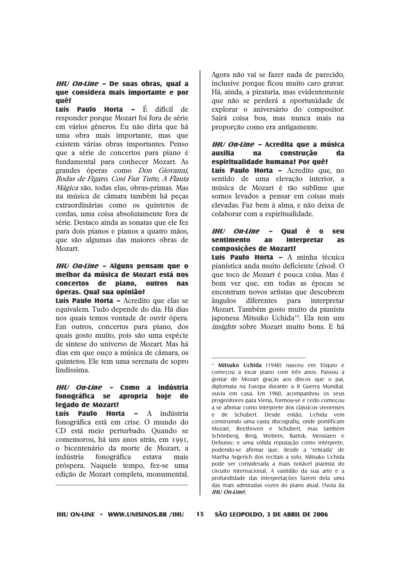### IHU On-Line - De suas obras, qual a que considera mais importante e por auê?

**Luís Paulo Horta - É difícil de** responder porque Mozart foi fora de série em vários gêneros. Eu não diria que há uma obra mais importante, mas que existem várias obras importantes. Penso que a série de concertos para piano é fundamental para conhecer Mozart. As grandes óperas como *Don Giovanni*, Bodas de Fígaro, Cosi Fan Tutte, A Flauta Mágica são, todas elas, obras-primas. Mas na música de câmara também há pecas extraordinárias como os quintetos de cordas, uma coisa absolutamente fora de série. Destaco ainda as sonatas que ele fez para dois pianos e pianos a quatro mãos, que são algumas das maiores obras de Mozart.

#### IHU On-Line - Alguns pensam que o melhor da música de Mozart está nos concertos de piano, outros nas óperas. Qual sua opinião?

Luís Paulo Horta - Acredito que elas se equivalem. Tudo depende do dia. Há dias nos quais temos vontade de ouvir ópera. Em outros, concertos para piano, dos quais gosto muito, pois são uma espécie de síntese do universo de Mozart. Mas há dias em que ouço a música de câmara, os quintetos. Ele tem uma serenata de sopro lindíssima.

#### IHU On-Line - Como a indústria fonográfica se apropria hoje do legado de Mozart?

Luís -**Paulo Horta -** A indústria fonográfica está em crise. O mundo do CD está meio perturbado. Quando se comemorou, há uns anos atrás, em 1991, o bicentenário da morte de Mozart, a indústria fonográfica estava mais próspera. Naquele tempo, fez-se uma edição de Mozart completa, monumental.

Agora não vai se fazer nada de parecido. inclusive porque ficou muito caro gravar. Há, ainda, a pirataria, mas evidentemente que não se perderá a oportunidade de explorar o aniversário do compositor. Sairá coisa boa, mas nunca mais na proporção como era antigamente.

#### IHU On-Line – Acredita que a música auxilia  $na$ construção da espiritualidade humana? Por quê?

Luís Paulo Horta - Acredito que, no sentido de uma elevação interior, a música de Mozart é tão sublime que somos levados a pensar em coisas mais elevadas. Faz bem à alma, e não deixa de colaborar com a espiritualidade.

#### **IHU On-Line** Qual é  $\bullet$ seu **interpretar sentimento** a<sub>o</sub> **as composições de Mozart?**

Luís Paulo Horta - A minha técnica pianística anda muito deficiente (*risos*). O que toco de Mozart é pouca coisa. Mas é bom ver que, em todas as épocas se encontram novos artistas que descobrem ângulos diferentes para interpretar Mozart. Também gosto muito da pianista japonesa Mitsuko Uchida<sup>19</sup>. Ela tem uns insights sobre Mozart muito bons. E há

**Mitsuko Uchida** (1948) nasceu em Tóguio e comecou a tocar piano com três anos. Passou a gostar de Mozart graças aos discos que o pai, diplomata na Europa durante a II Guerra Mundial, ouvia em casa. Em 1960, acompanhou os seus progenitores para Viena, formou-se e cedo começou a se afirmar como intérprete dos clássicos vienenses e de Schubert. Desde então, Uchida vem construindo uma vasta discografia, onde pontificam Mozart, Beethoven e Schubert, mas também Schönberg, Berg, Webern, Bartók, Messiaen e Debussy; e uma sólida reputação como intérprete, podendo-se afirmar que, desde a "retirada" de Martha Argerich dos recitais a solo, Mitsuko Uchida pode ser considerada a mais notável pianista do circuito internacional. A vastidão da sua arte e a profundidade das interpretações fazem dela uma das mais admiradas vozes do piano atual. (Nota da  $IHI/On$ -line)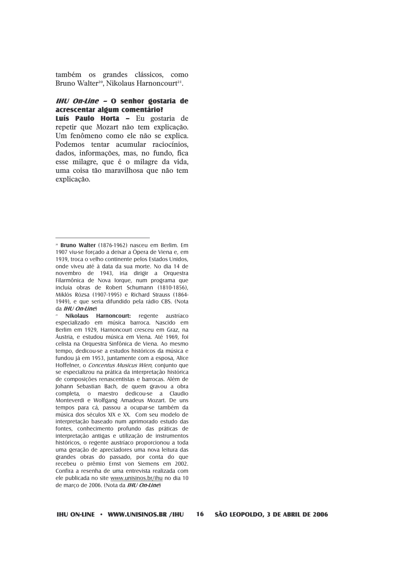também os grandes clássicos, como Bruno Walter<sup>20</sup>, Nikolaus Harnoncourt<sup>21</sup>.

#### $H U$  On-Line - O senhor gostaria de acrescentar aldum comentário?

Luís Paulo Horta - Eu gostaria de repetir que Mozart não tem explicação. Um fenômeno como ele não se explica. Podemos tentar acumular raciocínios. dados, informações, mas, no fundo, fica esse milagre, que é o milagre da vida, uma coisa tão maravilhosa que não tem explicação.

<sup>&</sup>lt;sup>20</sup> Bruno Walter (1876-1962) nasceu em Berlim. Em 1907 viu-se forçado a deixar a Ópera de Viena e, em 1939, troca o velho continente pelos Estados Unidos. onde viveu até à data da sua morte. No dia 14 de novembro de 1943, iria dirigir a Orquestra Filarmônica de Nova Iorque, num programa que incluía obras de Robert Schumann (1810-1856). Miklós Rózsa (1907-1995) e Richard Strauss (1864-1949), e que seria difundido pela rádio CBS. (Nota  $da$  *IHI*  $|On$ *line*)

Nikolaus Harnoncourt: regente austríaco especializado em música barroca. Nascido em Berlim em 1929, Harnoncourt cresceu em Graz, na Áustria, e estudou música em Viena. Até 1969, foi celista na Orquestra Sinfônica de Viena. Ao mesmo tempo, dedicou-se a estudos históricos da música e fundou já em 1953, juntamente com a esposa, Alice Hoffelner, o Concentus Musicus Wien, conjunto que se especializou na prática da interpretação histórica de composições renascentistas e barrocas. Além de Johann Sebastian Bach, de quem gravou a obra completa, o maestro dedicou-se a Claudio Monteverdi e Wolfgang Amadeus Mozart. De uns tempos para cá, passou a ocupar-se também da música dos séculos XIX e XX. Com seu modelo de interpretação baseado num aprimorado estudo das fontes, conhecimento profundo das práticas de interpretação antigas e utilização de instrumentos históricos, o regente austríaco proporcionou a toda uma geração de apreciadores uma nova leitura das grandes obras do passado, por conta do que recebeu o prêmio Ernst von Siemens em 2002. Confira a resenha de uma entrevista realizada com ele publicada no site www.unisinos.br/ihu no dia 10 de março de 2006. (Nota da IHU On-Line)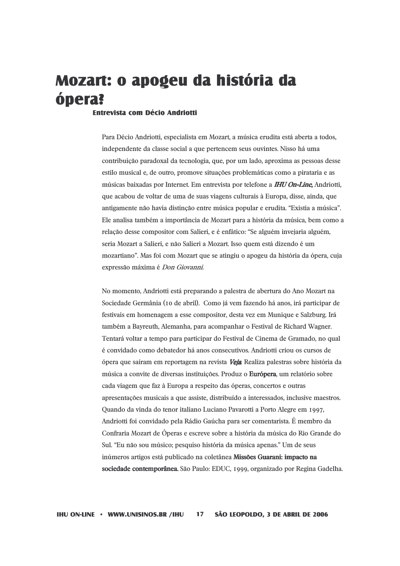# Mozart: o apogeu da história da ópera?

#### **Entrevista com Décio Andriotti**

Para Décio Andriotti, especialista em Mozart, a música erudita está aberta a todos, independente da classe social a que pertencem seus ouvintes. Nisso há uma contribuição paradoxal da tecnologia, que, por um lado, aproxima as pessoas desse estilo musical e, de outro, promove situações problemáticas como a pirataria e as músicas baixadas por Internet. Em entrevista por telefone a **IHU On-Line**, Andriotti, que acabou de voltar de uma de suas viagens culturais à Europa, disse, ainda, que antigamente não havia distinção entre música popular e erudita. "Existia a música". Ele analisa também a importância de Mozart para a história da música, bem como a relação desse compositor com Salieri, e é enfático: "Se alguém invejaria alguém, seria Mozart a Salieri, e não Salieri a Mozart. Isso quem está dizendo é um mozartiano". Mas foi com Mozart que se atingiu o apogeu da história da ópera, cuja expressão máxima é Don Giovanni.

No momento, Andriotti está preparando a palestra de abertura do Ano Mozart na Sociedade Germânia (10 de abril). Como já vem fazendo há anos, irá participar de festivais em homenagem a esse compositor, desta vez em Munique e Salzburg. Irá também a Bayreuth, Alemanha, para acompanhar o Festival de Richard Wagner. Tentará voltar a tempo para participar do Festival de Cinema de Gramado, no qual é convidado como debatedor há anos consecutivos. Andriotti criou os cursos de ópera que saíram em reportagem na revista Veja Realiza palestras sobre história da música a convite de diversas instituições. Produz o Európera, um relatório sobre cada viagem que faz à Europa a respeito das óperas, concertos e outras apresentações musicais a que assiste, distribuído a interessados, inclusive maestros. Quando da vinda do tenor italiano Luciano Pavarotti a Porto Alegre em 1997, Andriotti foi convidado pela Rádio Gaúcha para ser comentarista. É membro da Confraria Mozart de Óperas e escreve sobre a história da música do Rio Grande do Sul. "Eu não sou músico; pesquiso história da música apenas." Um de seus inúmeros artigos está publicado na coletânea Missões Guarani: impacto na sociedade contemporânea. São Paulo: EDUC, 1999, organizado por Regina Gadelha.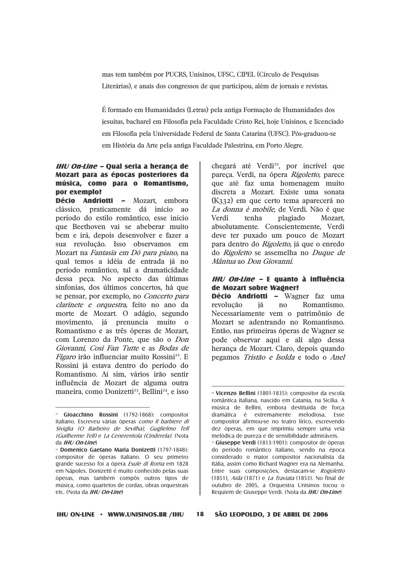mas tem também por PUCRS, Unisinos, UFSC, CIPEL (Círculo de Pesquisas Literárias), e anais dos congressos de que participou, além de jornais e revistas.

É formado em Humanidades (Letras) pela antiga Formação de Humanidades dos jesuítas, bacharel em Filosofia pela Faculdade Cristo Rei, hoje Unisinos, e licenciado em Filosofia pela Universidade Federal de Santa Catarina (UFSC). Pós-graduou-se em História da Arte pela antiga Faculdade Palestrina, em Porto Alegre.

#### IHU On-Line - Qual seria a heranca de Mozart para as épocas posteriores da música, como para o Romantismo, por exemplo?

Décio Andriotti - Mozart, embora clássico, praticamente dá início ao período do estilo romântico, esse início que Beethoven vai se abeberar muito bem e irá, depois desenvolver e fazer a sua revolução. Isso observamos em Mozart na Fantasia em Dó para piano, na qual temos a idéia de entrada já no período romântico, tal a dramaticidade dessa peca. No aspecto das últimas sinfonias, dos últimos concertos, há que se pensar, por exemplo, no Concerto para clarinete e orquestra, feito no ano da morte de Mozart. O adágio, segundo movimento, já prenuncia muito o Romantismo e as três óperas de Mozart, com Lorenzo da Ponte, que são o Don Giovanni, Cosi Fan Tutte e as Bodas de *Fígaro* irão influenciar muito Rossini<sup>22</sup>. E Rossini já estava dentro do período do Romantismo. Aí sim, vários irão sentir influência de Mozart de alguma outra maneira, como Donizetti<sup>23</sup>, Bellini<sup>24</sup>, e isso

chegará até Verdi<sup>25</sup>, por incrível que pareça. Verdi, na ópera Rigoletto, parece que até faz uma homenagem muito discreta a Mozart. Existe uma sonata  $(K<sub>332</sub>)$  em que certo tema aparecerá no La donna è mobile, de Verdi. Não é que Verdi tenha plagiado Mozart, absolutamente. Conscientemente, Verdi deve ter puxado um pouco de Mozart para dentro do Rigoletto, já que o enredo do Rigoletto se assemelha no Duque de Mântua ao Don Giovanni.

#### *IHU On-Line –* E quanto à influência de Mozart sobre Wagner?

Décio Andriotti - Wagner faz uma revolução Romantismo. iá no Necessariamente vem o patrimônio de Mozart se adentrando no Romantismo. Então, nas primeiras óperas de Wagner se pode observar aqui e ali algo dessa herança de Mozart. Claro, depois quando pegamos Tristão e Isolda e todo o Anel

18

Gioacchino Rossini (1792-1868): compositor italiano. Escreveu várias óperas como Il barbiere di Siviglia (O Barbeiro de Sevilha), Guglielmo Tell (Guilherme Tell) e La Cenerentola (Cinderela). (Nota da IHU On-Line)

<sup>&</sup>lt;sup>23</sup> Domenico Gaetano Maria Donizetti (1797-1848): compositor de óperas italiano. O seu primeiro grande sucesso foi a ópera *Esule di Roma* em 1828 em Nápoles. Donizetti é muito conhecido pelas suas óperas, mas também compôs outros tipos de música, como quartetos de cordas, obras orquestrais etc. (Nota da IHU On-Line)

<sup>&</sup>lt;sup>24</sup> Vicenzo Bellini (1801-1835): compositor da escola romântica italiana, nascido em Catania, na Sicília. A música de Bellini, embora destituída de força dramática é extremamente melodiosa. Esse compositor afirmou-se no teatro lírico, escrevendo dez óperas, em que imprimiu sempre uma veia melódica de pureza e de sensibilidade admiráveis. <sup>25</sup> Giuseppe Verdi (1813-1901): compositor de óperas do período romântico italiano, sendo na época considerado o maior compositor nacionalista da Itália, assim como Richard Wagner era na Alemanha. Entre suas composições, destacam-se Rogoletto (1851), Aida (1871) e *La Traviata* (1853). No final de outubro de 2005, a Orquestra Unisinos tocou o Requiem de Giuseppe Verdi. (Nota da IHU On-Line)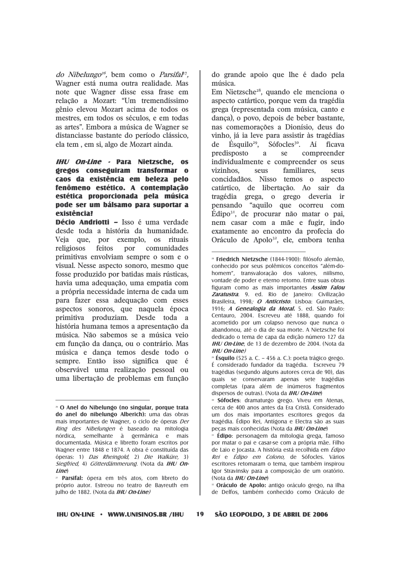do Nibelungo<sup>26</sup>, bem como o Parsifal<sup>7</sup>. Wagner está numa outra realidade. Mas note que Wagner disse essa frase em relação a Mozart: "Um tremendíssimo gênio elevou Mozart acima de todos os mestres, em todos os séculos, e em todas as artes". Embora a música de Wagner se distanciasse bastante do período clássico, ela tem . em si, algo de Mozart ainda.

### **IHU On-Line - Para Nietzsche, os** gregos conseguiram transformar o caos da existência em beleza pelo fenômeno estético. A contemplação estética proporcionada pela música pode ser um bálsamo para suportar a existência?

Décio Andriotti - Isso é uma verdade desde toda a história da humanidade. Veia que, por exemplo, os rituais religiosos feitos por comunidades primitivas envolviam sempre o som e o visual. Nesse aspecto sonoro, mesmo que fosse produzido por batidas mais rústicas, havia uma adequação, uma empatia com a própria necessidade interna de cada um para fazer essa adequação com esses aspectos sonoros, que naquela época primitiva produziam. Desde toda a história humana temos a apresentação da música. Não sabemos se a música veio em função da dança, ou o contrário. Mas música e dança temos desde todo o sempre. Então isso significa que é observável uma realização pessoal ou uma libertação de problemas em função

do grande apoio que lhe é dado pela música.

Em Nietzsche<sup>28</sup>, quando ele menciona o aspecto catártico, porque vem da tragédia grega (representada com música, canto e dança), o povo, depois de beber bastante, nas comemorações a Dionísio, deus do vinho, já ia leve para assistir às tragédias  $\operatorname{Ésaulio}^{29}$ . Sófocles<sup>30</sup>. Aí ficava de predisposto compreender a se individualmente e compreender os seus vizinhos. seus familiares. **SP119** concidadãos. Nisso temos o aspecto catártico, de libertação. Ao sair da tragédia grega, o grego deveria ir pensando "aquilo que ocorreu com Édipo<sup>31</sup>, de procurar não matar o pai, nem casar com a mãe e fugir, indo exatamente ao encontro da profecia do Oráculo de Apolo<sup>32</sup>, ele, embora tenha

<sup>&</sup>lt;sup>26</sup> O Anel do Nibelungo (no singular, porque trata do anel do nibelungo Alberich): uma das obras mais importantes de Wagner, o ciclo de óperas Der Ring des Nibelungen é baseado na mitologia nórdica. semelhante à germânica e mais documentada. Música e libretto foram escritos por Wagner entre 1848 e 1874. A obra é constituída das óperas: 1) Das Rheingold, 2) Die Walküre, 3) Siegfried, 4) Götterdämmerung. (Nota da IHU On-Line)

<sup>&</sup>lt;sup>17</sup> Parsifal: ópera em três atos, com libreto do próprio autor. Estreou no teatro de Bavreuth em julho de 1882. (Nota da IHU On-Line)

<sup>&</sup>lt;sup>28</sup> Friedrich Nietzsche (1844-1900): filósofo alemão. conhecido por seus polêmicos conceitos "além-dohomem", transvaloração dos valores, niilismo, vontade de poder e eterno retorno. Entre suas obras fiduram como as mais importantes **Assim Falou Zaratustra**, 9. ed. Rio de laneiro: Civilização Brasileira, 1998; O Anticristo. Lisboa: Guimarães, 1916; A Genealogia da Moral. 5. ed. São Paulo: Centauro, 2004, Escreveu até 1888, quando foi acometido por um colapso nervoso que nunca o abandonou, até o dia de sua morte. A Nietzsche foi dedicado o tema de capa da edição número 127 da **IHU On-Line**, de 13 de dezembro de 2004. (Nota da  $IHI/On-line)$ 

 $\frac{1}{2}$  Ésquilo (525 a. C. – 456 a. C.): poeta trágico grego. É considerado fundador da tragédia. Escreveu 79 tragédias (segundo alguns autores cerca de 90), das quais se conservaram apenas sete tragédias completas (para além de inúmeros fragmentos dispersos de outras). (Nota da IHU On-Line)

**Sófocles**: dramaturgo grego. Viveu em Atenas. cerca de 400 anos antes da Era Cristã. Considerado um dos mais importantes escritores gregos da tragédia. Édipo Rei, Antígona e Electra são as suas pecas mais conhecidas (Nota da IHU On-Line)

**Edipo**: personagem da mitologia grega, famoso por matar o pai e casar-se com a própria mãe. Filho de Laio e Jocasta. A história está recolhida em Édipo Rei e Édipo em Colono, de Sófocles. Vários escritores retomaram o tema, que também inspirou Igor Stravinsky para a composição de um oratório. (Nota da IHU On-Line)

<sup>&</sup>lt;sup>12</sup> Oráculo de Apolo: antigo oráculo grego, na ilha de Delfos, também conhecido como Oráculo de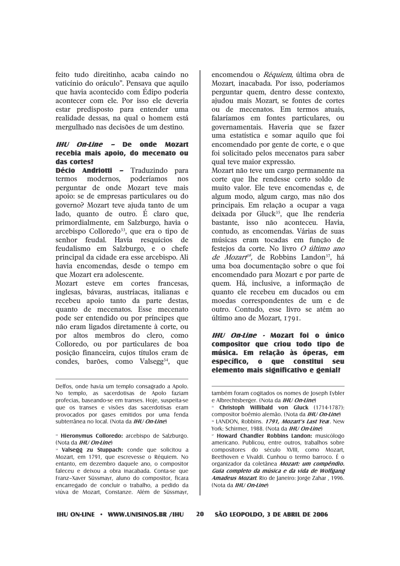feito tudo direitinho, acaba caindo no vaticínio do oráculo". Pensava que aquilo que havia acontecido com Édipo poderia acontecer com ele. Por isso ele deveria estar predisposto para entender uma realidade dessas, na qual o homem está mergulhado nas decisões de um destino.

#### IHU On-Line - De onde Mozart recebia mais apoio, do mecenato ou das cortes?

Décio Andriotti - Traduzindo para termos modernos, poderíamos  $\frac{1}{2}$ perguntar de onde Mozart teve mais apoio: se de empresas particulares ou do governo? Mozart teve ajuda tanto de um lado, quanto de outro. É claro que, primordialmente, em Salzburgo, havia o arcebispo Colloredo<sup>33</sup>, que era o tipo de senhor feudal. Havia resquícios de feudalismo em Salzburgo, e o chefe principal da cidade era esse arcebispo. Ali havia encomendas, desde o tempo em que Mozart era adolescente.

Mozart esteve em cortes francesas, inglesas, bávaras, austríacas, italianas e recebeu apoio tanto da parte destas. quanto de mecenatos. Esse mecenato pode ser entendido ou por príncipes que não eram ligados diretamente à corte, ou por altos membros do clero, como Colloredo, ou por particulares de boa posição financeira, cujos títulos eram de condes, barões, como Valsegg<sup>34</sup>, que

encomendou o Réquiem, última obra de Mozart, inacabada. Por isso, poderíamos perguntar quem, dentro desse contexto, ajudou mais Mozart, se fontes de cortes ou de mecenatos. Em termos atuais, falaríamos em fontes particulares, ou governamentais. Haveria que se fazer uma estatística e somar aquilo que foi encomendado por gente de corte, e o que foi solicitado pelos mecenatos para saber qual teve maior expressão.

Mozart não teve um cargo permanente na corte que lhe rendesse certo soldo de muito valor. Ele teve encomendas e, de algum modo, algum cargo, mas não dos principais. Em relação a ocupar a vaga deixada por Gluck<sup>35</sup>, que lhe renderia bastante, isso não aconteceu. Havia, contudo, as encomendas. Várias de suas músicas eram tocadas em função de festejos da corte. No livro O último ano de Mozart<sup>66</sup>, de Robbins Landon<sup>37</sup>, há uma boa documentação sobre o que foi encomendado para Mozart e por parte de quem. Há, inclusive, a informação de quanto ele recebeu em ducados ou em moedas correspondentes de um e de outro. Contudo, esse livro se atém ao último ano de Mozart, 1791.

IHU On-Line - Mozart foi o único compositor que criou todo tipo de música. Em relação às óperas, em específico, o que constitui seu elemento mais significativo e genial?

Delfos, onde havia um templo consagrado a Apolo. No templo, as sacerdotisas de Apolo faziam profecias, baseando-se em transes. Hoje, suspeita-se que os transes e visões das sacerdotisas eram provocados por gases emitidos por uma fenda subterrânea no local. (Nota da *IHU On-Line*)

<sup>&</sup>lt;sup>33</sup> Hieronymus Colloredo: arcebispo de Salzburgo. (Nota da IHU On-Line)

Valsegg zu Stuppach: conde que solicitou a Mozart, em 1791, que escrevesse o Réquiem. No entanto, em dezembro daquele ano, o compositor faleceu e deixou a obra inacabada. Conta-se que Franz-Xaver Süssmayr, aluno do compositor, ficara encarregado de concluir o trabalho, a pedido da viúva de Mozart, Constanze. Além de Süssmayr,

também foram cogitados os nomes de Joseph Eybler e Albrechtsberger. (Nota da IHU On-Line)

<sup>&</sup>lt;sup>35</sup> Christoph Willibald von Gluck (1714-1787): compositor boêmio alemão. (Nota da IHU On-Line) <sup>36</sup> LANDON, Robbins. 1791, Mozart's Last Year. New York: Schirmer, 1988. (Nota da IHU On-Line)

<sup>&</sup>lt;sup>37</sup> Howard Chandler Robbins Landon: musicólogo americano. Publicou, entre outros, trabalhos sobre compositores do século XVIII, como Mozart, Beethoven e Vivaldi. Cunhou o termo barroco. É o organizador da coletânea Mozart: um compêndio. Guia completo da música e da vida de Wolfgang Amadeus Mozart. Rio de Janeiro: Jorge Zahar, 1996. (Nota da IHU On-Line)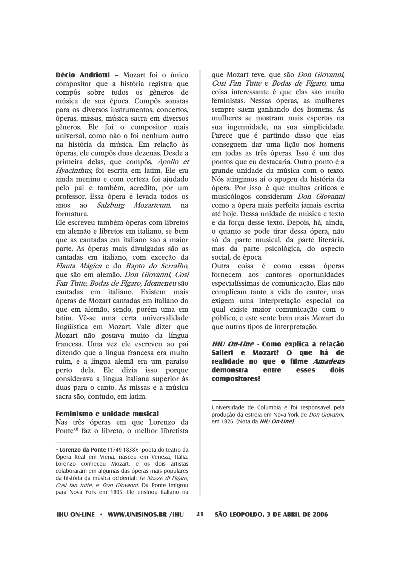**Décio Andriotti - Mozart foi o único** compositor que a história registra que compôs sobre todos os gêneros de música de sua época. Compôs sonatas para os diversos instrumentos, concertos, óperas, missas, música sacra em diversos gêneros. Ele foi o compositor mais universal, como não o foi nenhum outro na história da música. Em relação às óperas, ele compôs duas dezenas. Desde a primeira delas, que compôs, Apollo et Hyacinthus, foi escrita em latim. Ele era ainda menino e com certeza foi ajudado pelo pai e também, acredito, por um professor. Essa ópera é levada todos os Salzburg Mozarteum, anos  $a<sub>0</sub>$ na formatura

Ele escreveu também óperas com libretos em alemão e libretos em italiano, se bem que as cantadas em italiano são a maior parte. As óperas mais divulgadas são as cantadas em italiano, com exceção da Flauta Mágica e do Rapto do Serralho, que são em alemão. Don Giovanni, Cosi Fan Tutte, Bodas de Fígaro, Idomeneu são cantadas em italiano. Existem mais óperas de Mozart cantadas em italiano do que em alemão, sendo, porém uma em latim. Vê-se uma certa universalidade lingüística em Mozart. Vale dizer que Mozart não gostava muito da língua francesa. Uma vez ele escreveu ao pai dizendo que a língua francesa era muito ruim, e a língua alemã era um paraíso perto dela. Ele dizia isso porque considerava a língua italiana superior às duas para o canto. As missas e a música sacra são, contudo, em latim.

#### Feminismo e unidade musical

Nas três óperas em que Lorenzo da Ponte<sup>38</sup> faz o libreto, o melhor libretista que Mozart teve, que são Don Giovanni. Cosi Fan Tutte e Bodas de Fígaro, uma coisa interessante é que elas são muito feministas. Nessas óperas, as mulheres sempre saem ganhando dos homens. As mulheres se mostram mais espertas na sua ingenuidade, na sua simplicidade. Parece que é partindo disso que elas conseguem dar uma lição nos homens em todas as três óperas. Isso é um dos pontos que eu destacaria. Outro ponto é a grande unidade da música com o texto. Nós atingimos aí o apogeu da história da ópera. Por isso é que muitos críticos e musicólogos consideram Don Giovanni como a ópera mais perfeita jamais escrita até hoie. Dessa unidade de música e texto e da forca desse texto. Depois, há, ainda, o quanto se pode tirar dessa ópera, não só da parte musical, da parte literária, mas da parte psicológica, do aspecto social, de época.

Outra coisa é como essas óperas fornecem aos cantores oportunidades especialíssimas de comunicação. Elas não complicam tanto a vida do cantor, mas exigem uma interpretação especial na qual existe maior comunicação com o público, e este sente bem mais Mozart do que outros tipos de interpretação.

IHU On-Line - Como explica a relação Salieri e Mozart? O que há de realidade no que o filme Amadeus demonstra entre esses dois compositores?

Universidade de Columbia e foi responsável pela produção da estréia em Nova York de Don Giovanni, em 1826. (Nota da IHU On-Line)

 $21$ 

<sup>»</sup> Lorenzo da Ponte (1749-1838): poeta do teatro da Ópera Real em Viena, nasceu em Veneza, Itália. Lorenzo conheceu Mozart, e os dois artistas colaboraram em algumas das óperas mais populares da história da música ocidental: Le Nozze di Figaro, Così fan tutte, e Don Giovanni. Da Ponte imigrou para Nova York em 1805. Ele ensinou italiano na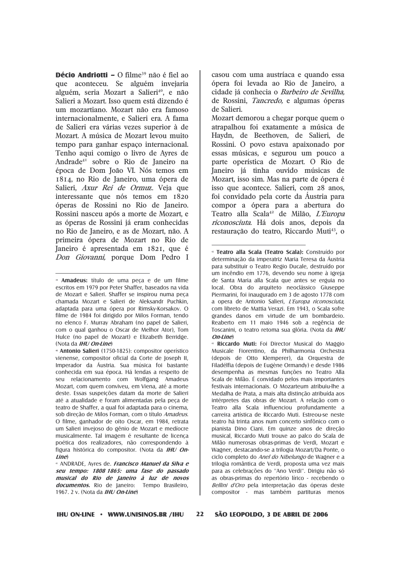Décio Andriotti - O filme<sup>39</sup> não é fiel ao que aconteceu. Se alguém invejaria alguém, seria Mozart a Salieri<sup>40</sup>, e não Salieri a Mozart. Isso quem está dizendo é um mozartiano. Mozart não era famoso internacionalmente, e Salieri era. A fama de Salieri era várias vezes superior à de Mozart. A música de Mozart levou muito tempo para ganhar espaço internacional. Tenho aqui comigo o livro de Ayres de Andrade<sup>41</sup> sobre o Rio de Janeiro na época de Dom João VI. Nós temos em 1814, no Rio de Janeiro, uma ópera de Salieri, Axur Rei de Ormuz. Veja que interessante que nós temos em 1820 óperas de Rossini no Rio de Janeiro. Rossini nasceu após a morte de Mozart, e as óperas de Rossini já eram conhecidas no Rio de Janeiro, e as de Mozart, não. A primeira ópera de Mozart no Rio de Janeiro é apresentada em 1821, que é Don Giovanni, porque Dom Pedro I

casou com uma austríaca e quando essa ópera foi levada ao Rio de Janeiro, a cidade já conhecia o Barbeiro de Sevilha. de Rossini, *Tancredo*, e algumas óperas de Salieri.

Mozart demorou a chegar porque quem o atrapalhou foi exatamente a música de Haydn, de Beethoven, de Salieri, de Rossini. O povo estava apaixonado por essas músicas, e segurou um pouco a parte operística de Mozart. O Rio de Janeiro já tinha ouvido músicas de Mozart, isso sim. Mas na parte de ópera é isso que acontece. Salieri, com 28 anos, foi convidado pela corte da Áustria para compor a ópera para a abertura do Teatro alla Scala<sup>42</sup> de Milão, L'Europa riconosciuta. Há dois anos, depois da restauração do teatro, Riccardo Muti<sup>43</sup>, o

<sup>6</sup> Riccardo Muti: Foi Director Musical do Maggio Musicale Fiorentino, da Philharmonia Orchestra (depois de Otto Klemperer), da Orquestra de Filadélfia (depois de Eugène Ormandy) e desde 1986 desempenha as mesmas funções no Teatro Alla Scala de Milão. É convidado pelos mais importantes festivais internacionais. O Mozarteum atribuiu-lhe a Medalha de Prata, a mais alta distinção atribuída aos intérpretes das obras de Mozart. A relação com o Teatro alla Scala influenciou profundamente a carreira artística de Riccardo Muti. Estreou-se neste teatro há trinta anos num concerto sinfônico com o pianista Dino Ciani. Em quinze anos de direção musical, Riccardo Muti trouxe ao palco do Scala de Milão numerosas obras-primas de Verdi, Mozart e Wagner, destacando-se a trilogia Mozart/Da Ponte, o ciclo completo do Anel do Nibelungo de Wagner e a trilogia romântica de Verdi, proposta uma vez mais para as celebrações do "Ano Verdi". Dirigiu não só as obras-primas do repertório lírico - recebendo o Bellini d'Oro pela interpretação das óperas deste compositor - mas também partituras menos

<sup>»</sup> Amadeus: título de uma peça e de um filme escritos em 1979 por Peter Shaffer, baseados na vida de Mozart e Salieri. Shaffer se inspirou numa peca chamada Mozart e Salieri de Aleksandr Puchkin, adaptada para uma ópera por Rimsky-Korsakov. O filme de 1984 foi dirigido por Milos Forman, tendo no elenco F. Murray Abraham (no papel de Salieri, com o qual ganhou o Oscar de Melhor Ator). Tom Hulce (no papel de Mozart) e Elizabeth Berridge. (Nota da *IHU On-Line*)

<sup>&</sup>lt;sup>®</sup> Antonio Salieri (1750-1825): compositor operístico vienense, compositor oficial da Corte de Joseph II. Imperador da Áustria. Sua música foi bastante conhecida em sua época. Há lendas a respeito de seu relacionamento com Wolfgang Amadeus Mozart, com quem conviveu, em Viena, até a morte deste. Essas suspeições datam da morte de Salieri até a atualidade e foram alimentadas pela peca de teatro de Shaffer, a qual foi adaptada para o cinema, sob direção de Milos Forman, com o título Amadeus. O filme, ganhador de oito Oscar, em 1984, retrata um Salieri invejoso do gênio de Mozart e medíocre musicalmente. Tal imagem é resultante de licenca poética dos realizadores, não correspondendo à figura histórica do compositor. (Nota da IHU On $line$ 

<sup>&</sup>lt;sup>41</sup> ANDRADE, Ayres de. Francisco Manuel da Silva e seu tempo: 1808 1865: uma fase do passado musical do Rio de Janeiro à luz de novos documentos. Rio de Janeiro: Tempo Brasileiro, 1967. 2 v. (Nota da IHU On-Line)

<sup>&</sup>lt;sup>42</sup> Teatro alla Scala (Teatro Scala): Construído por determinação da imperatriz Maria Teresa da Áustria para substituir o Teatro Regio Ducale, destruído por um incêndio em 1776, devendo seu nome à igreja de Santa Maria alla Scala que antes se erguia no local. Obra do arquiteto neoclássico Giuseppe Piermarini, foi inaugurado em 3 de agosto 1778 com a opera de Antonio Salieri, L'Europa riconosciuta, com libreto de Mattia Verazi. Em 1943, o Scala sofre drandes danos em virtude de um bombardejo. Reaberto em 11 maio 1946 sob a regência de Toscanini, o teatro retoma sua glória. (Nota da IHU On-Line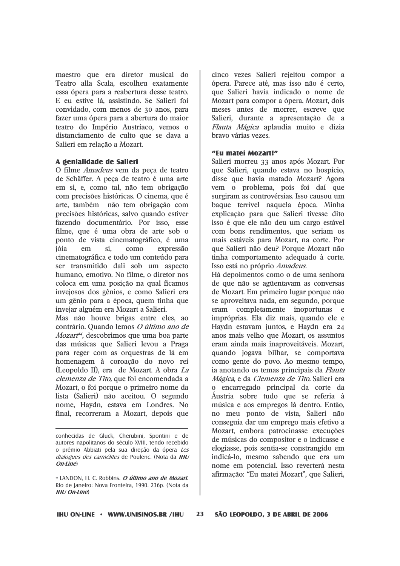maestro que era diretor musical do Teatro alla Scala, escolheu exatamente essa ópera para a reabertura desse teatro. E eu estive lá, assistindo. Se Salieri foi convidado, com menos de 30 anos, para fazer uma ópera para a abertura do maior teatro do Império Austríaco, vemos o distanciamento de culto que se dava a Salieri em relação a Mozart.

#### A genialidade de Salieri

O filme *Amadeus* vem da peça de teatro de Schäffer. A peça de teatro é uma arte em si, e, como tal, não tem obrigação com precisões históricas. O cinema, que é arte, também não tem obrigação com precisões históricas, salvo quando estiver fazendo documentário. Por isso, esse filme, que é uma obra de arte sob o ponto de vista cinematográfico, é uma ióia em si.  $como$ expressão cinematográfica e todo um conteúdo para ser transmitido dali sob um aspecto humano, emotivo. No filme, o diretor nos coloca em uma posição na qual ficamos invejosos dos gênios, e como Salieri era um gênio para a época, quem tinha que invejar alguém era Mozart a Salieri.

Mas não houve brigas entre eles, ao contrário. Quando lemos O último ano de Mozart<sup>44</sup>, descobrimos que uma boa parte das músicas que Salieri levou a Praga para reger com as orquestras de lá em homenagem à coroação do novo rei (Leopoldo II), era de Mozart. A obra La clemenza de Tito, que foi encomendada a Mozart, o foi porque o primeiro nome da lista (Salieri) não aceitou. O segundo nome, Haydn, estava em Londres. No final, recorreram a Mozart, depois que

cinco vezes Salieri rejeitou compor a ópera. Parece até, mas isso não é certo, que Salieri havia indicado o nome de Mozart para compor a ópera. Mozart, dois meses antes de morrer, escreve que Salieri, durante a apresentação de a Flauta Mágica aplaudia muito e dizia bravo várias vezes.

#### "Fu matei Mozart!"

Salieri morreu 33 anos após Mozart. Por que Salieri, quando estava no hospício, disse que havia matado Mozart? Agora vem o problema, pois foi daí que surgiram as controvérsias. Isso causou um baque terrível naquela época. Minha explicação para que Salieri tivesse dito isso é que ele não deu um cargo estável com bons rendimentos, que seriam os mais estáveis para Mozart, na corte. Por que Salieri não deu? Porque Mozart não tinha comportamento adequado à corte. Isso está no próprio Amadeus.

Há depoimentos como o de uma senhora de que não se agüentavam as conversas de Mozart. Em primeiro lugar porque não se aproveitava nada, em segundo, porque eram completamente inoportunas e impróprias. Ela diz mais, quando ele e Haydn estavam juntos, e Haydn era 24 anos mais velho que Mozart, os assuntos eram ainda mais inaproveitáveis. Mozart, quando jogava bilhar, se comportava como gente do povo. Ao mesmo tempo, ia anotando os temas principais da Flauta Mágica, e da Clemenza de Tito. Salieri era o encarregado principal da corte da Áustria sobre tudo que se referia à música e aos empregos lá dentro. Então, no meu ponto de vista, Salieri não conseguia dar um emprego mais efetivo a Mozart, embora patrocinasse execuções de músicas do compositor e o indicasse e elogiasse, pois sentia-se constrangido em indicá-lo, mesmo sabendo que era um nome em potencial. Isso reverterá nesta afirmação: "Eu matei Mozart", que Salieri,

conhecidas de Gluck. Cherubini. Spontini e de autores napolitanos do século XVIII, tendo recebido o prêmio Abbiati pela sua direção da ópera Les dialogues des carmélites de Poulenc. (Nota da IHU  $On$ -line

<sup>«</sup> LANDON, H. C. Robbins. O último ano de Mozart. Rio de Janeiro: Nova Fronteira, 1990. 236p. (Nota da  $H$ *HI* $/$ *On-Iine* $)$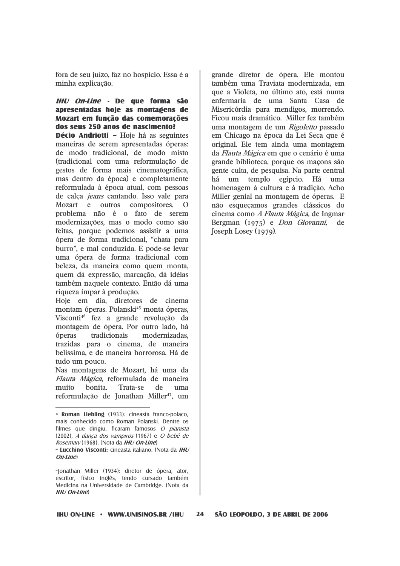fora de seu juízo, faz no hospício. Essa é a minha explicação.

### IHU On-Line - De que forma são apresentadas hoie as montagens de Mozart em função das comemorações dos seus 250 anos de nascimento?

**Décio Andriotti - Hoje há as seguintes** maneiras de serem apresentadas óperas: de modo tradicional, de modo misto (tradicional com uma reformulação de gestos de forma mais cinematográfica, mas dentro da época) e completamente reformulada à época atual, com pessoas de calca *jeans* cantando. Isso vale para Mozart e outros compositores. O problema não é o fato de serem modernizações, mas o modo como são feitas, porque podemos assistir a uma ópera de forma tradicional. "chata para burro", e mal conduzida. E pode-se levar uma ópera de forma tradicional com beleza, da maneira como quem monta. quem dá expressão, marcação, dá idéias também naquele contexto. Então dá uma riqueza ímpar à produção.

Hoie em dia, diretores de cinema montam óperas. Polanski<sup>45</sup> monta óperas. Visconti<sup>46</sup> fez a grande revolução da montagem de ópera. Por outro lado, há óperas tradicionais modernizadas. trazidas para o cinema, de maneira belíssima, e de maneira horrorosa. Há de tudo um pouco.

Nas montagens de Mozart, há uma da Flauta Mágica, reformulada de maneira bonita. Trata-se muito de  $11<sub>ma</sub>$ reformulação de Jonathan Miller<sup>47</sup>, um

grande diretor de ópera. Ele montou também uma Traviata modernizada, em que a Violeta, no último ato, está numa enfermaria de uma Santa Casa de Misericórdia para mendigos, morrendo, Ficou mais dramático. Miller fez também uma montagem de um Rigoletto passado em Chicago na época da Lei Seca que é original. Ele tem ainda uma montagem da Flauta Mágica em que o cenário é uma grande biblioteca, porque os maçons são gente culta, de pesquisa. Na parte central um templo egípcio. Há há uma homenagem à cultura e à tradição. Acho Miller genial na montagem de óperas. E não esqueçamos grandes clássicos do cinema como A Flauta Mágica, de Ingmar Bergman (1975) e *Don Giovanni*, de Joseph Losey (1979).

<sup>&</sup>lt;sup>6</sup> Roman Liebling (1933): cineasta franco-polaco, mais conhecido como Roman Polanski. Dentre os filmes que dirigiu, ficaram famosos O pianista  $(2002)$ . A danca dos vampiros  $(1967)$  e O bebê de Rosemary (1968). (Nota da IHU On-Line)

<sup>&</sup>lt;sup>®</sup> Lucchino Visconti: cineasta italiano. (Nota da IHU On-Line)

<sup>&</sup>quot;Jonathan Miller (1934): diretor de ópera, ator, escritor, físico inglês, tendo cursado também Medicina na Universidade de Cambridge. (Nota da  $IHI/On$ - $Iine$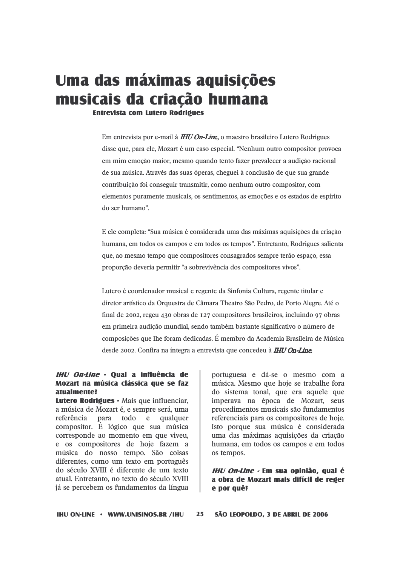# Uma das máximas aquisições musicais da criação humana

**Fntrevista com Lutero Rodrioues** 

Em entrevista por e-mail à **IHU On-Line**, o maestro brasileiro Lutero Rodrigues disse que, para ele, Mozart é um caso especial. "Nenhum outro compositor provoca em mim emoção maior, mesmo quando tento fazer prevalecer a audição racional de sua música. Através das suas óperas, cheguei à conclusão de que sua grande contribuição foi conseguir transmitir, como nenhum outro compositor, com elementos puramente musicais, os sentimentos, as emoções e os estados de espírito do ser humano"

E ele completa: "Sua música é considerada uma das máximas aquisições da criação humana, em todos os campos e em todos os tempos". Entretanto, Rodrigues salienta que, ao mesmo tempo que compositores consagrados sempre terão espaço, essa proporção deveria permitir "a sobrevivência dos compositores vivos".

Lutero é coordenador musical e regente da Sinfonia Cultura, regente titular e diretor artístico da Orquestra de Câmara Theatro São Pedro, de Porto Alegre. Até o final de 2002, regeu 430 obras de 127 compositores brasileiros, incluindo 97 obras em primeira audição mundial, sendo também bastante significativo o número de composições que lhe foram dedicadas. É membro da Academia Brasileira de Música desde 2002. Confira na íntegra a entrevista que concedeu à **IHU On-Line**.

#### IHU On-Line - Qual a influência de Mozart na música clássica que se faz atualmente?

Lutero Rodrigues - Mais que influenciar, a música de Mozart é, e sempre será, uma referência para todo e qualquer compositor. É lógico que sua música corresponde ao momento em que viveu, e os compositores de hoje fazem a música do nosso tempo. São coisas diferentes, como um texto em português do século XVIII é diferente de um texto atual. Entretanto, no texto do século XVIII já se percebem os fundamentos da língua portuguesa e dá-se o mesmo com a música. Mesmo que hoje se trabalhe fora do sistema tonal, que era aquele que imperava na época de Mozart, seus procedimentos musicais são fundamentos referenciais para os compositores de hoje. Isto porque sua música é considerada uma das máximas aquisições da criação humana, em todos os campos e em todos os tempos.

IHU On-Line - Em sua opinião, qual é a obra de Mozart mais difícil de reger e por quê?

**IHU ON-LINE • WWW.UNISINOS.BR /IHU**  $25<sub>1</sub>$ SÃO LEOPOLDO, 3 DE ABRIL DE 2006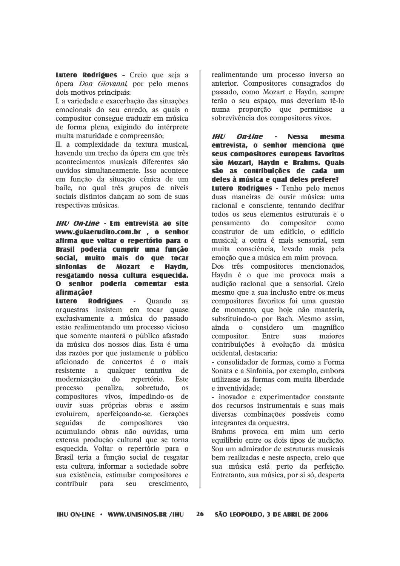Lutero Rodrigues - Creio que seja a ópera *Don Giovanni*, por pelo menos dois motivos principais:

I. a variedade e exacerbação das situações emocionais do seu enredo, as quais o compositor consegue traduzir em música de forma plena, exigindo do intérprete muita maturidade e compreensão:

II. a complexidade da textura musical. havendo um trecho da ópera em que três acontecimentos musicais diferentes são ouvidos simultaneamente. Isso acontece em função da situação cênica de um baile, no qual três grupos de níveis sociais distintos dancam ao som de suas respectivas músicas.

#### IHU On-Line - Em entrevista ao site www.guiaerudito.com.br . o senhor afirma que voltar o repertório para o Brasil poderia cumprir uma função social. muito mais do que tocar sinfonias de **Mozart**  $\mathbf{e}$ Havdn, resgatando nossa cultura esquecida.  $\mathbf{O}$ senhor poderia comentar esta afirmação?

Lutero **Rodrigues**  $\overline{a}$ **Ouando as** orquestras insistem em tocar quase exclusivamente a música do passado estão realimentando um processo vicioso que somente manterá o público afastado da música dos nossos dias. Esta é uma das razões por que justamente o público aficionado de concertos é o mais resistente a qualquer tentativa  $d\mathbf{e}$ Este modernização do repertório. penaliza. sobretudo. processo  $\alpha$ compositores vivos, impedindo-os de ouvir suas próprias obras e assim evoluírem, aperfeiçoando-se. Gerações seguidas de compositores vão acumulando obras não ouvidas, uma extensa produção cultural que se torna esquecida. Voltar o repertório para o Brasil teria a função social de resgatar esta cultura, informar a sociedade sobre sua existência, estimular compositores e contribuir para seu crescimento.

realimentando um processo inverso ao anterior. Compositores consagrados do passado, como Mozart e Haydn, sempre terão o seu espaço, mas deveriam tê-lo numa proporção que permitisse a sobrevivência dos compositores vivos.

 $III$ **On-Line Nessa** mesma entrevista, o senhor menciona que seus compositores europeus favoritos são Mozart, Haydn e Brahms. Quais são as contribuições de cada um deles à música e qual deles prefere? Lutero Rodrigues - Tenho pelo menos duas maneiras de ouvir música: uma racional e consciente, tentando decifrar todos os seus elementos estruturais e o pensamento  $d\alpha$ compositor  $com<sub>o</sub>$ construtor de um edifício, o edifício musical; a outra é mais sensorial, sem muita consciência, levado mais pela emoção que a música em mim provoca.

Dos três compositores mencionados, Haydn é o que me provoca mais a audição racional que a sensorial. Creio mesmo que a sua inclusão entre os meus compositores favoritos foi uma questão de momento, que hoje não manteria, substituindo-o por Bach. Mesmo assim. ainda o considero  $11<sub>m</sub>$ magnífico Entre compositor.  $S112S$ maiores contribuições à evolução da música ocidental, destacaria:

- consolidador de formas, como a Forma Sonata e a Sinfonia, por exemplo, embora utilizasse as formas com muita liberdade e inventividade:

- inovador e experimentador constante dos recursos instrumentais e suas mais diversas combinações possíveis como integrantes da orquestra.

Brahms provoca em mim um certo equilíbrio entre os dois tipos de audição. Sou um admirador de estruturas musicais bem realizadas e neste aspecto, creio que sua música está perto da perfeição. Entretanto, sua música, por si só, desperta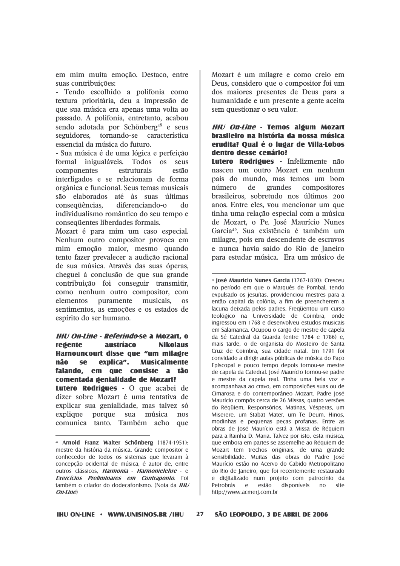em mim muita emoção. Destaco, entre suas contribuições:

- Tendo escolhido a polifonia como textura prioritária, deu a impressão de que sua música era apenas uma volta ao passado. A polifonia, entretanto, acabou sendo adotada por Schönberg<sup>48</sup> e seus seguidores, tornando-se característica essencial da música do futuro.

- Sua música é de uma lógica e perfeição formal inigualáveis. Todos os seus componentes estruturais estão interligados e se relacionam de forma orgânica e funcional. Seus temas musicais são elaborados até às suas últimas diferenciando-o consequências.  $d\Omega$ individualismo romântico do seu tempo e consequentes liberdades formais.

Mozart é para mim um caso especial. Nenhum outro compositor provoca em mim emoção maior, mesmo quando tento fazer prevalecer a audição racional de sua música. Através das suas óperas, cheguei à conclusão de que sua grande contribuição foi conseguir transmitir, como nenhum outro compositor, com elementos puramente musicais.  $\alpha$ sentimentos, as emoções e os estados de espírito do ser humano.

**IHU On-Line - Referindo-se a Mozart. o** redente austríaco **Nikolaus** Harnouncourt disse que "um milagre não se. explica". **Musicalmente** falando, em que consiste a tão comentada genialidade de Mozart? Lutero Rodrigues - O que acabei de dizer sobre Mozart é uma tentativa de explicar sua genialidade, mas talvez só explique porque sua música nos comunica tanto. Também acho que

Mozart é um milagre e como creio em Deus, considero que o compositor foi um dos maiores presentes de Deus para a humanidade e um presente a gente aceita sem questionar o seu valor.

#### **IHU On-Line - Temos algum Mozart** brasileiro na história da nossa música erudita? Qual é o lugar de Villa-Lobos dentro desse cenário?

Lutero Rodrigues - Infelizmente não nasceu um outro Mozart em nenhum país do mundo, mas temos um bom número de grandes compositores brasileiros, sobretudo nos últimos 200 anos. Entre eles, vou mencionar um que tinha uma relação especial com a música de Mozart, o Pe. José Maurício Nunes Garcia<sup>49</sup>. Sua existência é também um milagre, pois era descendente de escravos e nunca havia saído do Rio de Janeiro para estudar música. Era um músico de

<sup>&</sup>lt;sup>48</sup> Arnold Franz Walter Schönberg (1874-1951): mestre da história da música. Grande compositor e conhecedor de todos os sistemas que levaram à concepção ocidental de música, é autor de, entre outros clássicos, Harmonia - Harmonielehre - e Exercícios Preliminares em Contraponto. Foi também o criador do dodecafonismo. (Nota da IHU  $On$ -line $)$ 

<sup>&</sup>lt;sup>®</sup> losé Maurício Nunes Garcia (1767-1830): Cresceu no período em que o Marquês de Pombal, tendo expulsado os iesuítas, providenciou mestres para a então capital da colônia, a fim de preencherem a lacuna deixada pelos padres. Freqüentou um curso teológico na Universidade de Coimbra, onde ingressou em 1768 e desenvolveu estudos musicais em Salamanca. Ocupou o cargo de mestre de capela da Sé Catedral da Guarda (entre 1784 e 1786) e, mais tarde, o de organista do Mosteiro de Santa Cruz de Coimbra, sua cidade natal. Em 1791 foi convidado a dirigir aulas públicas de música do Paço Episcopal e pouco tempo depois tornou-se mestre de capela da Catedral. José Maurício tornou-se padre e mestre da capela real. Tinha uma bela voz e acompanhava ao cravo, em composições suas ou de Cimarosa e do contemporâneo Mozart. Padre José Maurício compôs cerca de 26 Missas, quatro versões do Réquiem, Responsórios, Matinas, Vésperas, um Miserere, um Stabat Mater, um Te Deum, Hinos, modinhas e pequenas peças profanas. Entre as obras de José Maurício está a Missa de Réquiem para a Rainha D. Maria. Talvez por isto, esta música, que embora em partes se assemelhe ao Réquiem de Mozart tem trechos originais, de uma grande sensibilidade. Muitas das obras do Padre José Maurício estão no Acervo do Cabido Metropolitano do Rio de Janeiro, que foi recentemente restaurado e digitalizado num projeto com patrocínio da Petrobrás e estão disponíveis no site http://www.acmerj.com.br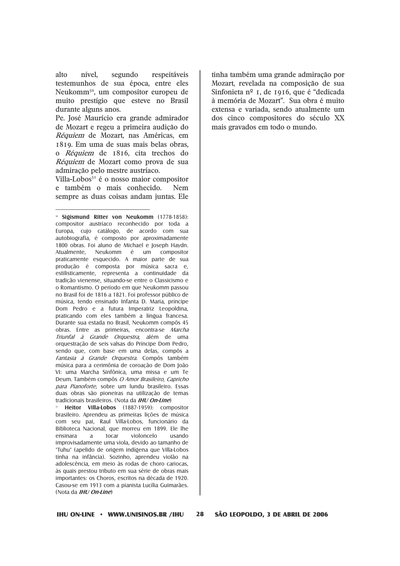nível, alto segundo respeitáveis testemunhos de sua época, entre eles Neukomm<sup>50</sup>, um compositor europeu de muito prestígio que esteve no Brasil durante alguns anos.

Pe. José Maurício era grande admirador de Mozart e regeu a primeira audição do Réquiem de Mozart, nas Américas, em 1819. Em uma de suas mais belas obras. o Réquiem de 1816, cita trechos do Réquiem de Mozart como prova de sua admiração pelo mestre austríaco.

Villa-Lobos<sup>51</sup> é o nosso maior compositor e também o mais conhecido. Nem sempre as duas coisas andam juntas. Ele

Heitor Villa-Lobos (1887-1959): compositor brasileiro. Aprendeu as primeiras lições de música com seu pai, Raul Villa-Lobos, funcionário da Biblioteca Nacional, que morreu em 1899. Ele lhe ensinara  $\overline{a}$ tocar violoncelo usando improvisadamente uma viola, devido ao tamanho de "Tuhu" (apelido de origem indígena que Villa-Lobos tinha na infância). Sozinho, aprendeu violão na adolescência, em meio às rodas de choro cariocas, às quais prestou tributo em sua série de obras mais importantes: os Choros, escritos na década de 1920. Casou-se em 1913 com a pianista Lucília Guimarães. (Nota da *IHU On-Line*)

tinha também uma grande admiração por Mozart, revelada na composição de sua Sinfonieta nº 1, de 1916, que é "dedicada" à memória de Mozart". Sua obra é muito extensa e variada, sendo atualmente um dos cinco compositores do século XX mais gravados em todo o mundo.

28

SÃO LEOPOLDO, 3 DE ABRIL DE 2006

<sup>&</sup>lt;sup>30</sup> Sigismund Ritter von Neukomm (1778-1858): compositor austríaco reconhecido por toda a Europa, cujo catálogo, de acordo com sua autobiografia, é composto por aproximadamente 1800 obras. Foi aluno de Michael e Joseph Havdn. Atualmente, Neukomm é um compositor praticamente esquecido. A maior parte de sua produção é composta por música sacra e. estilisticamente, representa a continuidade da tradição vienense, situando-se entre o Classicismo e o Romantismo. O período em que Neukomm passou no Brasil foi de 1816 a 1821. Foi professor público de música, tendo ensinado Infanta D. Maria, príncipe Dom Pedro e a futura Imperatriz Leopoldina, praticando com eles também a língua francesa. Durante sua estada no Brasil, Neukomm compôs 45 obras. Entre as primeiras, encontra-se Marcha Triunfal à Grande Orquestra, além de uma orquestração de seis valsas do Príncipe Dom Pedro. sendo que, com base em uma delas, compôs a Fantasia à Grande Orguestra. Compôs também música para a cerimônia de coroação de Dom Ioão VI: uma Marcha Sinfônica, uma missa e um Te Deum. Também compôs O Amor Brasileiro, Capricho para Pianoforte, sobre um lundu brasileiro. Essas duas obras são pioneiras na utilização de temas tradicionais brasileiros. (Nota da IHU On-Line)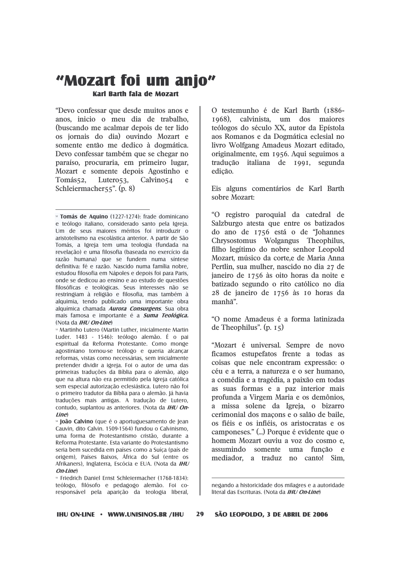### "Mozart foi um anjo" Karl Barth fala de Mozart

"Devo confessar que desde muitos anos e anos, inicio o meu dia de trabalho, (buscando me acalmar depois de ter lido os jornais do dia) ouvindo Mozart e somente então me dedico à dogmática. Devo confessar também que se chegar no paraíso, procuraria, em primeiro lugar, Mozart e somente depois Agostinho e Calvino<sub>54</sub> Tomás52, Lutero $53$ , e Schleiermacher $55$ ". (p. 8)

<sup>53</sup> Martinho Lutero (Martin Luther, inicialmente Martin Luder. 1483 - 1546): teólogo alemão. É o pai espiritual da Reforma Protestante. Como monde agostiniano tornou-se teólogo e queria alcancar reformas, vistas como necessárias, sem inicialmente pretender dividir a igreia. Foi o autor de uma das primeiras traduções da Bíblia para o alemão, algo que na altura não era permitido pela Igreja católica sem especial autorização eclesiástica. Lutero não foi o primeiro tradutor da Bíblia para o alemão. Iá havia traduções mais antigas. A tradução de Lutero. contudo, suplantou as anteriores. (Nota da IHU On-Line)

<sup>54</sup> João Calvino (que é o aportuguesamento de Jean Cauvin, dito Calvin. 1509-1564) fundou o Calvinismo, uma forma de Protestantismo cristão, durante a Reforma Protestante. Esta variante do Protestantismo seria bem sucedida em países como a Suíça (país de origem), Países Baixos, África do Sul (entre os Afrikaners), Inglaterra, Escócia e EUA. (Nota da IHU On-Line)

<sup>55</sup> Friedrich Daniel Ernst Schleiermacher (1768-1834): teólogo, filósofo e pedagogo alemão. Foi coresponsável pela aparição da teologia liberal,

O testemunho é de Karl Barth (1886-1968), calvinista, um dos maiores teólogos do século XX, autor da Epístola aos Romanos e da Dogmática eclesial no livro Wolfgang Amadeus Mozart editado. originalmente, em 1956. Aqui seguimos a tradução italiana de 1991, segunda edição.

Eis alguns comentários de Karl Barth sobre Mozart:

"O registro paroquial da catedral de Salzburgo atesta que entre os batizados do ano de 1756 está o de "Iohannes Chrysostomus Wolgangus Theophilus. filho legítimo do nobre senhor Leopold Mozart, músico da corte,e de Maria Anna Pertlin, sua mulher, nascido no dia 27 de janeiro de 1756 às oito horas da noite e batizado segundo o rito católico no dia 28 de janeiro de 1756 às 10 horas da manhã".

"O nome Amadeus é a forma latinizada de Theophilus".  $(p, 15)$ 

"Mozart é universal. Sempre de novo ficamos estupefatos frente a todas as coisas que nele encontram expressão: o céu e a terra, a natureza e o ser humano, a comédia e a tragédia, a paixão em todas as suas formas e a paz interior mais profunda a Virgem Maria e os demônios, a missa solene da Igreja, o bizarro cerimonial dos macons e o salão de baile. os fiéis e os infiéis, os aristocratas e os camponeses." (...) Porque é evidente que o homem Mozart ouviu a voz do cosmo e, assumindo somente uma função e mediador, a traduz no canto! Sim,

 $29$ 

<sup>&</sup>lt;sup>32</sup> Tomás de Aquino (1227-1274): frade dominicano e teólogo italiano, considerado santo pela Igreja. Um de seus maiores méritos foi introduzir o aristotelismo na escolástica anterior. A partir de São Tomás, a Igreja tem uma teologia (fundada na revelação) e uma filosofia (baseada no exercício da razão humana) que se fundem numa síntese definitiva: fé e razão. Nascido numa família nobre. estudou filosofia em Nápoles e depois foi para Paris, onde se dedicou ao ensino e ao estudo de questões filosóficas e teológicas. Seus interesses não se restringiam à religião e filosofia, mas também à alquimia, tendo publicado uma importante obra alquímica chamada Aurora Consurgens. Sua obra mais famosa e importante é a **Suma Teológica.** (Nota da *IHU On-Line*)

negando a historicidade dos milagres e a autoridade literal das Escrituras. (Nota da IHU On-Line)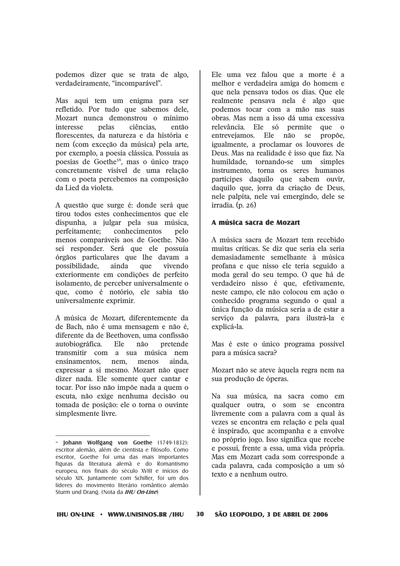podemos dizer que se trata de algo, verdadeiramente, "incomparável".

Mas aqui tem um enigma para ser refletido. Por tudo que sabemos dele. Mozart nunca demonstrou o mínimo pelas interesse ciências. então florescentes, da natureza e da história e nem (com exceção da música) pela arte. por exemplo, a poesia clássica. Possuía as poesias de Goethe<sup>56</sup>, mas o único traço concretamente visível de uma relação com o poeta percebemos na composição da Lied da violeta.

A questão que surge é: donde será que tirou todos estes conhecimentos que ele dispunha, a julgar pela sua música. perfeitamente; conhecimentos pelo menos comparáveis aos de Goethe. Não sei responder. Será que ele possuía órgãos particulares que lhe davam a possibilidade. ainda que vivendo exteriormente em condições de perfeito isolamento, de perceber universalmente o que, como é notório, ele sabia tão universalmente exprimir.

A música de Mozart, diferentemente da de Bach, não é uma mensagem e não é, diferente da de Beethoven, uma confissão autobiográfica. Ele não pretende transmitir com a sua música nem ensinamentos, nem, menos ainda. expressar a si mesmo. Mozart não quer dizer nada. Ele somente quer cantar e tocar. Por isso não impõe nada a quem o escuta, não exige nenhuma decisão ou tomada de posição: ele o torna o ouvinte simplesmente livre.

Ele uma vez falou que a morte é a melhor e verdadeira amiga do homem e que nela pensava todos os dias. Que ele realmente pensava nela é algo que podemos tocar com a mão nas suas obras. Mas nem a isso dá uma excessiva relevância. Ele só permite que o entrevejamos. Ele não se propõe, igualmente, a proclamar os louvores de Deus. Mas na realidade é isso que faz. Na humildade, tornando-se um simples instrumento, torna os seres humanos partícipes daquilo que sabem ouvir, daquilo que, jorra da criação de Deus, nele palpita, nele vai emergindo, dele se irradia.  $(p. 26)$ 

#### A música sacra de Mozart

A música sacra de Mozart tem recebido muitas críticas. Se diz que seria ela seria demasiadamente semelhante à música profana e que nisso ele teria seguido a moda geral do seu tempo. O que há de verdadeiro nisso é que, efetivamente, neste campo, ele não colocou em ação o conhecido programa segundo o qual a única função da música seria a de estar a servico da palavra, para ilustrá-la e explicá-la.

Mas é este o único programa possível para a música sacra?

Mozart não se ateve àquela regra nem na sua produção de óperas.

Na sua música, na sacra como em qualquer outra, o som se encontra livremente com a palavra com a qual às vezes se encontra em relação e pela qual é inspirado, que acompanha e a envolve no próprio jogo. Isso significa que recebe e possui, frente a essa, uma vida própria. Mas em Mozart cada som corresponde a cada palavra, cada composição a um só texto e a nenhum outro.

<sup>&</sup>lt;sup>56</sup> Johann Wolfgang von Goethe (1749-1832): escritor alemão, além de cientista e filósofo. Como escritor, Goethe foi uma das mais importantes figuras da literatura alemã e do Romantismo europeu, nos finais do século XVIII e inícios do século XIX. Juntamente com Schiller, foi um dos líderes do movimento literário romântico alemão Sturm und Drang. (Nota da IHU On-Line)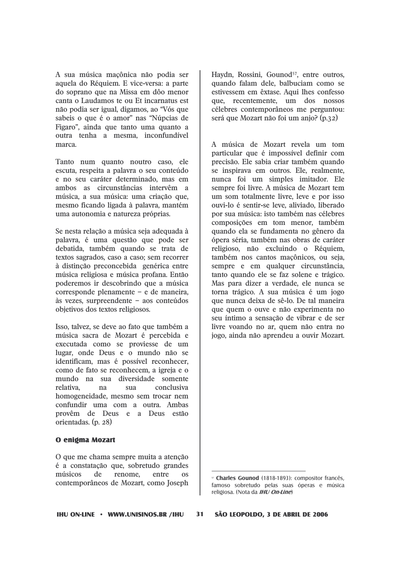A sua música maçônica não podia ser aquela do Réquiem. E vice-versa: a parte do soprano que na Missa em dôo menor canta o Laudamos te ou Et incarnatus est não podia ser igual, digamos, ao "Vós que sabeis o que é o amor" nas "Núpcias de Figaro", ainda que tanto uma quanto a outra tenha a mesma, inconfundível marca.

Tanto num quanto noutro caso, ele escuta, respeita a palavra o seu conteúdo e no seu caráter determinado, mas em ambos as circunstâncias intervêm a música, a sua música: uma criação que, mesmo ficando ligada à palavra, mantém uma autonomia e natureza próprias.

Se nesta relação a música seja adequada à palavra, é uma questão que pode ser debatida, também quando se trata de textos sagrados, caso a caso; sem recorrer à distinção preconcebida genérica entre música religiosa e música profana. Então poderemos ir descobrindo que a música corresponde plenamente  $-$  e de maneira. às vezes, surpreendente - aos conteúdos objetivos dos textos religiosos.

Isso, talvez, se deve ao fato que também a música sacra de Mozart é percebida e executada como se proviesse de um lugar, onde Deus e o mundo não se identificam, mas é possível reconhecer, como de fato se reconhecem, a igreja e o mundo na sua diversidade somente relativa.  $na$  $S112$ conclusiva homogeneidade, mesmo sem trocar nem confundir uma com a outra. Ambas provêm de Deus e a Deus estão orientadas. (p. 28)

#### O enigma Mozart

O que me chama sempre muita a atenção é a constatação que, sobretudo grandes músicos de renome, entre  $\Omega$ contemporâneos de Mozart, como Joseph Havdn. Rossini. Gounod<sup>57</sup>, entre outros. quando falam dele, balbuciam como se estivessem em êxtase. Aqui lhes confesso que, recentemente, um dos nossos célebres contemporâneos me perguntou: será que Mozart não foi um anjo? (p.32)

A música de Mozart revela um tom particular que é impossível definir com precisão. Ele sabia criar também quando se inspirava em outros. Ele, realmente, nunca foi um simples imitador. Ele sempre foi livre. A música de Mozart tem um som totalmente livre, leve e por isso ouvi-lo é sentir-se leve, aliviado, liberado por sua música: isto também nas célebres composições em tom menor, também quando ela se fundamenta no gênero da ópera séria, também nas obras de caráter religioso, não excluindo o Réquiem, também nos cantos macônicos, ou seja. sempre e em qualquer circunstância, tanto quando ele se faz solene e trágico. Mas para dizer a verdade, ele nunca se torna trágico. A sua música é um jogo que nunca deixa de sê-lo. De tal maneira que quem o ouve e não experimenta no seu íntimo a sensação de vibrar e de ser livre voando no ar, quem não entra no jogo, ainda não aprendeu a ouvir Mozart.

<sup>&</sup>lt;sup>37</sup> Charles Gounod (1818-1893): compositor francês, famoso sobretudo pelas suas óperas e música religiosa. (Nota da IHU On-Line)

 $31$ SÃO LEOPOLDO, 3 DE ABRIL DE 2006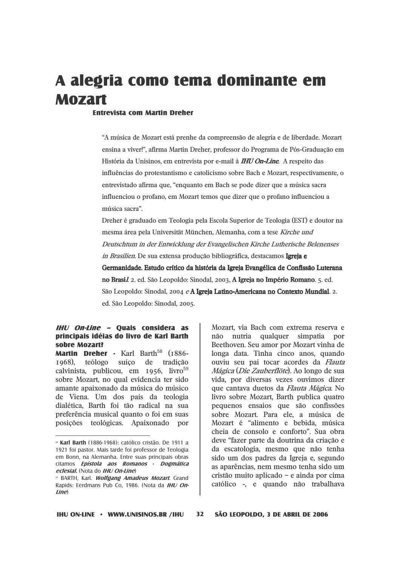# A alegria como tema dominante em **Mozart**

#### **Fntrevista com Martin Dreher**

"A música de Mozart está prenhe da compreensão de alegria e de liberdade. Mozart ensina a viver!", afirma Martin Dreher, professor do Programa de Pós-Graduação em História da Unisinos, em entrevista por e-mail à **IHU On-Line**. A respeito das influências do protestantismo e catolicismo sobre Bach e Mozart, respectivamente, o entrevistado afirma que, "enquanto em Bach se pode dizer que a música sacra influenciou o profano, em Mozart temos que dizer que o profano influenciou a música sacra".

Dreher é graduado em Teologia pela Escola Superior de Teologia (EST) e doutor na mesma área pela Universität München, Alemanha, com a tese Kirche und Deutschtum in der Entwicklung der Evangelischen Kirche Lutherische Belenenses *in Brasilien*. De sua extensa produção bibliográfica, destacamos Igreja e Germanidade. Estudo crítico da história da Igreja Evangélica de Confissão Luterana no Brasil 2. ed. São Leopoldo: Sinodal, 2003, A Igreja no Império Romano. 5. ed. São Leopoldo: Sinodal, 2004 e A Igreja Latino-Americana no Contexto Mundial. 2. ed. São Leopoldo: Sinodal, 2005.

#### IHU On-Line - Quais considera as principais idéias do livro de Karl Barth sobre Mozart?

Martin Dreher - Karl Barth<sup>58</sup> (1886-1968), teólogo suíço de tradição calvinista, publicou, em 1956, livro<sup>59</sup> sobre Mozart, no qual evidencia ter sido amante apaixonado da música do músico de Viena. Um dos pais da teologia dialética, Barth foi tão radical na sua preferência musical quanto o foi em suas posições teológicas. Apaixonado por Mozart, via Bach com extrema reserva e nutria qualquer simpatia não por Beethoven. Seu amor por Mozart vinha de longa data. Tinha cinco anos, quando ouviu seu pai tocar acordes da Flauta Mágica (Die Zauberflöte). Ao longo de sua vida, por diversas vezes ouvimos dizer que cantava duetos da *Flauta Mágica*. No livro sobre Mozart, Barth publica quatro pequenos ensaios que são confissões sobre Mozart. Para ele, a música de Mozart é "alimento e bebida. música cheia de consolo e conforto". Sua obra deve "fazer parte da doutrina da criação e da escatologia, mesmo que não tenha sido um dos padres da Igreja e, segundo as aparências, nem mesmo tenha sido um cristão muito aplicado - e ainda por cima católico -, e quando não trabalhava

<sup>&</sup>lt;sup>38</sup> Karl Barth (1886-1968): católico cristão. De 1911 a 1921 foi pastor. Mais tarde foi professor de Teologia em Bonn, na Alemanha. Entre suas principais obras citamos Epístola aos Romanos - Dogmática eclesial. (Nota do IHU On-Line)

<sup>&</sup>lt;sup>59</sup> BARTH, Karl. *Wolfgang Amadeus Mozart*. Grand Rapids: Eerdmans Pub Co, 1986. (Nota da IHU On $line$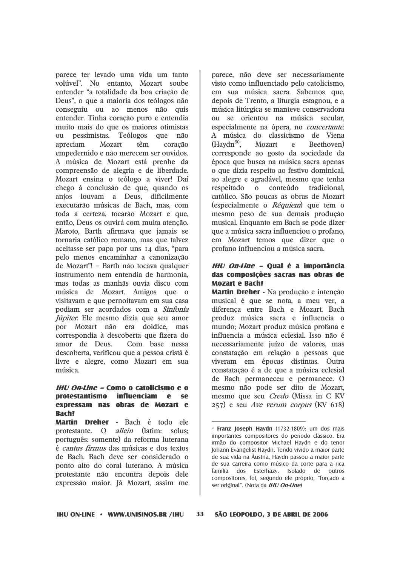parece ter levado uma vida um tanto volúvel". No entanto, Mozart soube entender "a totalidade da boa criação de Deus", o que a maioria dos teólogos não conseguiu ou ao menos não quis entender. Tinha coração puro e entendia muito mais do que os maiores otimistas ou pessimistas. Teólogos que não apreciam Mozart têm coração empedernido e não merecem ser ouvidos. A música de Mozart está prenhe da compreensão de alegria e de liberdade. Mozart ensina o teólogo a viver! Daí chego à conclusão de que, quando os anjos louvam a Deus, dificilmente executarão músicas de Bach, mas, com toda a certeza, tocarão Mozart e que, então. Deus os ouvirá com muita atenção. Maroto, Barth afirmava que jamais se tornaria católico romano, mas que talvez aceitasse ser papa por uns 14 dias, "para pelo menos encaminhar a canonização de Mozart"! - Barth não tocava qualquer instrumento nem entendia de harmonia, mas todas as manhãs ouvia disco com música de Mozart. Amigos que o visitavam e que pernoitavam em sua casa podiam ser acordados com a Sinfonia Júpiter. Ele mesmo dizia que seu amor por Mozart não era doidice, mas correspondia à descoberta que fizera do amor de Deus. Com base nessa descoberta, verificou que a pessoa cristã é livre e alegre, como Mozart em sua música.

#### IHI/ On-line - Como o catolicismo e o protestantismo influenciam e se expressam nas obras de Mozart e **Bach?**

Martin Dreher - Bach é todo ele protestante. O *allein* (latim: solus: português: somente) da reforma luterana é *cantus firmus* das músicas e dos textos de Bach. Bach deve ser considerado o ponto alto do coral luterano. A música protestante não encontra depois dele expressão maior. Já Mozart, assim me parece, não deve ser necessariamente visto como influenciado pelo catolicismo, em sua música sacra. Sabemos que, depois de Trento, a liturgia estagnou, e a música litúrgica se manteve conservadora ou se orientou na música secular, especialmente na ópera, no *concertante*. A música do classicismo de Viena  $(Havdn<sup>60</sup>)$ . Mozart  $\mathbf{e}$ Beethoven) corresponde ao gosto da sociedade da época que busca na música sacra apenas o que dizia respeito ao festivo dominical, ao alegre e agradável, mesmo que tenha conteúdo respeitado  $\mathbf{0}$ tradicional. católico. São poucas as obras de Mozart (especialmente o Réquiem) que tem o mesmo peso de sua demais produção musical. Enquanto em Bach se pode dizer que a música sacra influenciou o profano, em Mozart temos que dizer que o profano influenciou a música sacra.

#### IHU On-Line - Qual é a importância das composições sacras nas obras de **Mozart e Bach?**

Martin Dreher - Na produção e intenção musical é que se nota, a meu ver, a diferença entre Bach e Mozart. Bach produz música sacra e influencia o mundo; Mozart produz música profana e influencia a música eclesial. Isso não é necessariamente juízo de valores, mas constatação em relação a pessoas que viveram em épocas distintas. Outra constatação é a de que a música eclesial de Bach permaneceu e permanece. O mesmo não pode ser dito de Mozart, mesmo que seu *Credo* (Missa in C KV  $(257)$  e seu Ave verum corpus (KV 618)

<sup>&</sup>lt;sup>®</sup> Franz Joseph Haydn (1732-1809): um dos mais importantes compositores do período clássico. Era irmão do compositor Michael Haydn e do tenor Johann Evangelist Haydn. Tendo vivido a maior parte de sua vida na Áustria, Haydn passou a maior parte de sua carreira como músico da corte para a rica família dos Esterházy. Isolado de outros compositores, foi, segundo ele próprio, "forçado a ser original". (Nota da IHU On-Line)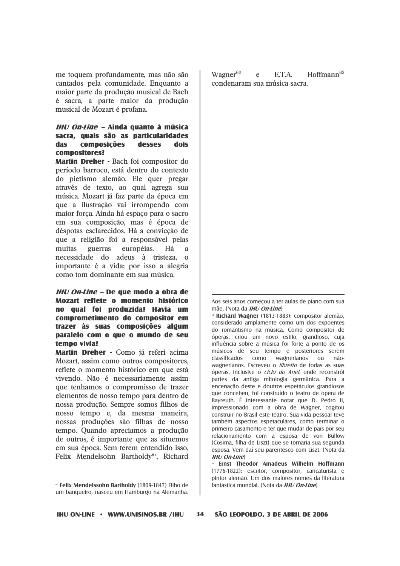me toquem profundamente, mas não são cantados pela comunidade. Enquanto a maior parte da produção musical de Bach é sacra, a parte maior da produção musical de Mozart é profana.

#### IHU On-Line - Ainda quanto à música sacra, quais são as particularidades **composições das** desses dois compositores?

**Martin Dreher** · Bach foi compositor do período barroco, está dentro do contexto do pietismo alemão. Ele quer pregar através de texto, ao qual agrega sua música. Mozart já faz parte da época em que a ilustração vai irrompendo com maior força. Ainda há espaço para o sacro em sua composição, mas é época de déspotas esclarecidos. Há a convicção de que a religião foi a responsável pelas guerras européias. muitas Há  $\mathbf{a}$ necessidade do adeus à tristeza, o importante é a vida: por isso a alegria como tom dominante em sua música.

IHU On-Line - De que modo a obra de Mozart reflete o momento histórico no qual foi produzida? Havia um comprometimento do compositor em trazer às suas composicões algum paralelo com o que o mundo de seu temno vivia?

Martin Dreher - Como já referi acima Mozart, assim como outros compositores, reflete o momento histórico em que está vivendo. Não é necessariamente assim que tenhamos o compromisso de trazer elementos de nosso tempo para dentro de nossa produção. Sempre somos filhos de nosso tempo e, da mesma maneira, nossas produções são filhas de nosso tempo. Quando apreciamos a produção de outros, é importante que as situemos em sua época. Sem terem entendido isso, Felix Mendelsohn Bartholdy<sup>61</sup>, Richard

Wagner<sup>62</sup> ETA  $H$ offmann $63$  $\mathbf{A}$ condenaram sua música sacra.

<sup>62</sup> Richard Waoner (1813-1883): compositor alemão. considerado amplamente como um dos expoentes do romantismo na música. Como compositor de óperas, criou um novo estilo, grandioso, cuja influência sobre a música foi forte a ponto de os músicos de seu tempo e posteriores serem classificados como wagnerianos ou nãowagnerianos. Escreveu o *libretto* de todas as suas óperas, inclusive o *ciclo do Anel*, onde reconstrói partes da antiga mitologia germânica. Para a encenação deste e doutros espetáculos grandiosos que concebeu, foi construído o teatro de ópera de Bayreuth. É interessante notar que D. Pedro II, impressionado com a obra de Wagner, cogitou construir no Brasil este teatro. Sua vida pessoal teve também aspectos espetaculares, como terminar o primeiro casamento e ter que mudar de país por seu relacionamento com a esposa de von Büllow (Cosima, filha de Liszt) que se tornaria sua segunda esposa. Vem daí seu parentesco com Liszt. (Nota da **IHU On-Line** 

SÃO LEOPOLDO, 3 DE ABRIL DE 2006

 $34$ 

<sup>&</sup>lt;sup>®</sup> Felix Mendelssohn Bartholdy (1809-1847) Filho de um banqueiro, nasceu em Hamburgo na Alemanha.

Aos seis anos comecou a ter aulas de piano com sua  $m\tilde{a}e$  (Nota da *IHI)* On-Line)

Ernst Theodor Amadeus Wilhelm Hoffmann (1776-1822): escritor, compositor, caricaturista e pintor alemão. Um dos maiores nomes da literatura fantástica mundial. (Nota da IHU On-Line)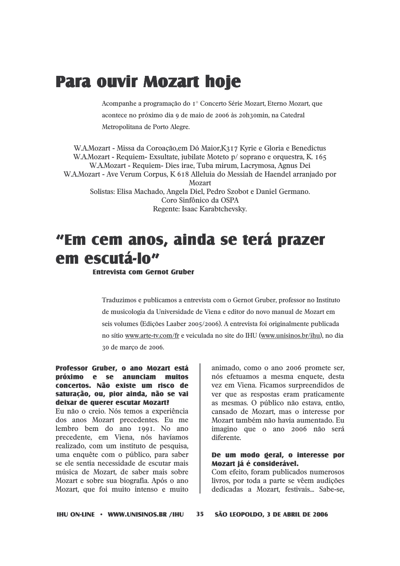## **Para ouvir Mozart hoje**

Acompanhe a programação do 1° Concerto Série Mozart, Eterno Mozart, que acontece no próximo dia 9 de maio de 2006 às 20h30min, na Catedral Metropolitana de Porto Alegre.

W.A.Mozart - Missa da Coroação, em Dó Maior, K317 Kyrie e Gloria e Benedictus W.A.Mozart - Requiem- Exsultate, jubilate Moteto p/ soprano e orquestra, K. 165 W.A.Mozart - Requiem- Dies irae, Tuba mirum, Lacrymosa, Agnus Dei W.A.Mozart - Ave Verum Corpus, K 618 Alleluia do Messiah de Haendel arranjado por Mozart Solistas: Elisa Machado, Angela Diel, Pedro Szobot e Daniel Germano. Coro Sinfônico da OSPA Regente: Isaac Karabtchevsky.

# "Em cem anos, ainda se terá prazer em escutá-lo"

#### **Entrevista com Gernot Gruber**

Traduzimos e publicamos a entrevista com o Gernot Gruber, professor no Instituto de musicologia da Universidade de Viena e editor do novo manual de Mozart em seis volumes (Edicões Laaber 2005/2006). A entrevista foi originalmente publicada no sítio www.arte-tv.com/fr e veiculada no site do IHU (www.unisinos.br/ihu), no dia 30 de marco de 2006.

#### Professor Gruber, o ano Mozart está próximo e se anunciam muitos concertos. Não existe um risco de saturação, ou, pior ainda, não se vai deixar de querer escutar Mozart?

Eu não o creio. Nós temos a experiência dos anos Mozart precedentes. Eu me lembro bem do ano 1991. No ano precedente, em Viena, nós havíamos realizado, com um instituto de pesquisa, uma enquête com o público, para saber se ele sentia necessidade de escutar mais música de Mozart, de saber mais sobre Mozart e sobre sua biografia. Após o ano Mozart, que foi muito intenso e muito

animado, como o ano 2006 promete ser, nós efetuamos a mesma enquete, desta vez em Viena. Ficamos surpreendidos de ver que as respostas eram praticamente as mesmas. O público não estava, então, cansado de Mozart, mas o interesse por Mozart também não havia aumentado. Eu imagino que o ano 2006 não será diferente.

#### De um modo geral, o interesse por Mozart já é considerável.

Com efeito, foram publicados numerosos livros, por toda a parte se vêem audições dedicadas a Mozart, festivais... Sabe-se,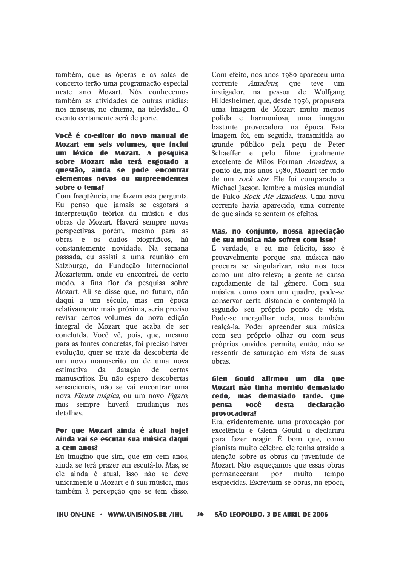também, que as óperas e as salas de concerto terão uma programação especial neste ano Mozart. Nós conhecemos também as atividades de outras mídias: nos museus, no cinema, na televisão... O evento certamente será de porte.

### Você é co-editor do novo manual de Mozart em seis volumes, que inclui um léxico de Mozart. A pesquisa sobre Mozart não terá esgotado a questão, ainda se pode encontrar elementos novos ou surpreendentes sobre o tema?

Com frequência, me fazem esta pergunta. Eu penso que jamais se esgotará a interpretação teórica da música e das obras de Mozart. Haverá sempre novas perspectivas, porém, mesmo para as obras e os dados biográficos, há constantemente novidade. Na semana passada, eu assisti a uma reunião em Salzburgo, da Fundação Internacional Mozarteum, onde eu encontrei, de certo modo, a fina flor da pesquisa sobre Mozart. Ali se disse que, no futuro, não daqui a um século, mas em época relativamente mais próxima, seria preciso revisar certos volumes da nova edição integral de Mozart que acaba de ser concluída. Você vê, pois, que, mesmo para as fontes concretas, foi preciso haver evolução, quer se trate da descoberta de um novo manuscrito ou de uma nova estimativa da datacão de certos manuscritos. Eu não espero descobertas sensacionais, não se vai encontrar uma nova Flauta mágica, ou um novo Fígaro, mas sempre haverá mudanças nos detalhes.

### Por que Mozart ainda é atual hoie? Ainda vai se escutar sua música dagui a cem anos?

Eu imagino que sim, que em cem anos, ainda se terá prazer em escutá-lo. Mas, se ele ainda é atual, isso não se deve unicamente a Mozart e à sua música, mas também à percepção que se tem disso.

Com efeito, nos anos 1980 apareceu uma corrente Amadeus, que teve  $um$ instigador, na pessoa de Wolfgang Hildesheimer, que, desde 1956, propusera uma imagem de Mozart muito menos polida e harmoniosa, uma imagem bastante provocadora na época. Esta imagem foi, em seguida, transmitida ao grande público pela peca de Peter Schaeffer e pelo filme igualmente excelente de Milos Forman Amadeus, a ponto de, nos anos 1980, Mozart ter tudo de um *rock star*. Ele foi comparado a Michael Jacson, lembre a música mundial de Falco Rock Me Amadeus. Uma nova corrente havia aparecido, uma corrente de que ainda se sentem os efeitos.

#### Mas, no conjunto, nossa apreciação de sua música não sofreu com isso?

É verdade, e eu me felicito, isso é provavelmente porque sua música não procura se singularizar, não nos toca como um alto-relevo; a gente se cansa rapidamente de tal gênero. Com sua música, como com um quadro, pode-se conservar certa distância e contemplá-la segundo seu próprio ponto de vista. Pode-se mergulhar nela, mas também realcá-la. Poder apreender sua música com seu próprio olhar ou com seus próprios ouvidos permite, então, não se ressentir de saturação em vista de suas obras.

#### Glen Gould afirmou um dia que Mozart não tinha morrido demasiado cedo. mas demasiado tarde. Que desta **pensa** você declaração provocadora?

Era, evidentemente, uma provocação por excelência e Glenn Gould a declarara para fazer reagir. É bom que, como pianista muito célebre, ele tenha atraído a atenção sobre as obras da iuventude de Mozart. Não esquecamos que essas obras permaneceram por muito tempo esquecidas. Escreviam-se obras, na época.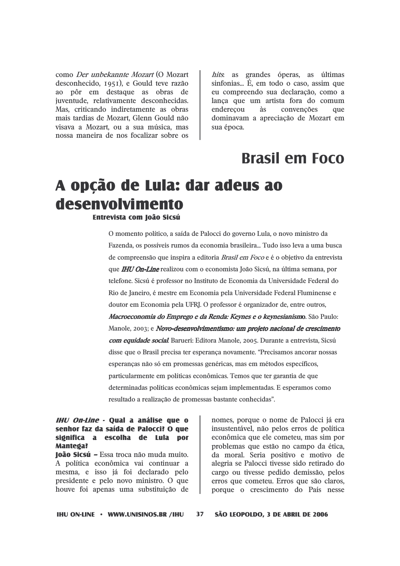como Der unbekannte Mozart (O Mozart desconhecido, 1951), e Gould teve razão ao pôr em destaque as obras de juventude, relativamente desconhecidas. Mas, criticando indiretamente as obras mais tardias de Mozart, Glenn Gould não visava a Mozart, ou a sua música, mas nossa maneira de nos focalizar sobre os

hits. as grandes óperas, as últimas sinfonias... É, em todo o caso, assim que eu compreendo sua declaração, como a lanca que um artista fora do comum convenções enderecou às  $q$ 11 $e$ dominavam a apreciação de Mozart em sua época.

### **Brasil em Foco**

## A opção de Lula: dar adeus ao desenvolvimento

Entrevista com Ioão Sicsú

O momento político, a saída de Palocci do governo Lula, o novo ministro da Fazenda, os possíveis rumos da economia brasileira... Tudo isso leva a uma busca de compreensão que inspira a editoria Brasil em Foco e é o objetivo da entrevista que **IHU On-Line** realizou com o economista João Sicsú, na última semana, por telefone. Sicsú é professor no Instituto de Economia da Universidade Federal do Rio de Janeiro, é mestre em Economia pela Universidade Federal Fluminense e doutor em Economia pela UFRJ. O professor é organizador de, entre outros, *Macroeconomia do Emprego e da Renda: Keynes e o keynesianism*o. São Paulo: Manole, 2003; e Novo-desenvolvimentismo: um projeto nacional de crescimento com equidade social Barueri: Editora Manole, 2005. Durante a entrevista, Sicsú disse que o Brasil precisa ter esperanca novamente. "Precisamos ancorar nossas esperanças não só em promessas genéricas, mas em métodos específicos, particularmente em políticas econômicas. Temos que ter garantia de que determinadas políticas econômicas sejam implementadas. E esperamos como resultado a realização de promessas bastante conhecidas".

#### *IHU On-Line* - Qual a análise que o senhor faz da saída de Palocci? O que significa a escolha de Lula por **Mantega?**

loão Sicsú - Essa troca não muda muito. A política econômica vai continuar a mesma, e isso já foi declarado pelo presidente e pelo novo ministro. O que houve foi apenas uma substituição de nomes, porque o nome de Palocci já era insustentável, não pelos erros de política econômica que ele cometeu, mas sim por problemas que estão no campo da ética, da moral. Seria positivo e motivo de alegria se Palocci tivesse sido retirado do cargo ou tivesse pedido demissão, pelos erros que cometeu. Erros que são claros, porque o crescimento do País nesse

**IHU ON-LINE · WWW.UNISINOS.BR /IHU** 

 $37$ 

SÃO LEOPOLDO, 3 DE ABRIL DE 2006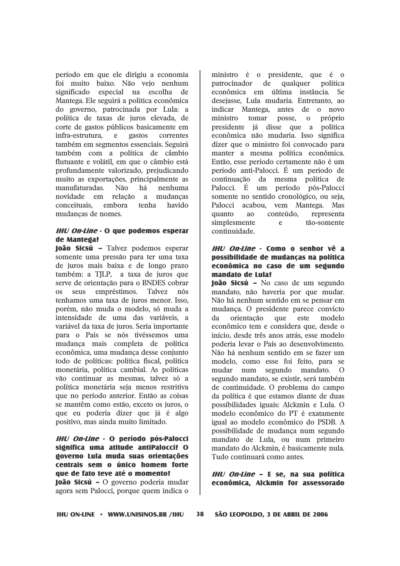período em que ele dirigiu a economia foi muito baixo. Não vejo nenhum significado especial na escolha de Mantega. Ele seguirá a política econômica do governo, patrocinada por Lula: a política de taxas de juros elevada, de corte de gastos públicos basicamente em infra-estrutura,  $\mathbf{e}$ gastos correntes também em segmentos essenciais. Seguirá também com a política de câmbio flutuante e volátil, em que o câmbio está profundamente valorizado, prejudicando muito as exportações, principalmente as manufaturadas. Não há nenhuma novidade em relação a mudancas conceituais. embora tenha havido mudanças de nomes.

### **IHU On-Line - O que podemos esperar** de Mantega?

loão Sicsú - Talvez podemos esperar somente uma pressão para ter uma taxa de juros mais baixa e de longo prazo também: a TJLP, a taxa de juros que serve de orientação para o BNDES cobrar empréstimos. **Talvez**  $\overline{OS}$ seus  $n$ ós tenhamos uma taxa de juros menor. Isso, porém, não muda o modelo, só muda a intensidade de uma das variáveis, a variável da taxa de juros. Seria importante para o País se nós tivéssemos uma mudança mais completa de política econômica, uma mudança desse conjunto todo de políticas: política fiscal, política monetária, política cambial. As políticas vão continuar as mesmas, talvez só a política monetária seja menos restritiva que no período anterior. Então as coisas se mantêm como estão, exceto os juros, o que eu poderia dizer que já é algo positivo, mas ainda muito limitado.

### IHU On-Line - O período pós-Palocci significa uma atitude antiPalocci? O governo Lula muda suas orientações centrais sem o único homem forte que de fato teve até o momento?

**loão Sicsú** - O governo poderia mudar agora sem Palocci, porque quem indica o ministro é o presidente, que é o patrocinador de qualquer política econômica em última instância. Se desejasse. Lula mudaria. Entretanto, ao indicar Mantega, antes de o novo ministro tomar posse,  $\mathbf{O}$ próprio presidente já disse que a política econômica não mudaria. Isso significa dizer que o ministro foi convocado para manter a mesma política econômica. Então, esse período certamente não é um período anti-Palocci. É um período de continuação da mesma política de Palocci. É um período pós-Palocci somente no sentido cronológico, ou seja. Palocci acabou, vem Mantega, Mas quanto  $30<sup>°</sup>$ conteúdo. representa simplesmente e tão-somente continuidade.

### IHU On-Line - Como o senhor vê a possibilidade de mudanças na política econômica no caso de um segundo mandato de Lula?

João Sicsú - No caso de um segundo mandato, não haveria por que mudar. Não há nenhum sentido em se pensar em mudanca. O presidente parece convicto da orientação modelo que este econômico tem e considera que, desde o início, desde três anos atrás, esse modelo poderia levar o País ao desenvolvimento. Não há nenhum sentido em se fazer um modelo, como esse foi feito, para se mudar num segundo mandato.  $\Omega$ segundo mandato, se existir, será também de continuidade. O problema do campo da política é que estamos diante de duas possibilidades iguais: Alckmin e Lula. O modelo econômico do PT é exatamente igual ao modelo econômico do PSDB. A possibilidade de mudança num segundo mandato de Lula, ou num primeiro mandato do Alckmin, é basicamente nula. Tudo continuará como antes.

IHU On-Line - E se, na sua política econômica. Alckmin for assessorado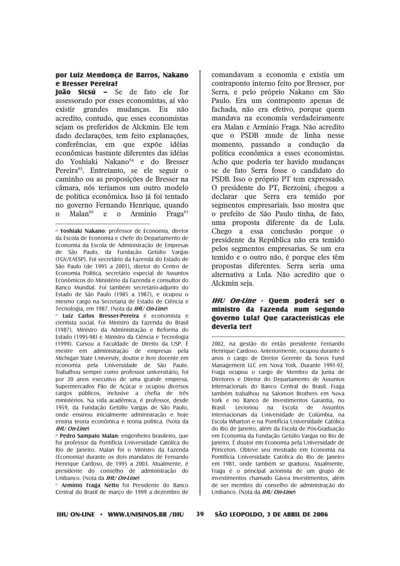#### por Luiz Mendonça de Barros, Nakano e Bresser Pereira?

loão Sicsú - Se de fato ele for assessorado por esses economistas, aí vão existir grandes mudancas. Eu não acredito, contudo, que esses economistas sejam os preferidos de Alckmin. Ele tem dado declarações, tem feito explanações, conferências, em que expõe idéias econômicas bastante diferentes das idéias do Yoshiaki Nakano<sup>64</sup> e do Bresser Pereira<sup>65</sup>. Entretanto, se ele seguir o caminho ou as proposições de Bresser na câmara, nós teríamos um outro modelo de política econômica. Isso já foi tentado no governo Fernando Henrique, quando  $Malan<sup>66</sup>$  $\Omega$  $\epsilon$  $\Omega$ Armínio Fraga<sup>67</sup>

« Luiz Carlos Bresser-Pereira é economista e cientista social. Foi Ministro da Fazenda do Brasil (1987). Ministro da Administração e Reforma do Estado (1995-98) e Ministro da Ciência e Tecnologia (1999). Cursou a Faculdade de Direito da USP. É mestre em administração de empresas pela Michigan State University, doutor e livre docente em economia pela Universidade de São Paulo. Trabalhou sempre como professor universitário, foi por 20 anos executivo de uma grande empresa, Supermercados Pão de Açúcar e ocupou diversos cargos públicos, inclusive a chefia de três ministérios. Na vida acadêmica, é professor, desde 1959, da Fundação Getúlio Vargas de São Paulo, onde ensinou inicialmente administração e hoje ensina teoria econômica e teoria política. (Nota da  $IHI/On$ - $I$ ine)

**« Pedro Sampaio Malan:** engenheiro brasileiro, que foi professor da Pontifícia Universidade Católica do Rio de Janeiro. Malan foi o Ministro da Fazenda (Economia) durante os dois mandatos de Fernando Henrique Cardoso, de 1995 a 2003. Atualmente, é presidente do conselho de administração do Unibanco. (Nota da IHU On-Line)

« Armínio Fraga Netto foi Presidente do Banco Central do Brasil de março de 1999 a dezembro de comandavam a economia e existia um contraponto interno feito por Bresser, por Serra, e pelo próprio Nakano em São Paulo. Era um contraponto apenas de fachada, não era efetivo, porque quem mandava na economia verdadeiramente era Malan e Armínio Fraga. Não acredito que o PSDB mude de linha nesse momento, passando a condução da política econômica a esses economistas. Acho que poderia ter havido mudanças se de fato Serra fosse o candidato do PSDB. Isso o próprio PT tem expressado. O presidente do PT, Berzoini, chegou a declarar que Serra era temido por segmentos empresariais. Isso mostra que o prefeito de São Paulo tinha, de fato, uma proposta diferente da de Lula. Chego a essa conclusão porque o presidente da República não era temido pelos segmentos empresarias. Se um era temido e o outro não, é porque eles têm propostas diferentes. Serra seria uma alternativa a Lula. Não acredito que o Alckmin seja.

#### IHU On-Line - Quem poderá ser o ministro da Fazenda num segundo governo Lula? Que características ele deveria ter?

2002, na gestão do então presidente Fernando Henrique Cardoso. Anteriormente, ocupou durante 6 anos o cargo de Diretor Gerente da Soros Fund Management LLC em Nova York. Durante 1991-92, Fraga ocupou o cargo de Membro da Junta de Diretores e Diretor do Departamento de Assuntos Internacionais do Banco Central do Brasil. Fraga também trabalhou na Salomon Brothers em Nova York e no Banco de Investimentos Garantia, no Brasil. Lecionou na Escola de Assuntos Internacionais da Universidade de Colúmbia, na Escola Wharton e na Pontifícia Universidade Católica do Rio de Janeiro, além da Escola de Pós-Graduação em Economia da Fundação Getúlio Vargas no Rio de Janeiro. É doutor em Economia pela Universidade de Princeton. Obteve seu mestrado em Economia na Pontifícia Universidade Católica do Rio de Janeiro em 1981, onde também se graduou. Atualmente, Fraga é o principal acionista de um grupo de investimentos chamado Gávea Investimentos, além de ser membro do conselho de administração do Unibanco. (Nota da IHU On-Line)

39

SÃO LEOPOLDO, 3 DE ABRIL DE 2006

<sup>«</sup> Yoshiaki Nakano: professor de Economia, diretor da Escola de Economia e chefe do Departamento de Economia da Escola de Administração de Empresas de São Paulo, da Fundação Getúlio Vargas (EGV/EAESP). Eni secretário da Eazenda do Estado de São Paulo (de 1995 a 2001), diretor do Centro de Economia Política, secretário especial de Assuntos Econômicos do Ministério da Fazenda e consultor do Banco Mundial. Foi também secretário-adiunto do Estado de São Paulo (1985 a 1987), e ocupou o mesmo cargo na Secretaria de Estado de Ciência e Tecnologia, em 1987. (Nota da *IHU On-Line*)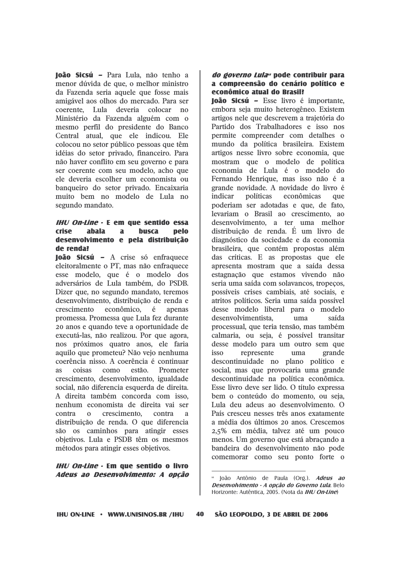**João Sicsú - Para Lula, não tenho a** menor dúvida de que, o melhor ministro da Fazenda seria aquele que fosse mais amigável aos olhos do mercado. Para ser coerente. Lula deveria colocar no Ministério da Fazenda alguém com o mesmo perfil do presidente do Banco Central atual, que ele indicou. Ele colocou no setor público pessoas que têm idéias do setor privado, financeiro. Para não haver conflito em seu governo e para ser coerente com seu modelo, acho que ele deveria escolher um economista ou banqueiro do setor privado. Encaixaria muito bem no modelo de Lula no segundo mandato.

#### **IHU On-Line - E em que sentido essa crise** ahala  $\overline{a}$ **busca** pelo desenvolvimento e pela distribuição de renda?

**João Sicsú** – A crise só enfraquece eleitoralmente o PT, mas não enfraguece esse modelo, que é o modelo dos adversários de Lula também, do PSDB. Dizer que, no segundo mandato, teremos desenvolvimento, distribuição de renda e crescimento econômico. é apenas promessa. Promessa que Lula fez durante 20 anos e quando teve a oportunidade de executá-las, não realizou. Por que agora, nos próximos quatro anos, ele faria aquilo que prometeu? Não vejo nenhuma coerência nisso. A coerência é continuar  $9<sup>c</sup>$ coisas  $com<sub>o</sub>$ estão. Prometer crescimento, desenvolvimento, igualdade social, não diferencia esquerda de direita. A direita também concorda com isso. nenhum economista de direita vai ser contra contra  $\Omega$ crescimento,  $\overline{a}$ distribuição de renda. O que diferencia são os caminhos para atingir esses objetivos. Lula e PSDB têm os mesmos métodos para atingir esses objetivos.

### **IHU On-Line - Em que sentido o livro** Adeus ao Desenvolvimento: A opcão

### do governo Lula<sup>®</sup> pode contribuir para a compreensão do cenário político e econômico atual do Brasil?

loão Sicsú - Esse livro é importante, embora seja muito heterogêneo. Existem artigos nele que descrevem a trajetória do Partido dos Trabalhadores e isso nos permite compreender com detalhes o mundo da política brasileira. Existem artigos nesse livro sobre economia, que mostram que o modelo de política economia de Lula é o modelo do Fernando Henrique, mas isso não é a grande novidade. A novidade do livro é indicar políticas econômicas que poderiam ser adotadas e que, de fato, levariam o Brasil ao crescimento, ao desenvolvimento, a ter uma melhor distribuição de renda. É um livro de diagnóstico da sociedade e da economia brasileira, que contém propostas além das críticas. E as propostas que ele apresenta mostram que a saída dessa estagnação que estamos vivendo não seria uma saída com solavancos, tropeços, possíveis crises cambiais, até sociais, e atritos políticos. Seria uma saída possível desse modelo liberal para o modelo desenvolvimentista.  $11<sub>ma</sub>$ saída processual, que teria tensão, mas também calmaria, ou seja, é possível transitar desse modelo para um outro sem que represente  $n$ uma grande descontinuidade no plano político e social, mas que provocaria uma grande descontinuidade na política econômica. Esse livro deve ser lido. O título expressa bem o conteúdo do momento, ou seja. Lula deu adeus ao desenvolvimento. O País cresceu nesses três anos exatamente a média dos últimos 20 anos. Crescemos 2,5% em média, talvez até um pouco menos. Um governo que está abracando a bandeira do desenvolvimento não pode comemorar como seu ponto forte o

<sup>&</sup>lt;sup>68</sup> João Antônio de Paula (Org.). Adeus ao Desenvolvimento - A opcão do Governo Lula. Belo Horizonte: Autêntica. 2005. (Nota da IHU On-Line)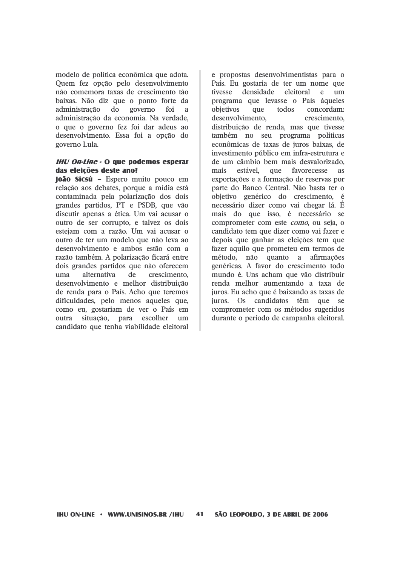modelo de política econômica que adota. Quem fez opção pelo desenvolvimento não comemora taxas de crescimento tão baixas. Não diz que o ponto forte da administração  $d\Omega$ governo foi  $\mathbf{a}$ administração da economia. Na verdade, o que o governo fez foi dar adeus ao desenvolvimento. Essa foi a opção do governo Lula.

#### **IHU On-Line - O que podemos esperar** das eleições deste ano?

loão Sicsú - Espero muito pouco em relação aos debates, porque a mídia está contaminada pela polarização dos dois grandes partidos, PT e PSDB, que vão discutir apenas a ética. Um vai acusar o outro de ser corrupto, e talvez os dois estejam com a razão. Um vai acusar o outro de ter um modelo que não leva ao desenvolvimento e ambos estão com a razão também. A polarização ficará entre dois grandes partidos que não oferecem  $11<sub>ma</sub>$ alternativa de crescimento. desenvolvimento e melhor distribuição de renda para o País. Acho que teremos dificuldades, pelo menos aqueles que, como eu, gostariam de ver o País em situação, para escolher outra  $um$ candidato que tenha viabilidade eleitoral

e propostas desenvolvimentistas para o País. Eu gostaria de ter um nome que tivesse densidade eleitoral  $e$  $um$ programa que levasse o País àqueles obietivos todos concordam:  $q$ 11 $e$ desenvolvimento. crescimento. distribuição de renda, mas que tivesse também no seu programa políticas econômicas de taxas de juros baixas, de investimento público em infra-estrutura e de um câmbio bem mais desvalorizado. mais estável. que favorecesse  $9S$ exportações e a formação de reservas por parte do Banco Central. Não basta ter o obietivo genérico do crescimento, é necessário dizer como vai chegar lá. É mais do que isso, é necessário se comprometer com este *como*, ou seja, o candidato tem que dizer como vai fazer e depois que ganhar as eleições tem que fazer aquilo que prometeu em termos de método, não quanto a afirmações genéricas. A favor do crescimento todo mundo é. Uns acham que vão distribuir renda melhor aumentando a taxa de juros. Eu acho que é baixando as taxas de juros. Os candidatos têm que se comprometer com os métodos sugeridos durante o período de campanha eleitoral.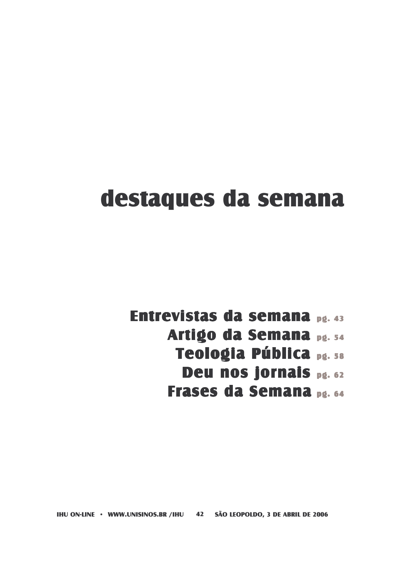# destaques da semana

Entrevistas da semana pg. 43 Artigo da Semana pg. 54 Teologia Pública pg. 58 Deu nos jornais pg. 62 **Frases da Semana pg. 64** 

IHU ON-LINE · WWW.UNISINOS.BR /IHU 42 SÃO LEOPOLDO, 3 DE ABRIL DE 2006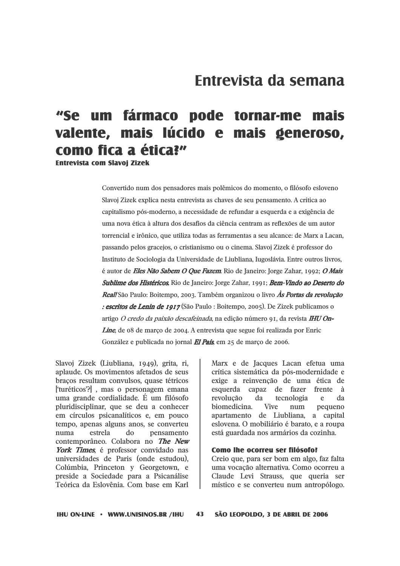### Entrevista da semana

### um fármaco pode tornar-me "Se mais valente, mais lúcido e mais generoso, como fica a ética?"

**Entrevista com Slavoi Zizek** 

Convertido num dos pensadores mais polêmicos do momento, o filósofo esloveno Slavoi Zizek explica nesta entrevista as chaves de seu pensamento. A crítica ao capitalismo pós-moderno, a necessidade de refundar a esquerda e a exigência de uma nova ética à altura dos desafios da ciência centram as reflexões de um autor torrencial e irônico, que utiliza todas as ferramentas a seu alcance: de Marx a Lacan, passando pelos gracejos, o cristianismo ou o cinema. Slavoj Zizek é professor do Instituto de Sociologia da Universidade de Liubliana, Iugoslávia. Entre outros livros, é autor de Eles Não Sabem O Que Fazem. Rio de Janeiro: Jorge Zahar, 1992; O Mais Sublime dos Histéricos. Rio de Janeiro: Jorge Zahar, 1991; Bem-Vindo ao Deserto do Reall São Paulo: Boitempo, 2003, Também organizou o livro As Portas da revolução : escritos de Lenin de 1917 (São Paulo : Boitempo, 2005). De Zizek publicamos o artigo O credo da paixão descafeinada, na edição número 91, da revista IHU On-*Line*, de 08 de março de 2004. A entrevista que segue foi realizada por Enric González e publicada no jornal *El País*, em 25 de março de 2006.

Slavoj Zizek (Liubliana, 1949), grita, ri, aplaude. Os movimentos afetados de seus bracos resultam convulsos, quase tétricos ['turéticos'?], mas o personagem emana uma grande cordialidade. É um filósofo pluridisciplinar, que se deu a conhecer em círculos psicanalíticos e, em pouco tempo, apenas alguns anos, se converteu estrela  $d\Omega$ pensamento  $n_1$  $n_2$ contemporâneo. Colabora no The New York Times, é professor convidado nas universidades de Paris (onde estudou), Colúmbia, Princeton y Georgetown, e preside a Sociedade para a Psicanálise Teórica da Eslovênia. Com base em Karl

Marx e de Jacques Lacan efetua uma crítica sistemática da pós-modernidade e exige a reinvenção de uma ética de esquerda capaz de fazer frente à revolucão da tecnologia e da Vive biomedicina. num pequeno apartamento de Liubliana, a capital eslovena. O mobiliário é barato, e a roupa está guardada nos armários da cozinha.

#### Como lhe ocorreu ser filósofo?

Creio que, para ser bom em algo, faz falta uma vocação alternativa. Como ocorreu a Claude Levi Strauss, que queria ser místico e se converteu num antropólogo.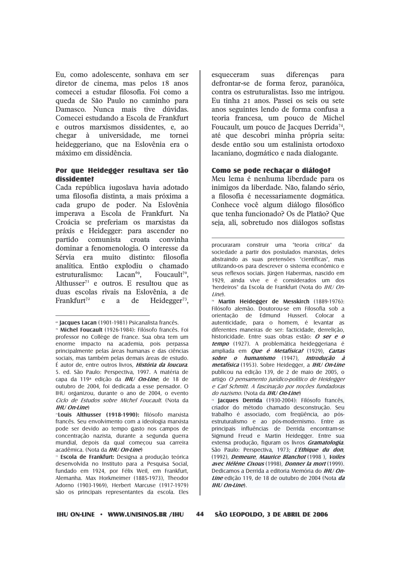Eu, como adolescente, sonhava em ser diretor de cinema, mas pelos 18 anos comecei a estudar filosofia. Foi como a queda de São Paulo no caminho para Damasco. Nunca mais tive dúvidas. Comecei estudando a Escola de Frankfurt e outros marxismos dissidentes, e, ao chegar à universidade, me tornei heideggeriano, que na Eslovênia era o máximo em dissidência.

#### Por que Heidegger resultava ser tão dissidente?

Cada república iugoslava havia adotado uma filosofia distinta, a mais próxima a cada grupo de poder. Na Eslovênia imperava a Escola de Frankfurt. Na Croácia se preferiam os marxistas da práxis e Heidegger: para ascender no partido comunista croata convinha dominar a fenomenologia. O interesse da Sérvia era muito distinto: filosofia analítica. Então explodiu o chamado Foucault<sup>70</sup>. estruturalismo: Laca $n^{69}$ , Althusser<sup>71</sup> e outros. E resultou que as duas escolas rivais na Eslovênia, a de Frankfurt<sup>72</sup>  $\mathbf{e}$ de Heidegger<sup>73</sup>. a

esqueceram suas diferencas para defrontar-se de forma feroz, paranóica, contra os estruturalistas. Isso me intrigou. Eu tinha 21 anos. Passei os seis ou sete anos seguintes lendo de forma confusa a teoria francesa, um pouco de Michel Foucault, um pouco de Jacques Derrida<sup>74</sup>, até que descobri minha própria seita: desde então sou um estalinista ortodoxo lacaniano, dogmático e nada dialogante.

#### Como se pode rechacar o diálogo?

Meu lema é nenhuma liberdade para os inimigos da liberdade. Não, falando sério, a filosofia é necessariamente dogmática. Conhece você algum diálogo filosófico que tenha funcionado? Os de Platão? Que seja, ali, sobretudo nos diálogos sofistas

<sup>&</sup>lt;sup>®</sup> lacques Lacan (1901-1981) Psicanalista francês.

<sup>&</sup>lt;sup>n</sup> Michel Foucault (1926-1984): Filósofo francês. Foi professor no Collège de France. Sua obra tem um enorme impacto na academia, pois perpassa principalmente pelas áreas humanas e das ciências sociais, mas também pelas demais áreas de estudo. É autor de, entre outros livros. História da loucura. 5. ed. São Paulo: Perspectiva, 1997. A matéria de capa da 119<sup>a</sup> edição da *IHU On-Line*, de 18 de outubro de 2004, foi dedicada a esse pensador. O IHU organizou, durante o ano de 2004, o evento Ciclo de Estudos sobre Michel Foucault. (Nota da  $IHI/On$ - $Iine$ 

<sup>&</sup>lt;sup>n</sup>Louis Althusser (1918-1990): filósofo marxista francês. Seu envolvimento com a ideologia marxista pode ser devido ao tempo gasto nos campos de concentração nazista, durante a segunda guerra mundial, depois da qual começou sua carreira acadêmica. (Nota da IHU On-Line)

Escola de Frankfurt: Designa a produção teórica desenvolvida no Instituto para a Pesquisa Social, fundado em 1924, por Félix Weil, em Frankfurt, Alemanha. Max Horkmeimer (1885-1973), Theodor Adorno (1903-1969), Herbert Marcuse (1917-1979) são os principais representantes da escola. Eles

procuraram construir uma "teoria crítica" da sociedade a partir dos postulados marxistas, deles abstraindo as suas pretensões "científicas", mas utilizando-os para descrever o sistema econômico e seus reflexos sociais. Jürgen Habermas, nascido em 1929, ainda vive e é considerados um dos 'herdeiros" da Escola de Frankfurt (Nota do IHU On $line$ 

<sup>&</sup>lt;sup>33</sup> Martin Heidegger de Messkirch (1889-1976): Filósofo alemão. Doutorou-se em Filosofia sob a orientação de Edmund Husserl. Colocar a autenticidade, para o homem, é levantar as diferentes maneiras de ser: facticidade, derrelicão, historicidade. Entre suas obras estão: O ser e o tempo (1927). A problemática heideggeriana é ampliada em *Que é Metafísica?* (1929), Cartas sobre o humanismo (1947). Introdução à metafísica (1953). Sobre Heidegger, a IHU On-Line publicou na edição 139, de 2 de maio de 2005, o artigo O pensamento jurídico-político de Heidegger e Carl Schmitt. A fascinação por noções fundadoras do nazismo. (Nota da **IHU On-Line**)

a lacques Derrida (1930-2004): Filósofo francês. criador do método chamado desconstrução. Seu trabalho é associado, com freqüência, ao pósestruturalismo e ao pós-modernismo. Entre as principais influências de Derrida encontram-se Sigmund Freud e Martin Heidegger. Entre sua extensa produção, figuram os livros Gramatologia. São Paulo: Perspectiva, 1973; L'Ethique du don, (1992). Demeure. Maurice Blanchot (1998). Voiles avec Hélène Cixous (1998), Donner la mort (1999). Dedicamos a Derrida a editoria Memória do IHU On-Line edição 119, de 18 de outubro de 2004 (Nota da  $H\cup On$ -line)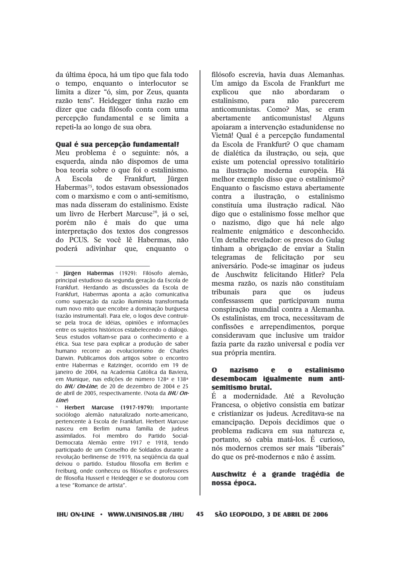da última época, há um tipo que fala todo o tempo, enquanto o interlocutor se limita a dizer "ó, sim, por Zeus, quanta razão tens". Heidegger tinha razão em dizer que cada filósofo conta com uma percepção fundamental e se limita a repeti-la ao longo de sua obra.

#### **Oual é sua percepção fundamental?**

Meu problema é o seguinte: nós, a esquerda, ainda não dispomos de uma boa teoria sobre o que foi o estalinismo.  $\mathbf{A}$ Escola de Frankfurt, **I**ürgen Habermas<sup>75</sup>, todos estavam obsessionados com o marxismo e com o anti-semitismo. mas nada disseram do estalinismo. Existe um livro de Herbert Marcuse<sup>76</sup>, já o sei, porém não é mais do que uma interpretação dos textos dos congressos do PCUS. Se você lê Habermas, não poderá adivinhar que, enquanto o

filósofo escrevia, havia duas Alemanhas. Um amigo da Escola de Frankfurt me explicou que não abordaram  $\Omega$ estalinismo. não parecerem para anticomunistas. Como? Mas, se eram anticomunistas! abertamente **Alguns** apoiaram a intervenção estadunidense no Vietnã! Qual é a percepção fundamental da Escola de Frankfurt? O que chamam de dialética da ilustração, ou seja, que existe um potencial opressivo totalitário na ilustração moderna européia. Há melhor exemplo disso que o estalinismo? Enquanto o fascismo estava abertamente contra a ilustração.  $\overline{0}$ estalinismo constituía uma ilustração radical. Não digo que o estalinismo fosse melhor que o nazismo, digo que há nele algo realmente enigmático e desconhecido. Um detalhe revelador: os presos do Gulag tinham a obrigação de enviar a Stalin telegramas de felicitação por **set1** aniversário. Pode-se imaginar os judeus de Auschwitz felicitando Hitler? Pela mesma razão, os nazis não constituíam tribunais para que  $OS$ iudeus confessassem que participavam numa conspiração mundial contra a Alemanha. Os estalinistas, em troca, necessitavam de confissões e arrependimentos, porque consideravam que inclusive um traidor fazia parte da razão universal e podia ver sua própria mentira.

#### $\Omega$ **nazismo** estalinismo  $\mathbf e$  $\Omega$ desembocam igualmente num antisemitismo brutal.

É a modernidade. Até a Revolução Francesa, o objetivo consistia em batizar e cristianizar os judeus. Acreditava-se na emancipação. Depois decidimos que o problema radicava em sua natureza e, portanto, só cabia matá-los. É curioso, nós modernos cremos ser mais "liberais" do que os pré-modernos e não é assim.

### Auschwitz é a grande tragédia de nossa época.

<sup>&</sup>lt;sup>75</sup> **Jürgen Habermas** (1929): Filósofo alemão, principal estudioso da segunda geração da Escola de Frankfurt. Herdando as discussões da Escola de Frankfurt. Habermas aponta a ação comunicativa como superação da razão iluminista transformada num novo mito que encobre a dominação burquesa (razão instrumental). Para ele, o logos deve contruirse pela troca de idéias, opiniões e informações entre os sujeitos históricos estabelecendo o diálogo. Seus estudos voltam-se para o conhecimento e a ética. Sua tese para explicar a produção de saber humano recorre ao evolucionismo de Charles Darwin. Publicamos dois artigos sobre o encontro entre Habermas e Ratzinger, ocorrido em 19 de janeiro de 2004, na Academia Católica da Baviera. em Munique, nas edições de número 128ª e 138ª do IHU On-Line, de 20 de dezembro de 2004 e 25 de abril de 2005, respectivamente. (Nota da IHU On $line$ 

Herbert Marcuse (1917-1979): Importante sociólogo alemão naturalizado norte-americano, pertencente à Escola de Frankfurt. Herbert Marcuse nasceu em Berlim numa família de judeus assimilados. Foi membro do Partido Social-Democrata Alemão entre 1917 e 1918, tendo participado de um Conselho de Soldados durante a revolução berlinense de 1919, na següência da qual deixou o partido. Estudou filosofia em Berlim e Freiburg, onde conheceu os filósofos e professores de filosofia Husserl e Heidegger e se doutorou com a tese "Romance de artista".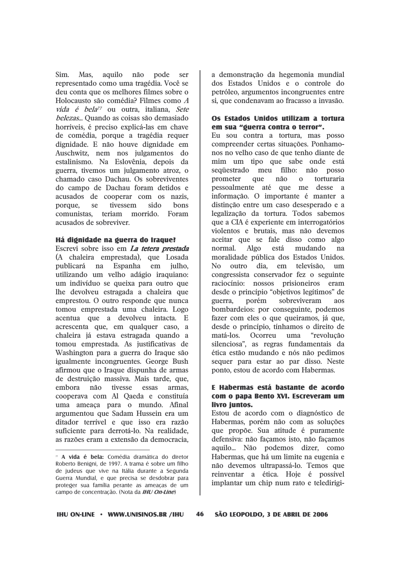$Sim.$ Mas. aquilo não pode ser representado como uma tragédia. Você se deu conta que os melhores filmes sobre o Holocausto são comédia? Filmes como A vida é bela<sup>77</sup> ou outra, italiana, Sete belezas... Quando as coisas são demasiado horríveis, é preciso explicá-las em chave de comédia, porque a tragédia requer dignidade. E não houve dignidade em Auschwitz, nem nos julgamentos do estalinismo. Na Eslovênia, depois da guerra, tivemos um julgamento atroz, o chamado caso Dachau. Os sobreviventes do campo de Dachau foram detidos e acusados de cooperar com os nazis. tivessem sido bons porque. se comunistas, teriam morrido. Foram acusados de sobreviver.

#### Há dignidade na guerra do Iraque?

Escrevi sobre isso em *La tetera prestada* (A chaleira emprestada), que Losada publicará na Espanha em julho. utilizando um velho adágio iraquiano: um indivíduo se queixa para outro que lhe devolveu estragada a chaleira que emprestou. O outro responde que nunca tomou emprestada uma chaleira. Logo acentua que a devolveu intacta. E acrescenta que, em qualquer caso, a chaleira já estava estragada quando a tomou emprestada. As justificativas de Washington para a guerra do Iraque são igualmente incongruentes. George Bush afirmou que o Iraque dispunha de armas de destruição massiva. Mais tarde, que, tivesse essas embora não armas. cooperava com Al Qaeda e constituía uma ameaça para o mundo. Afinal argumentou que Sadam Hussein era um ditador terrível e que isso era razão suficiente para derrotá-lo. Na realidade, as razões eram a extensão da democracia.

a demonstração da hegemonia mundial dos Estados Unidos e o controle do petróleo, argumentos incongruentes entre si, que condenavam ao fracasso a invasão.

#### Os Estados Unidos utilizam a tortura em sua "guerra contra o terror".

Eu sou contra a tortura, mas posso compreender certas situações. Ponhamonos no velho caso de que tenho diante de mim um tipo que sabe onde está sequestrado meu filho: não posso prometer que não  $\mathbf{0}$ torturaria pessoalmente até que me desse a informação. O importante é manter a distinção entre um caso desesperado e a legalização da tortura. Todos sabemos que a CIA é experiente em interrogatórios violentos e brutais, mas não devemos aceitar que se fale disso como algo normal.  $Algo$ está mudando na moralidade pública dos Estados Unidos.  $No$ outro dia. em televisão.  $um$ congressista conservador fez o seguinte raciocínio: nossos prisioneiros eram desde o princípio "objetivos legítimos" de guerra. porém sobreviveram  $30S$ bombardeios: por conseguinte, podemos fazer com eles o que queiramos, já que, desde o princípio, tínhamos o direito de matá-los. Ocorreu uma "revolucão silenciosa", as regras fundamentais da ética estão mudando e nós não pedimos sequer para estar ao par disso. Neste ponto, estou de acordo com Habermas.

### E Habermas está bastante de acordo com o papa Bento XVI. Escreveram um livro iuntos.

Estou de acordo com o diagnóstico de Habermas, porém não com as soluções que propõe. Sua atitude é puramente defensiva: não facamos isto, não facamos aquilo... Não podemos dizer, como Habermas, que há um limite na eugenia e não devemos ultrapassá-lo. Temos que reinventar a ética. Hoje é possível implantar um chip num rato e teledirigi-

<sup>&</sup>quot; A vida é bela: Comédia dramática do diretor Roberto Benigni, de 1997. A trama é sobre um filho de judeus que vive na Itália durante a Segunda Guerra Mundial, e que precisa se desdobrar para proteger sua família perante as ameaças de um campo de concentração. (Nota da IHU On-Line)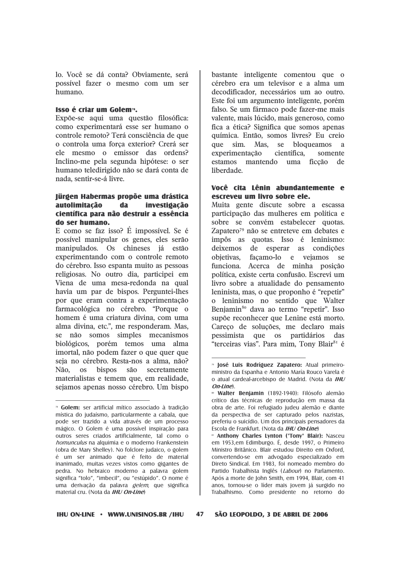lo. Você se dá conta? Obviamente, será possível fazer o mesmo com um ser humano.

#### Isso é criar um Golem<sup>78</sup>.

Expõe-se aqui uma questão filosófica: como experimentará esse ser humano o controle remoto? Terá consciência de que o controla uma forca exterior? Crerá ser ele mesmo o emissor das ordens? Inclino-me pela segunda hipótese: o ser humano teledirigido não se dará conta de nada, sentir-se-á livre.

#### lürgen Habermas propõe uma drástica autolimitação da investigação científica para não destruir a essência do ser humano.

E como se faz isso? É impossível. Se é possível manipular os genes, eles serão manipulados. Os chineses já estão experimentando com o controle remoto do cérebro. Isso espanta muito as pessoas religiosas. No outro dia, participei em Viena de uma mesa-redonda na qual havia um par de bispos. Perguntei-lhes por que eram contra a experimentação farmacológica no cérebro. "Porque o homem é uma criatura divina, com uma alma divina, etc.", me responderam. Mas, se não somos simples mecanismos biológicos, porém temos uma alma imortal, não podem fazer o que quer que seja no cérebro. Resta-nos a alma, não? os bispos Não. são secretamente materialistas e temem que, em realidade, sejamos apenas nosso cérebro. Um bispo

bastante inteligente comentou que o cérebro era um televisor e a alma um decodificador, necessários um ao outro. Este foi um argumento inteligente, porém falso. Se um fármaco pode fazer-me mais valente, mais lúcido, mais generoso, como fica a ética? Significa que somos apenas química. Então, somos livres? Eu creio que sim. Mas. se bloqueamos a experimentação científica. somente estamos mantendo uma ficção de liberdade.

### Você cita Lênin abundantemente e escreveu um livro sobre ele.

Muita gente discute sobre a escassa participação das mulheres em política e sobre se convém estabelecer quotas. Zapatero<sup>79</sup> não se entreteve em debates e impôs as quotas. Isso é leninismo: deixemos de esperar as condições obietivas. facamo-lo e vejamos  $S_{\mathbf{P}}$ funciona. Acerca de minha posição política, existe certa confusão. Escrevi um livro sobre a atualidade do pensamento leninista, mas, o que proponho é "repetir" o leninismo no sentido que Walter Benjamin<sup>80</sup> dava ao termo "repetir". Isso supõe reconhecer que Lenine está morto. Careco de soluções, me declaro mais pessimista que os partidários das "terceiras vias". Para mim, Tony Blair<sup>81</sup> é

47

<sup>&</sup>lt;sup>78</sup> Golem: ser artificial mítico associado à tradição mística do judaísmo, particularmente a cabala, que pode ser trazido a vida através de um processo mágico. O Golem é uma possível inspiração para outros seres criados artificialmente, tal como o homunculus na alquimia e o moderno Frankenstein (obra de Mary Shelley). No folclore judaico, o golem é um ser animado que é feito de material inanimado, muitas vezes vistos como gigantes de pedra. No hebraico moderno a palavra golem significa "tolo", "imbecil", ou "estúpido". O nome é uma derivação da palavra *gelem*, que significa material cru. (Nota da IHU On-Line)

<sup>&</sup>lt;sup>79</sup> losé Luis Rodríguez Zapatero: Atual primeiroministro da Espanha e Antonio María Rouco Varela é o atual cardeal-arcebispo de Madrid. (Nota da IHU On-Line).

<sup>«</sup> Walter Benjamin (1892-1940): Filósofo alemão crítico das técnicas de reprodução em massa da obra de arte. Foi refugiado judeu alemão e diante da perspectiva de ser capturado pelos nazistas, preferiu o suicídio. Um dos principais pensadores da Escola de Frankfurt. (Nota da IHU On-Line)

<sup>&</sup>quot; Anthony Charles Lynton ("Tony" Blair): Nasceu em 1953, em Edimburgo. É, desde 1997, o Primeiro Ministro Britânico. Blair estudou Direito em Oxford, convertendo-se em advogado especializado em Direto Sindical. Em 1983, foi nomeado membro do Partido Trabalhista Inglês (Labour) no Parlamento. Após a morte de John Smith, em 1994, Blair, com 41 anos, tornou-se o líder mais jovem já surgido no Trabalhismo. Como presidente no retorno do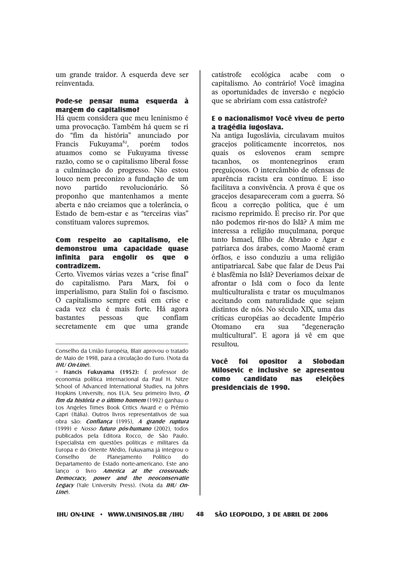um grande traidor. A esquerda deve ser reinventada.

#### Pode-se pensar numa esquerda à margem do capitalismo?

Há quem considera que meu leninismo é uma provocação. Também há quem se ri do "fim da história" anunciado por Francis Fukuyama<sup>82</sup>, porém todos atuamos como se Fukuvama tivesse razão, como se o capitalismo liberal fosse a culminação do progresso. Não estou louco nem preconizo a fundação de um revolucionário. **Só** novo partido proponho que mantenhamos a mente aberta e não creiamos que a tolerância, o Estado de bem-estar e as "terceiras vias" constituam valores supremos.

#### Com respeito ao capitalismo. ele demonstrou uma capacidade quase infinita para engolir os que o contradizem.

Certo, Vivemos várias vezes a "crise final" do capitalismo. Para Marx, foi o imperialismo, para Stalin foi o fascismo. O capitalismo sempre está em crise e cada vez ela é mais forte. Há agora bastantes confiam pessoas que secretamente em que uma grande catástrofe ecológica acabe com o capitalismo. Ao contrário! Você imagina as oportunidades de inversão e negócio que se abririam com essa catástrofe?

### E o nacionalismo? Você viveu de perto a tragédia iugoslava.

Na antiga Iugoslávia, circulavam muitos gracejos politicamente incorretos, nos quais eslovenos eram  $OS$ sempre montenegrinos tacanhos.  $OS$ eram preguiçosos. O intercâmbio de ofensas de aparência racista era contínuo. E isso facilitava a convivência. A prova é que os gracejos desapareceram com a guerra. Só ficou a correção política, que é um racismo reprimido. É preciso rir. Por que não podemos rir-nos do Islã? A mim me interessa a religião muçulmana, porque tanto Ismael, filho de Abraão e Agar e patriarca dos árabes, como Maomé eram órfãos, e isso conduziu a uma religião antipatriarcal. Sabe que falar de Deus Pai é blasfêmia no Islã? Deveríamos deixar de afrontar o Islã com o foco da lente multiculturalista e tratar os muculmanos aceitando com naturalidade que sejam distintos de nós. No século XIX, uma das críticas européias ao decadente Império Otomano era sua "degeneração multicultural". E agora já vê em que resultou

Você foi opositor  $\mathbf{a}$ **Slobodan** Milosevic e inclusive se apresentou **candidato como** eleicões **nas** presidenciais de 1990.

Conselho da União Européia, Blair aprovou o tratado de Maio de 1998, para a circulação do Euro. (Nota da  $IHI(On-line)$ 

<sup>&</sup>lt;sup>a</sup> Francis Fukuvama (1952): É professor de economia política internacional da Paul H. Nitze School of Advanced International Studies, na Johns Hopkins University, nos EUA. Seu primeiro livro, O fim da história e o último homem (1992) ganhau o Los Angeles Times Book Critics Award e o Prêmio Capri (Itália). Outros livros representativos de sua obra são: Confiança (1995), A grande ruptura (1999) e Nosso futuro pós-humano (2002), todos publicados pela Editora Rocco, de São Paulo. Especialista em questões políticas e militares da Europa e do Oriente Médio, Fukuyama já integrou o Conselho de Planejamento Político do Departamento de Estado norte-americano. Este ano lanço o livro America at the crossroads: Democracy, power and the neoconservatie Legacy (Yale University Press). (Nota da IHU On $line)$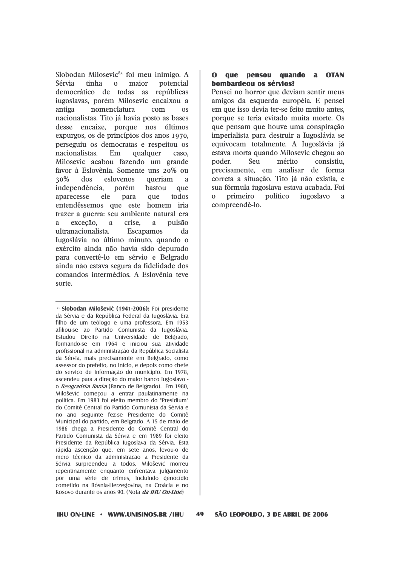Slobodan Milosevic<sup>83</sup> foi meu inimigo. A Sérvia tinha  $\mathbf{0}$ maior potencial democrático de todas as repúblicas iugoslavas, porém Milosevic encaixou a antiga nomenclatura  $com$  $\Omega$ nacionalistas. Tito já havia posto as bases desse encaixe, porque nos últimos expurgos, os de princípios dos anos 1970, perseguiu os democratas e respeitou os nacionalistas Em qualquer caso. Milosevic acabou fazendo um grande favor à Eslovênia. Somente uns 20% ou 30% dos eslovenos queriam  $\overline{a}$ independência. porém bastou que aparecesse ele para que todos entendêssemos que este homem iria trazer a guerra: seu ambiente natural era excecão.  $\mathbf{a}$ crise.  $\mathbf{a}$ pulsão  $\mathbf{a}$ ultranacionalista. Escapamos da Iugoslávia no último minuto, quando o exército ainda não havia sido depurado para convertê-lo em sérvio e Belgrado ainda não estava segura da fidelidade dos comandos intermédios. A Eslovênia teve sorte.

### O que pensou quando a OTAN bombardeou os sérvios?

Pensei no horror que deviam sentir meus amigos da esquerda européia. E pensei em que isso devia ter-se feito muito antes. porque se teria evitado muita morte. Os que pensam que houve uma conspiração imperialista para destruir a Iugoslávia se equivocam totalmente. A Iugoslávia já estava morta quando Milosevic chegou ao Seu mérito consistiu. poder. precisamente, em analisar de forma correta a situação. Tito já não existia, e sua fórmula iugoslava estava acabada. Foi  $\Omega$ primeiro político iugoslavo  $\overline{a}$ compreendê-lo.

49

<sup>&</sup>lt;sup>83</sup> Slobodan Milošević (1941-2006): Foi presidente da Sérvia e da República Federal da Iugoslávia. Era filho de um teólogo e uma professora. Em 1953 afiliou-se ao Partido Comunista da Iugoslávia. Estudou Direito na Universidade de Belgrado, formando-se em 1964 e iniciou sua atividade profissional na administração da República Socialista da Sérvia, mais precisamente em Belgrado, como assessor do prefeito, no início, e depois como chefe do servico de informação do município. Em 1978. ascendeu para a direção do maior banco iugoslavo o Beogradska Banka (Banco de Belgrado). Em 1980, Milošević começou a entrar paulatinamente na política. Em 1983 foi eleito membro do "Presidium" do Comitê Central do Partido Comunista da Sérvia e no ano seguinte fez-se Presidente do Comitê Municipal do partido, em Belgrado. A 15 de maio de 1986 chega a Presidente do Comitê Central do Partido Comunista da Sérvia e em 1989 foi eleito Presidente da República Iugoslava da Sérvia. Esta rápida ascenção que, em sete anos, levou-o de mero técnico da administração a Presidente da Sérvia surpreendeu a todos. Milošević morreu repentinamente enquanto enfrentava julgamento por uma série de crimes, incluindo genocídio cometido na Bósnia-Herzegovina, na Croácia e no Kosovo durante os anos 90. (Nota *da IHU On-Line*)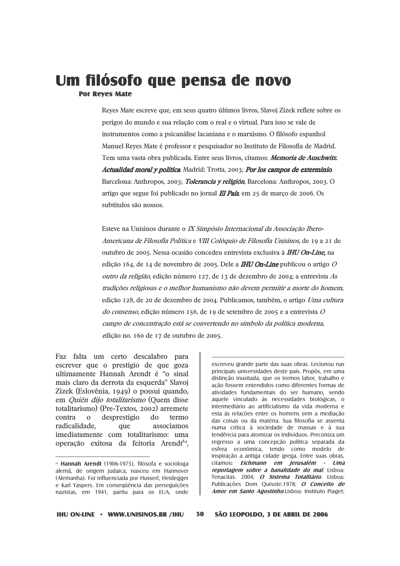### Um filósofo que pensa de novo **Por Reves Mate**

Reyes Mate escreve que, em seus quatro últimos livros, Slavoj Zizek reflete sobre os perigos do mundo e sua relação com o real e o virtual. Para isso se vale de instrumentos como a psicanálise lacaniana e o marxismo. O filósofo espanhol Manuel Reves Mate é professor e pesquisador no Instituto de Filosofia de Madrid. Tem uma vasta obra publicada. Entre seus livros, citamos: Memoria de Auschwitz. Actualidad moral y política. Madrid: Trotta, 2003; Por los campos de exterminio. Barcelona: Anthropos, 2003; *Tolerancia y religión*, Barcelona: Anthropos, 2003. O artigo que segue foi publicado no jornal El País, em 25 de março de 2006. Os subtítulos são nossos.

Esteve na Unisinos durante o IX Simpósio Internacional da Associação Ibero-Americana de Filosofia Política e VIII Colóquio de Filosofia Unisinos, de 19 a 21 de outubro de 2005. Nessa ocasião concedeu entrevista exclusiva à IHU On-Line, na edição 164, de 14 de novembro de 2005. Dele a **IHU On-Line** publicou o artigo O outro da religião, edição número 127, de 13 de dezembro de 2004; a entrevista As tradições religiosas e o melhor humanismo não devem permitir a morte do homem, edição 128, de 20 de dezembro de 2004. Publicamos, também, o artigo Uma cultura do consenso, edição número 156, de 19 de setembro de 2005 e a entrevista O campo de concentração está se convertendo no símbolo da política moderna, edição no. 160 de 17 de outubro de 2005.

Faz falta um certo descalabro para escrever que o prestígio de que goza ultimamente Hannah Arendt é "o sinal mais claro da derrota da esquerda" Slavoj Zizek (Eslovênia, 1949) o possui quando, em Quién dijo totalitarismo (Quem disse totalitarismo) (Pre-Textos, 2002) arremete  $\Omega$ desprestígio  $d\Omega$ contra termo radicalidade. que associamos imediatamente com totalitarismo: uma operação exitosa da feitoria Arendi<sup>84</sup>,

escreveu grande parte das suas obras. Lecionou nas principais universidades deste país. Propôs, em uma distinção inusitada, que os termos labor, trabalho e ação fossem entendidos como diferentes formas de atividades fundamentais do ser humano, sendo aquele vinculado às necessidades biológicas, o intermediário ao artificialismo da vida moderna e esta às relações entre os homens sem a mediação das coisas ou da matéria. Sua filosofia se assenta numa crítica à sociedade de massas e à sua tendência para atomizar os indivíduos. Preconiza um regresso a uma concepção política separada da esfera econômica, tendo como modelo de inspiração a antiga cidade grega. Entre suas obras, citamos: Eichmann em Jerusalém - Uma reportagem sobre a banalidade do mal. Lisboa: Tenacitas. 2004; O Sistema Totalitário. Lisboa: Publicações Dom Quixote.1978; O Conceito de Amor em Santo Agostinho.Lisboa: Instituto Piaget;

50

<sup>&</sup>lt;sup>84</sup> Hannah Arendt (1906-1975), filósofa e socióloga alemã, de origem judaica, nasceu em Hannover (Alemanha). Foi influenciada por Husserl, Heidegger e Karl Yaspers. Em consequência das perseguições nazistas, em 1941, partiu para os EUA, onde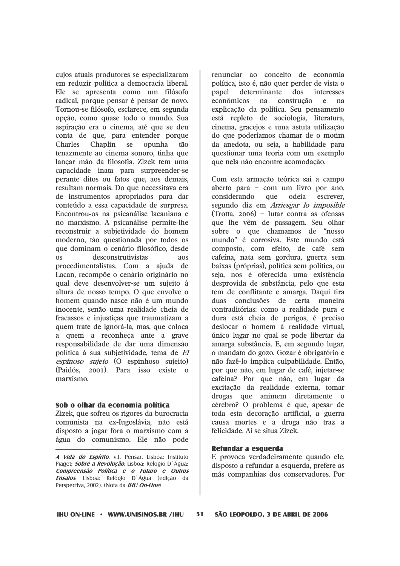cuios atuais produtores se especializaram em reduzir política a democracia liberal. Ele se apresenta como um filósofo radical, porque pensar é pensar de novo. Tornou-se filósofo, esclarece, em segunda opção, como quase todo o mundo. Sua aspiração era o cinema, até que se deu conta de que, para entender porque Chaplin **Charles** se opunha  $t\tilde{a}$ tenazmente ao cinema sonoro, tinha que lancar mão da filosofia. Zizek tem uma capacidade inata para surpreender-se perante ditos ou fatos que, aos demais, resultam normais. Do que necessitava era de instrumentos apropriados para dar conteúdo a essa capacidade de surpresa. Encontrou-os na psicanálise lacaniana e no marxismo. A psicanálise permite-lhe reconstruir a subjetividade do homem moderno, tão questionada por todos os que dominam o cenário filosófico, desde desconstrutivistas  $30S$  $\alpha$ procedimentalistas. Com a ajuda de Lacan, recompõe o cenário originário no qual deve desenvolver-se um sujeito à altura de nosso tempo. O que envolve o homem quando nasce não é um mundo inocente, senão uma realidade cheia de fracassos e injusticas que traumatizam a quem trate de ignorá-la, mas, que coloca a quem a reconheca ante a grave responsabilidade de dar uma dimensão política à sua subietividade, tema de El espinoso sujeto (O espinhoso sujeito) (Paidós, 2001). Para isso existe o marxismo.

#### Sob o olhar da economia política

Zizek, que sofreu os rigores da burocracia comunista na ex-Iugoslávia, não está disposto a jogar fora o marxismo com a água do comunismo. Ele não pode

renunciar ao conceito de economia política, isto é, não quer perder de vista o determinante  $d$  os interesses papel econômicos construção e na na explicação da política. Seu pensamento está repleto de sociologia, literatura, cinema, gracejos e uma astuta utilização do que poderíamos chamar de o motim da anedota, ou seja, a habilidade para questionar uma teoria com um exemplo que nela não encontre acomodação.

Com esta armação teórica sai a campo aberto para - com um livro por ano, considerando que odeia escrever. segundo diz em Arriesgar lo imposible  $(Trotta, 2006)$  - lutar contra as ofensas que lhe vêm de passagem. Seu olhar sobre o que chamamos de "nosso mundo" é corrosiva. Este mundo está composto, com efeito, de café sem cafeína, nata sem gordura, guerra sem baixas (próprias), política sem política, ou seja, nos é oferecida uma existência desprovida de substância, pelo que esta tem de conflitante e amarga. Daqui tira duas conclusões de certa maneira contraditórias: como a realidade pura e dura está cheia de perigos, é preciso deslocar o homem à realidade virtual, único lugar no qual se pode libertar da amarga substância. E, em segundo lugar, o mandato do gozo. Gozar é obrigatório e não fazê-lo implica culpabilidade. Então, por que não, em lugar de café, injetar-se cafeína? Por que não, em lugar da excitação da realidade externa, tomar drogas que animem diretamente o cérebro? O problema é que, apesar de toda esta decoração artificial, a guerra causa mortes e a droga não traz a felicidade. Aí se situa Zizek.

#### Refundar a esquerda

E provoca verdadeiramente quando ele, disposto a refundar a esquerda, prefere as más companhias dos conservadores. Por

A Vida do Espírito. v.l. Pensar. Lisboa: Instituto Piaget; Sobre a Revolução. Lisboa: Relógio D'Água; Compreensão Política e o Futuro e Outros Ensaios. Lisboa: Relógio D'Água (edição da Perspectiva, 2002). (Nota da IHU On-Line)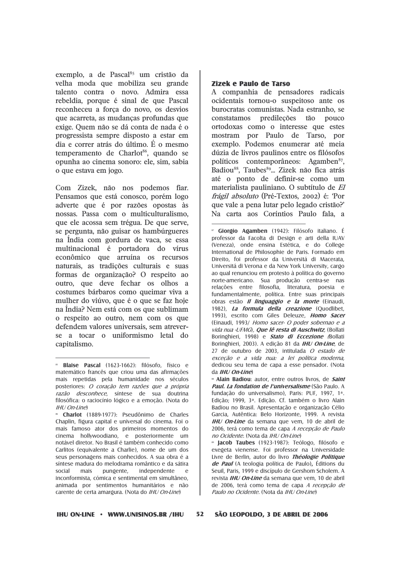exemplo, a de Pascal<sup>85</sup> um cristão da velha moda que mobiliza seu grande talento contra o novo. Admira essa rebeldia, porque é sinal de que Pascal reconheceu a forca do novo, os desvios que acarreta, as mudanças profundas que exige. Quem não se dá conta de nada é o progressista sempre disposto a estar em dia e correr atrás do último. É o mesmo temperamento de Charlot<sup>86</sup>, quando se opunha ao cinema sonoro: ele, sim, sabia o que estava em jogo.

Com Zizek, não nos podemos fiar. Pensamos que está conosco, porém logo adverte que é por razões opostas às nossas. Passa com o multiculturalismo, que ele acossa sem trégua. De que serve. se pergunta, não guisar os hambúrgueres na Índia com gordura de vaca, se essa multinacional é portadora do vírus econômico que arruína os recursos naturais, as tradições culturais e suas formas de organização? O respeito ao outro, que deve fechar os olhos a costumes bárbaros como queimar viva a mulher do viúvo, que é o que se faz hoje na Índia? Nem está com os que sublimam o respeito ao outro, nem com os que defendem valores universais, sem atreverse a tocar o uniformismo letal do capitalismo.

« Charlot (1889-1977): Pseudônimo de Charles Chaplin, figura capital e universal do cinema. Foi o mais famoso ator dos primeiros momentos do cinema hollywoodiano, e posteriormente um notável diretor. No Brasil é também conhecido como Carlitos (equivalente a Charlie), nome de um dos seus personagens mais conhecidos. A sua obra é a síntese madura do melodrama romântico e da sátira mais social pungente, independente  $^{\circ}$ inconformista, cómica e sentimental em simultâneo, animada por sentimentos humanitários e não carente de certa amargura. (Nota do IHU On-Line)

#### **Zizek e Paulo de Tarso**

A companhia de pensadores radicais ocidentais tornou-o suspeitoso ante os burocratas comunistas. Nada estranho, se constatamos predileções tão pouco ortodoxas como o interesse que estes mostram por Paulo de Tarso, por exemplo. Podemos enumerar até meia dúzia de livros paulinos entre os filósofos políticos contemporâneos: Agamben<sup>87</sup>. Badiou<sup>88</sup>, Taubes<sup>89</sup>... Zizek não fica atrás até o ponto de definir-se como um materialista pauliniano. O subtítulo de El frágil absoluto (Pré-Textos, 2002) é: 'Por que vale a pena lutar pelo legado cristão?' Na carta aos Coríntios Paulo fala. a

<sup>17</sup> Giorgio Agamben (1942): Filósofo italiano. É professor da Facolta di Design e arti della IUAV (Veneza), onde ensina Estética, e do College International de Philosophie de Paris. Formado em Direito, foi professor da Universitá di Macerata, Universitá di Verona e da New York University, cargo ao qual renunciou em protesto à política do governo norte-americano. Sua produção centra-se nas relações entre filosofia, literatura, poesia e fundamentalmente, política. Entre suas principais obras estão *Il linguaggio e la morte* (Einaudi, 1982). La formula della creazione (Quodlibet. 1993), escrito com Giles Deleuze, Homo Sacer (Einaudi, 1993/ Homo sacer- O poder sobernao e a vida nua -UFMG). **Que lê resta di Auschwitz**. (Bollati Boringhieri, 1998) e *Stato di Eccezione (*Bollati Borinohieri, 2003). A edição 81 da *IHU On-Line*, de 27 de outubro de 2003, intitulada O estado de exceção e a vida nua: a lei política moderna. dedicou seu tema de capa a esse pensador. (Nota  $da$  *IHI* / *On-Line*)

**a** Alain Badiou: autor, entre outros livros, de *Saint* Paul. La fondation de l'universalisme (São Paulo. A fundação do universalismo). Paris: PUF. 1997. 1<sup>a</sup>. Edicão: 1999, 3ª, Edicão, Cf. também o livro Alain Badiou no Brasil. Apresentação e organização Célio Garcia, Autêntica: Belo Horizonte, 1999. A revista **IHU On-Line** da semana que vem. 10 de abril de 2006, terá como tema de capa A recepcão de Paulo no Ocidente. (Nota da IHU On-Line)

" Jacob Taubes (1923-1987): Teólogo, filósofo e exegeta vienense. Foi professor na Universidade Livre de Berlin, autor do livro Théologie Politique de Paul (A teologia política de Paulo), Éditions du Seuil, Paris, 1999 e discípulo de Gershom Scholem. A revista *IHU On-Line* da semana que vem, 10 de abril de 2006, terá como tema de capa *A recepção de* Paulo no Ocidente. (Nota da IHU On-Line)

52 SÃO LEOPOLDO, 3 DE ABRIL DE 2006

**Blaise Pascal** (1623-1662): filósofo, físico e matemático francês que criou uma das afirmações mais repetidas pela humanidade nos séculos posteriores: O coração tem razões que a própria razão desconhece, síntese de sua doutrina filosófica: o raciocínio lógico e a emoção. (Nota do IHU On-Line)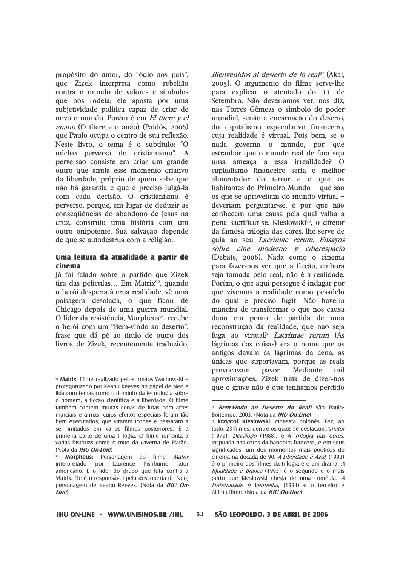propósito do amor, do "ódio aos pais", que Zizek interpreta como rebelião contra o mundo de valores e símbolos que nos rodeia; ele aposta por uma subjetividade política capaz de criar de novo o mundo. Porém é em El títere y el *enano* (O títere e o anão) (Paidós, 2006) que Paulo ocupa o centro de sua reflexão. Neste livro, o tema é o subtítulo: "O núcleo perverso do cristianismo". A perversão consiste em criar um grande outro que anula esse momento criativo da liberdade, próprio de quem sabe que não há garantia e que é preciso julgá-la com cada decisão. O cristianismo é perverso, porque, em lugar de deduzir as consequências do abandono de Jesus na cruz, construiu uma história com um outro onipotente. Sua salvação depende de que se autodestrua com a religião.

#### Uma leitura da atualidade a partir do cinema

Já foi falado sobre o partido que Zizek tira das películas... Em Matrix<sup>90</sup>, quando o herói desperta à crua realidade, vê uma paisagem desolada, o que ficou de Chicago depois de uma guerra mundial. O líder da resistência, Morpheus<sup>91</sup>, recebe o herói com um "Bem-vindo ao deserto", frase que dá pé ao título de outro dos livros de Zizek, recentemente traduzido,

Bienvenidos al desierto de lo real<sup>p2</sup> (Akal. 2005). O argumento do filme serve-lhe para explicar o atentado do II de Setembro. Não deveríamos ver, nos diz, nas Torres Gêmeas o símbolo do poder mundial, senão a encarnação do deserto, do capitalismo especulativo financeiro, cuja realidade é virtual. Pois bem, se o nada governa o mundo, por que estranhar que o mundo real de fora seja uma ameaca a essa irrealidade? O capitalismo financeiro seria o melhor alimentador do terror e o que os habitantes do Primeiro Mundo - que são os que se aproveitam do mundo virtual deveriam perguntar-se, é por que não conhecem uma causa pela qual valha a pena sacrificar-se. Kieslowski<sup>93</sup>, o diretor da famosa trilogia das cores, lhe serve de guia ao seu Lacrimae rerum. Ensayos sobre cine moderno y ciberespacio (Debate, 2006). Nada como o cinema para fazer-nos ver que a ficção, embora seja tomada pelo real, não é a realidade. Porém, o que aqui persegue é indagar por que vivemos a realidade como pesadelo do qual é preciso fugir. Não haveria maneira de transformar o que nos causa dano em ponto de partida de uma reconstrução da realidade, que não seja fuga ao virtual? *Lacrimae rerum* (As lágrimas das coisas) era o nome que os antigos davam às lágrimas da cena, as únicas que suportavam, porque as reais provocavam payor. Mediante mil aproximações, Zizek trata de dizer-nos que o grave não é que tenhamos perdido

53

<sup>&</sup>lt;sup>®</sup> Matrix: Filme realizado pelos irmãos Wachowski e protagonizado por Keanu Reeves no papel de Neo e lida com temas como o domínio da tecnologia sobre o homem, a ficção científica e a liberdade. O filme também contém muitas cenas de lutas com artes marciais e armas, cujos efeitos especiais foram tão bem executados, que viraram ícones e passaram a ser imitados em vários filmes posteriores. É a primeira parte de uma trilogia. O filme remonta a várias histórias como o mito da caverna de Platão. (Nota da IHU On-Line)

Morpheus: Personagem do filme Matrix interpretado por Laurence Fishburne, ator americano. É o líder do grupo que luta contra a Matrix. Ele é o responsável pela descoberta de Neo, personagem de Keanu Reeves. (Nota da IHU On $line$ 

Bem-Vindo ao Deserto do Real! São Paulo: Boitempo, 2003. (Nota da IHU On-Line)

<sup>&</sup>lt;sup>93</sup> Krzystof Kieslowski: cineasta polonês. Fez, ao todo, 23 filmes, dentre os quais se destacam Amator (1979), Decálogo (1988), e A Trilogia das Cores, inspirada nas cores da bandeira francesa, e em seus significados, um dos momentos mais poéticos do cinema na década de 90. A Liberdade é Azul, (1993) é o primeiro dos filmes da trilogia e é um drama. A Igualdade é Branca (1993) é o segundo e o mais perto que Kieslowski chega de uma comédia. A Fraternidade é Vermelha, (1994) é o terceiro e último filme. (Nota da IHU On-Line)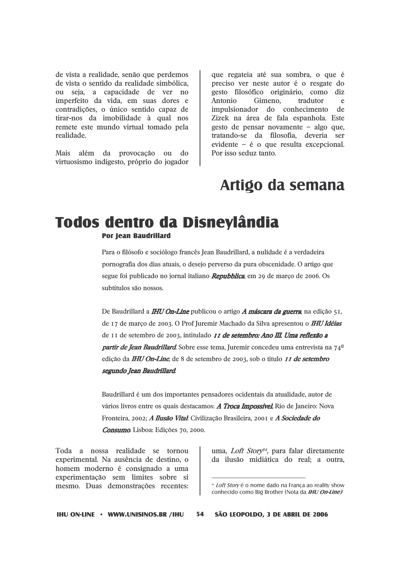de vista a realidade, senão que perdemos de vista o sentido da realidade simbólica, ou seja, a capacidade de ver no imperfeito da vida, em suas dores e contradições, o único sentido capaz de tirar-nos da imobilidade à qual nos remete este mundo virtual tomado pela realidade.

Mais além da provocação  $011$  do virtuosismo indigesto, próprio do jogador que regateia até sua sombra, o que é preciso ver neste autor é o resgate do gesto filosófico originário, como diz Antonio Gimeno. tradutor e impulsionador do conhecimento de Zizek na área de fala espanhola. Este gesto de pensar novamente - algo que, tratando-se da filosofia, deveria ser evidente  $-$  é o que resulta excepcional. Por isso seduz tanto.

### Artigo da semana

# **Todos dentro da Disnevlândia**

**Por Jean Baudrillard** 

Para o filósofo e sociólogo francês Jean Baudrillard, a nulidade é a verdadeira pornografia dos dias atuais, o desejo perverso da pura obscenidade. O artigo que segue foi publicado no jornal italiano Repubblica, em 29 de março de 2006. Os subtítulos são nossos.

De Baudrillard a *IHU On-Line* publicou o artigo *A máscara da guerra*, na edição 51, de 17 de março de 2003. O Prof Juremir Machado da Silva apresentou o IHU Idéias de 11 de setembro de 2003, intitulado *11 de setembro: Ano III. Uma reflexão a* **partir de Jean Baudrillard**. Sobre esse tema, Juremir concedeu uma entrevista na 74<sup>°</sup> edição da IHU On-Line, de 8 de setembro de 2003, sob o título *11 de setembro* segundo Jean Baudrillard.

Baudrillard é um dos importantes pensadores ocidentais da atualidade, autor de vários livros entre os quais destacamos: A Troca Impossível. Rio de Janeiro: Nova Fronteira, 2002; A Ilusão Vital: Civilização Brasileira, 2001 e A Sociedade do Consumo. Lisboa: Edições 70, 2000.

Toda a nossa realidade se tornou experimental. Na ausência de destino, o homem moderno é consignado a uma experimentação sem limites sobre si mesmo. Duas demonstrações recentes:

uma, Loft Story<sup>94</sup>, para falar diretamente da ilusão midiática do real; a outra,

*<sup>»</sup> Loft Storv* é o nome dado na Franca ao reality show conhecido como Big Brother (Nota da IHU On-Line)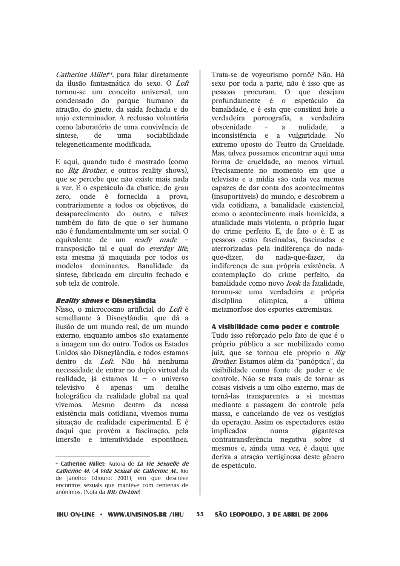*Catherine Millet<sup>o5</sup>*, para falar diretamente da ilusão fantasmática do sexo. O Loft tornou-se um conceito universal, um condensado do parque humano da atração, do gueto, da saída fechada e do anio exterminador. A reclusão voluntária como laboratório de uma convivência de síntese. de uma sociabilidade telegeneticamente modificada.

E aqui, quando tudo é mostrado (como no *Big Brother*, e outros reality shows), que se percebe que não existe mais nada a ver. É o espetáculo da chatice, do grau zero. onde é fornecida a prova. contrariamente a todos os objetivos, do desaparecimento do outro, e talvez também do fato de que o ser humano não é fundamentalmente um ser social. O equivalente de um ready made transposição tal e qual do *everday life*, esta mesma já maquiada por todos os modelos dominantes. Banalidade da síntese, fabricada em circuito fechado e sob tela de controle.

#### Reality shows e Disneylândia

Nisso, o microcosmo artificial do Loft é semelhante à Disneylândia, que dá a ilusão de um mundo real, de um mundo externo, enquanto ambos são exatamente a imagem um do outro. Todos os Estados Unidos são Disnevlândia, e todos estamos dentro da Loft. Não há nenhuma necessidade de entrar no duplo virtual da realidade, já estamos lá - o universo televisivo  $\dot{e}$ apenas  $um$ detalhe holográfico da realidade global na qual dentro vivemos. Mesmo da nossa existência mais cotidiana, vivemos numa situação de realidade experimental. E é daqui que provém a fascinação, pela imersão e interatividade espontânea.

Trata-se de voveurismo pornô? Não. Há sexo por toda a parte, não é isso que as pessoas procuram. O que desejam profundamente é o espetáculo da banalidade, e é esta que constitui hoie a verdadeira pornografia, a verdadeira obscenidade  $\,$ nulidade. a  $\mathbf{a}$ inconsistência e a vulgaridade. No extremo oposto do Teatro da Crueldade. Mas, talvez possamos encontrar aqui uma forma de crueldade, ao menos virtual. Precisamente no momento em que a televisão e a mídia são cada vez menos capazes de dar conta dos acontecimentos (insuportáveis) do mundo, e descobrem a vida cotidiana, a banalidade existencial, como o acontecimento mais homicida, a atualidade mais violenta, o próprio lugar do crime perfeito. E, de fato o é. E as pessoas estão fascinadas, fascinadas e aterrorizadas pela indiferenca do nadaque-dizer.  $d\Omega$ nada-que-fazer.  $\mathbf{d}$ indiferença de sua própria existência. A contemplação do crime perfeito, da banalidade como novo look da fatalidade, tornou-se uma verdadeira e própria disciplina olímpica. última  $\overline{a}$ metamorfose dos esportes extremistas.

#### A visibilidade como poder e controle

Tudo isso reforcado pelo fato de que é o próprio público a ser mobilizado como juiz, que se tornou ele próprio o Big Brother. Estamos além da "panóptica", da visibilidade como fonte de poder e de controle. Não se trata mais de tornar as coisas visíveis a um olho externo, mas de torná-las transparentes a si mesmas mediante a passagem do controle pela massa, e cancelando de vez os vestígios da operação. Assim os espectadores estão *implicados* numa gigantesca contratransferência negativa sobre si mesmos e, ainda uma vez, é daqui que deriva a atração vertiginosa deste gênero de espetáculo.

<sup>&</sup>lt;sup>95</sup> Catherine Millet: Autora de La Vie Sexuelle de Catherine M. (A Vida Sexual de Catherine M., Rio de Janeiro: Ediouro: 2001), em que descreve encontros sexuais que manteve com centenas de anônimos. (Nota da IHU On-Line)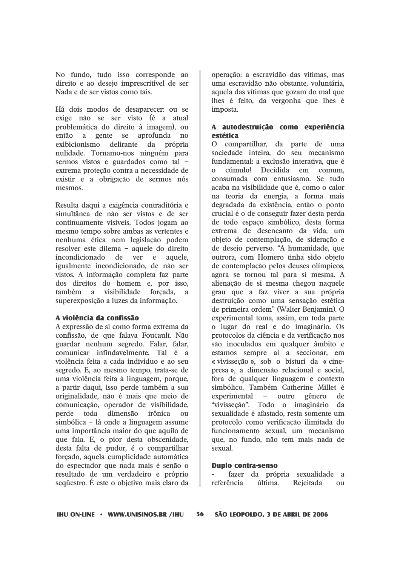No fundo, tudo isso corresponde ao direito e ao desejo imprescritível de ser Nada e de ser vistos como tais.

Há dois modos de desaparecer: ou se exige não se ser visto (é a atual problemática do direito à imagem), ou então a gente se aprofunda  $\overline{p}$ delirante exibicionismo da própria nulidade. Tornamo-nos ninguém para sermos vistos e guardados como tal extrema proteção contra a necessidade de existir e a obrigação de sermos nós mesmos.

Resulta daqui a exigência contraditória e simultânea de não ser vistos e de ser continuamente visíveis. Todos jogam ao mesmo tempo sobre ambas as vertentes e nenhuma ética nem legislação podem resolver este dilema - aquele do direito incondicionado  $de$ ver  $\mathbf{e}$ aquele. igualmente incondicionado, de não ser vistos. A informação completa faz parte dos direitos do homem e, por isso, também a visibilidade forcada. a superexposição a luzes da informação.

#### A violência da confissão

A expressão de si como forma extrema da confissão, de que falava Foucault. Não guardar nenhum segredo. Falar, falar, comunicar infindavelmente. Tal é a violência feita a cada indivíduo e ao seu segredo. E, ao mesmo tempo, trata-se de uma violência feita à linguagem, porque, a partir daqui, isso perde também a sua originalidade, não é mais que meio de comunicação, operador de visibilidade, dimensão perde toda irônica  $\Omega$ 11 simbólica - lá onde a linguagem assume uma importância maior do que aquilo de que fala. E, o pior desta obscenidade, desta falta de pudor, é o compartilhar forçado, aquela cumplicidade automática do espectador que nada mais é senão o resultado de um verdadeiro e próprio sequestro. É este o objetivo mais claro da

operação: a escravidão das vítimas, mas uma escravidão não obstante, voluntária, aquela das vítimas que gozam do mal que lhes é feito, da vergonha que lhes é imposta.

#### A autodestruicão como experiência estética

O compartilhar, da parte de uma sociedade inteira, do seu mecanismo fundamental: a exclusão interativa, que é cúmulo! Decidida em comum.  $\Omega$ consumada com entusiasmo. Se tudo acaba na visibilidade que é, como o calor na teoria da energia, a forma mais degradada da existência, então o ponto crucial é o de conseguir fazer desta perda de todo espaco simbólico, desta forma extrema de desencanto da vida, um obieto de contemplação, de sideração e de desejo perverso. "A humanidade, que outrora, com Homero tinha sido objeto de contemplação pelos deuses olímpicos. agora se tornou tal para si mesma. A alienação de si mesma chegou naquele grau que a faz viver a sua própria destruição como uma sensação estética de primeira ordem" (Walter Benjamin). O experimental toma, assim, em toda parte o lugar do real e do imaginário. Os protocolos da ciência e da verificação nos são inoculados em qualquer âmbito e estamos sempre aí a seccionar, em « vivisseção », sob o bisturi da « cinepresa », a dimensão relacional e social, fora de qualquer linguagem e contexto simbólico. Também Catherine Millet é experimental – outro gênero de "vivisseção". Todo o imaginário da sexualidade é afastado, resta somente um protocolo como verificação ilimitada do funcionamento sexual, um mecanismo que, no fundo, não tem mais nada de sexual.

#### **Duplo contra-senso**

fazer da própria sexualidade a referência última. Reieitada  $\Omega$ 11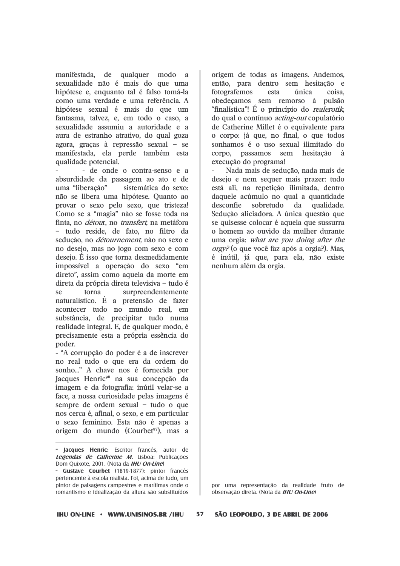manifestada, de qualquer modo a sexualidade não é mais do que uma hipótese e, enquanto tal é falso tomá-la como uma verdade e uma referência. A hipótese sexual é mais do que um fantasma, talvez, e, em todo o caso, a sexualidade assumiu a autoridade e a aura de estranho atrativo, do qual goza agora, gracas à repressão sexual - se manifestada, ela perde também esta qualidade potencial.

- de onde o contra-senso e a absurdidade da passagem ao ato e de uma "liberacão" sistemática do sexo: não se libera uma hipótese. Quanto ao provar o sexo pelo sexo, que tristeza! Como se a "magia" não se fosse toda na finta, no *détour*, no *transfert*, na metáfora - tudo reside, de fato, no filtro da sedução, no *détournement*, não no sexo e no desejo, mas no jogo com sexo e com desejo. É isso que torna desmedidamente impossível a operação do sexo "em direto", assim como aquela da morte em direta da própria direta televisiva - tudo é  $S_{\mathbf{P}}$ torna surpreendentemente naturalístico. É a pretensão de fazer acontecer tudo no mundo real, em substância, de precipitar tudo numa realidade integral. E, de qualquer modo, é precisamente esta a própria essência do poder.

- "A corrupção do poder é a de inscrever no real tudo o que era da ordem do sonho..." A chave nos é fornecida por Jacques Henric<sup>96</sup> na sua concepção da imagem e da fotografia: inútil velar-se a face, a nossa curiosidade pelas imagens é sempre de ordem sexual - tudo o que nos cerca é, afinal, o sexo, e em particular o sexo feminino. Esta não é apenas a origem do mundo (Courbet<sup>97</sup>), mas a

origem de todas as imagens. Andemos. então, para dentro sem hesitação e fotografemos esta única coisa. obedecamos sem remorso à pulsão "finalística"! É o princípio do *realerotik*. do qual o contínuo *acting-out* copulatório de Catherine Millet é o equivalente para o corpo: já que, no final, o que todos sonhamos é o uso sexual ilimitado do corpo, passamos sem hesitação  $\Delta$ execução do programa!

Nada mais de sedução, nada mais de desejo e nem sequer mais prazer: tudo está ali, na repetição ilimitada, dentro daquele acúmulo no qual a quantidade desconfie sobretudo da qualidade. Sedução aliciadora. A única questão que se quisesse colocar é aquela que sussurra o homem ao ouvido da mulher durante uma orgia: what are you doing after the *orgy*? (o que você faz após a orgia?). Mas, é inútil, já que, para ela, não existe nenhum além da orgia.

por uma representação da realidade fruto de observação direta. (Nota da IHU On-Line)

57 SÃO LEOPOLDO, 3 DE ABRIL DE 2006

**Jacques Henric:** Escritor francês, autor de Legendas de Catherine M. Lisboa: Publicações Dom Quixote, 2001. (Nota da IHU On-Line)

Gustave Courbet (1819-1877): pintor francês pertencente à escola realista. Foi, acima de tudo, um pintor de paisagens campestres e marítimas onde o romantismo e idealização da altura são substituídos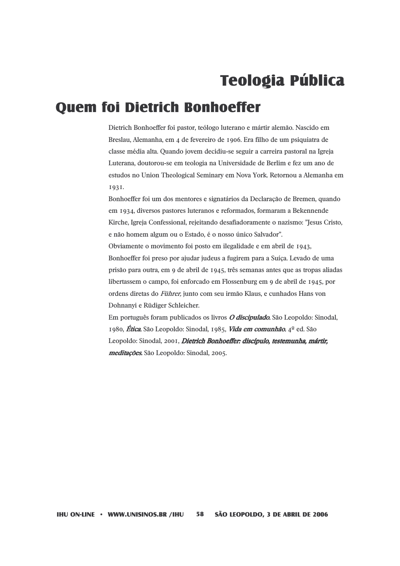## **Teologia Pública**

### **Quem foi Dietrich Bonhoeffer**

Dietrich Bonhoeffer foi pastor, teólogo luterano e mártir alemão. Nascido em Breslau, Alemanha, em 4 de fevereiro de 1906. Era filho de um psiquiatra de classe média alta. Quando jovem decidiu-se seguir a carreira pastoral na Igreja Luterana, doutorou-se em teologia na Universidade de Berlim e fez um ano de estudos no Union Theological Seminary em Nova York, Retornou a Alemanha em 1931.

Bonhoeffer foi um dos mentores e signatários da Declaração de Bremen, quando em 1934, diversos pastores luteranos e reformados, formaram a Bekennende Kirche, Igreja Confessional, rejeitando desafiadoramente o nazismo: "Jesus Cristo, e não homem algum ou o Estado, é o nosso único Salvador". Obviamente o movimento foi posto em ilegalidade e em abril de 1943, Bonhoeffer foi preso por ajudar judeus a fugirem para a Suíça. Levado de uma prisão para outra, em 9 de abril de 1945, três semanas antes que as tropas aliadas libertassem o campo, foi enforcado em Flossenburg em 9 de abril de 1945, por ordens diretas do Führer, junto com seu irmão Klaus, e cunhados Hans von Dohnanyi e Rüdiger Schleicher.

Em português foram publicados os livros *O discipulado*. São Leopoldo: Sinodal, 1980, *Ética*, São Leopoldo: Sinodal, 1985, *Vida em comunhão*, 4<sup>°</sup> ed. São Leopoldo: Sinodal, 2001, Dietrich Bonhoeffer: discípulo, testemunha, mártir, meditações. São Leopoldo: Sinodal, 2005.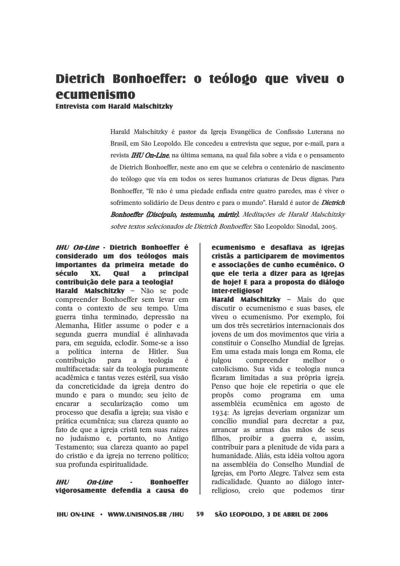### Dietrich Bonhoeffer: o teólogo que viveu o ecumenismo

**Entrevista com Harald Malschitzky** 

Harald Malschitzky é pastor da Igreja Evangélica de Confissão Luterana no Brasil, em São Leopoldo. Ele concedeu a entrevista que segue, por e-mail, para a revista **IHU On-Line**, na última semana, na qual fala sobre a vida e o pensamento de Dietrich Bonhoeffer, neste ano em que se celebra o centenário de nascimento do teólogo que via em todos os seres humanos criaturas de Deus dignas. Para Bonhoeffer, "fé não é uma piedade enfiada entre quatro paredes, mas é viver o sofrimento solidário de Deus dentro e para o mundo". Harald é autor de *Dietrich* Bonhoeffer (Discípulo, testemunha, mártir), Meditações de Harald Malschitzky sobre textos selecionados de Dietrich Bonhoeffer. São Leopoldo: Sinodal, 2005.

#### IHI/ On-Line - Dietrich Ronhoeffer é considerado um dos teólogos mais importantes da primeira metade do século XX. **Oual**  $\mathbf{a}$ principal contribuição dele para a teologia?

Harald Malschitzky - Não se pode compreender Bonhoeffer sem levar em conta o contexto de seu tempo. Uma guerra tinha terminado, depressão na Alemanha, Hitler assume o poder e a segunda guerra mundial é alinhavada para, em seguida, eclodir. Some-se a isso política interna de Hitler. Sua  $\mathbf{a}$ contribuição teologia para a  $\acute{e}$ multifacetada: sair da teologia puramente acadêmica e tantas vezes estéril, sua visão da concreticidade da igreja dentro do mundo e para o mundo; seu jeito de encarar a secularização como um processo que desafia a igreja; sua visão e prática ecumênica; sua clareza quanto ao fato de que a igreja cristã tem suas raízes no judaísmo e, portanto, no Antigo Testamento; sua clareza quanto ao papel do cristão e da igreja no terreno político; sua profunda espiritualidade.

 $III$ **On-Line Ronhoeffer** vidorosamente defendia a causa do

### ecumenismo e desafiava as igreias cristãs a participarem de movimentos e associações de cunho ecumênico. O que ele teria a dizer para as igreias de hoje? E para a proposta do diálogo inter-religioso?

Harald Malschitzky - Mais do que discutir o ecumenismo e suas bases, ele viveu o ecumenismo. Por exemplo, foi um dos três secretários internacionais dos jovens de um dos movimentos que viria a constituir o Conselho Mundial de Igrejas. Em uma estada mais longa em Roma, ele julgou compreender melhor  $\Omega$ catolicismo. Sua vida e teologia nunca ficaram limitadas a sua própria igreja. Penso que hoje ele repetiria o que ele propôs  $como$ programa em  $11<sub>ma</sub>$ assembléia ecumênica em agosto de 1934: As igrejas deveriam organizar um concílio mundial para decretar a paz, arrancar as armas das mãos de seus filhos, proibir a guerra e, assim, contribuir para a plenitude de vida para a humanidade. Aliás, esta idéia voltou agora na assembléia do Conselho Mundial de Igrejas, em Porto Alegre. Talvez sem esta radicalidade. Quanto ao diálogo interreligioso, creio que podemos tirar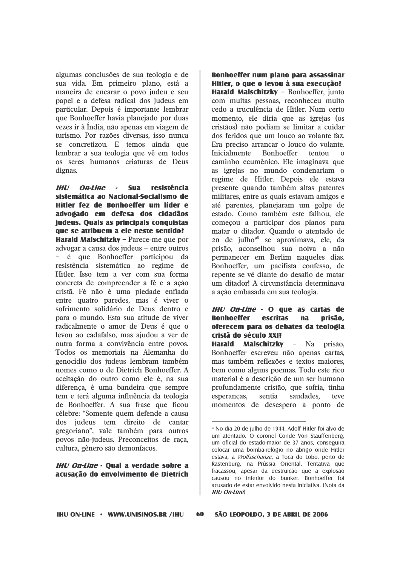algumas conclusões de sua teologia e de sua vida. Em primeiro plano, está a maneira de encarar o povo judeu e seu papel e a defesa radical dos judeus em particular. Depois é importante lembrar que Bonhoeffer havia planejado por duas vezes ir à Índia, não apenas em viagem de turismo. Por razões diversas, isso nunca se concretizou. E temos ainda que lembrar a sua teologia que vê em todos os seres humanos criaturas de Deus dignas.

#### **IHU** On-Line **Sua** resistência  $\overline{a}$ sistemática ao Nacional-Socialismo de Hitler fez de Bonhoeffer um líder e advogado em defesa dos cidadãos judeus. Quais as principais conquistas que se atribuem a ele neste sentido?

Harald Malschitzky - Parece-me que por advogar a causa dos judeus  $-$  entre outros - é que Bonhoeffer participou da resistência sistemática ao regime de Hitler. Isso tem a ver com sua forma concreta de compreender a fé e a ação cristã. Fé não é uma piedade enfiada entre quatro paredes, mas é viver o sofrimento solidário de Deus dentro e para o mundo. Esta sua atitude de viver radicalmente o amor de Deus é que o levou ao cadafalso, mas ajudou a ver de outra forma a convivência entre povos. Todos os memoriais na Alemanha do genocídio dos judeus lembram também nomes como o de Dietrich Bonhoeffer. A aceitação do outro como ele é, na sua diferenca, é uma bandeira que sempre tem e terá alguma influência da teologia de Bonhoeffer. A sua frase que ficou célebre: "Somente quem defende a causa dos judeus tem direito de cantar gregoriano", vale também para outros povos não-judeus. Preconceitos de raca, cultura, gênero são demoníacos.

#### **IHU On-Line - Qual a verdade sobre a** acusação do envolvimento de Dietrich

Bonhoeffer num plano para assassinar Hitler, o que o levou à sua execução? Harald Malschitzky - Bonhoeffer, junto com muitas pessoas, reconheceu muito cedo a truculência de Hitler. Num certo momento, ele diria que as igrejas (os cristãos) não podiam se limitar a cuidar dos feridos que um louco ao volante faz. Era preciso arrancar o louco do volante. **Bonhoeffer Inicialmente** tentou  $\Omega$ caminho ecumênico. Ele imaginava que as igrejas no mundo condenariam o regime de Hitler. Depois ele estava presente quando também altas patentes militares, entre as quais estavam amigos e até parentes, planejaram um golpe de estado. Como também este falhou, ele comecou a participar dos planos para matar o ditador. Quando o atentado de 20 de julho<sup>98</sup> se aproximava, ele, da prisão, aconselhou sua noiva a não permanecer em Berlim naqueles dias. Bonhoeffer, um pacifista confesso, de repente se vê diante do desafio de matar um ditador! A circunstância determinava a ação embasada em sua teologia.

#### IHU On-Line - O que as cartas de **Bonhoeffer escritas** prisão, na oferecem para os debates da teologia cristã do século XXI?

Harald Malschitzky - Na prisão, Bonhoeffer escreveu não apenas cartas, mas também reflexões e textos maiores, bem como alguns poemas. Todo este rico material é a descrição de um ser humano profundamente cristão, que sofria, tinha sentia saudades. esperancas. teve momentos de desespero a ponto de

60

<sup>&</sup>lt;sup>98</sup> No dia 20 de julho de 1944, Adolf Hitler foi alvo de um atentado. O coronel Conde Von Stauffenberg, um oficial do estado-maior de 37 anos, conseguira colocar uma bomba-relógio no abrigo onde Hitler estava, a *Wolfsschanze*, a Toca do Lobo, perto de Rastenburg, na Prússia Oriental. Tentativa que fracassou, apesar da destruição que a explosão causou no interior do bunker. Bonhoeffer foi acusado de estar envolvido nesta iniciativa. (Nota da  $IHI/On$ -line)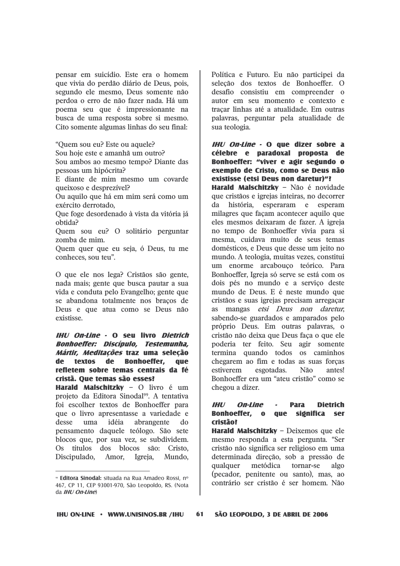pensar em suicídio. Este era o homem que vivia do perdão diário de Deus, pois, segundo ele mesmo, Deus somente não perdoa o erro de não fazer nada. Há um poema seu que é impressionante na busca de uma resposta sobre si mesmo. Cito somente algumas linhas do seu final:

"Ouem sou eu? Este ou aquele? Sou hoie este e amanhã um outro? Sou ambos ao mesmo tempo? Diante das pessoas um hipócrita?

E diante de mim mesmo um covarde queixoso e desprezível?

Ou aquilo que há em mim será como um exército derrotado,

Que foge desordenado à vista da vitória já obtida?

Quem sou eu? O solitário perguntar zomba de mim.

Quem quer que eu seja, ó Deus, tu me conheces, sou teu".

O que ele nos lega? Cristãos são gente, nada mais; gente que busca pautar a sua vida e conduta pelo Evangelho: gente que se abandona totalmente nos bracos de Deus e que atua como se Deus não existisse.

#### **IHU On-Line - O seu livro Dietrich Bonhoeffer: Discípulo, Testemunha,** Mártir, Meditacões traz uma selecão de textos de Bonhoeffer, que refletem sobre temas centrais da fé cristã. Oue temas são esses?

Harald Malschitzky - O livro é um projeto da Editora Sinodal<sup>99</sup>. A tentativa foi escolher textos de Bonhoeffer para que o livro apresentasse a variedade e desse uma idéia abrangente  $d\Omega$ pensamento daquele teólogo. São sete blocos que, por sua vez, se subdividem. Os títulos dos blocos são: Cristo, Discipulado. Amor. Igreja. Mundo.

Política e Futuro. Eu não participei da seleção dos textos de Bonhoeffer. O desafio consistiu em compreender o autor em seu momento e contexto e tracar linhas até a atualidade. Em outras palavras, perguntar pela atualidade de sua teologia.

IHU On-Line - O que dizer sobre a célebre e paradoxal proposta de Bonhoeffer: "viver e agir segundo o exemplo de Cristo, como se Deus não existisse (etsi Deus non daretur)"?

Harald Malschitzky - Não é novidade que cristãos e igrejas inteiras, no decorrer história, esperaram e esperam da milagres que facam acontecer aquilo que eles mesmos deixaram de fazer. A igreja no tempo de Bonhoeffer vivia para si mesma, cuidava muito de seus temas domésticos, e Deus que desse um jeito no mundo. A teologia, muitas vezes, constitui um enorme arcabouco teórico. Para Bonhoeffer, Igreja só serve se está com os dois pés no mundo e a serviço deste mundo de Deus. E é neste mundo que cristãos e suas igrejas precisam arregaçar as mangas etsi Deus non daretur. sabendo-se guardados e amparados pelo próprio Deus. Em outras palavras, o cristão não deixa que Deus faça o que ele poderia ter feito. Seu agir somente termina quando todos os caminhos chegarem ao fim e todas as suas forças estiverem esgotadas. Não antes! Bonhoeffer era um "ateu cristão" como se chegou a dizer.

#### $III/$ On-Line **Dietrich Para Bonhoeffer.** o significa ser que cristão?

Harald Malschitzky - Deixemos que ele mesmo responda a esta pergunta. "Ser cristão não significa ser religioso em uma determinada direção, sob a pressão de qualquer metódica tornar-se algo (pecador, penitente ou santo), mas, ao contrário ser cristão é ser homem. Não

<sup>&</sup>lt;sup>®</sup> Editora Sinodal: situada na Rua Amadeo Rossi, nº 467, CP 11, CEP 93001-970, São Leopoldo, RS. (Nota  $da$  *IHU On-Line*)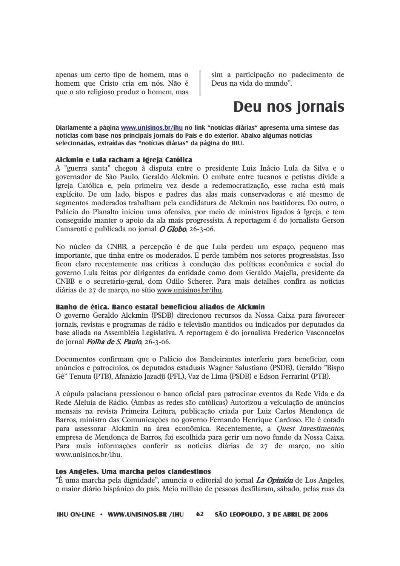apenas um certo tipo de homem, mas o homem que Cristo cria em nós. Não é que o ato religioso produz o homem, mas sim a participação no padecimento de Deus na vida do mundo".

### Deu nos jornais

Diariamente a página www.unisinos.br/ihu no link "notícias diárias" apresenta uma síntese das notícias com base nos principais jornais do País e do exterior. Abaixo algumas notícias selecionadas, extraídas das "notícias diárias" da página do IHU.

#### Alckmin e Lula racham a Igreia Católica

A "guerra santa" chegou à disputa entre o presidente Luiz Inácio Lula da Silva e o governador de São Paulo, Geraldo Alckmin, O embate entre tucanos e petistas divide a Igreja Católica e, pela primeira vez desde a redemocratização, esse racha está mais explícito. De um lado, bispos e padres das alas mais conservadoras e até mesmo de segmentos moderados trabalham pela candidatura de Alckmin nos bastidores. Do outro, o Palácio do Planalto iniciou uma ofensiva, por meio de ministros ligados à Igreja, e tem conseguido manter o apoio da ala mais progressista. A reportagem é do jornalista Gerson Camarotti e publicada no jornal *O Globo*, 26-3-06.

No núcleo da CNBB, a percepção é de que Lula perdeu um espaço, pequeno mas importante, que tinha entre os moderados. E perde também nos setores progressistas, Isso ficou claro recentemente nas críticas à condução das políticas econômica e social do governo Lula feitas por dirigentes da entidade como dom Geraldo Majella, presidente da CNBB e o secretário-geral, dom Odilo Scherer. Para mais detalhes confira as noticias diárias de 27 de março, no sítio www.unisinos.br/ihu.

#### Ranho de ética. Ranco estatal beneficiou aliados de Alckmin

O governo Geraldo Alckmin (PSDB) direcionou recursos da Nossa Caixa para favorecer jornais, revistas e programas de rádio e televisão mantidos ou indicados por deputados da base aliada na Assembléia Legislativa. A reportagem é do jornalista Frederico Vasconcelos do jornal Folha de S. Paulo, 26-3-06.

Documentos confirmam que o Palácio dos Bandeirantes interferiu para beneficiar, com anúncios e patrocínios, os deputados estaduais Wagner Salustiano (PSDB), Geraldo "Bispo Gê" Tenuta (PTB), Afanázio Jazadji (PFL), Vaz de Lima (PSDB) e Edson Ferrarini (PTB).

A cúpula palaciana pressionou o banco oficial para patrocinar eventos da Rede Vida e da Rede Aleluia de Rádio. (Ambas as redes são católicas) Autorizou a veiculação de anúncios mensais na revista Primeira Leitura, publicação criada por Luiz Carlos Mendonça de Barros, ministro das Comunicações no governo Fernando Henrique Cardoso. Ele é cotado para assessorar Alckmin na área econômica. Recentemente, a *Quest Investimentos*, empresa de Mendonça de Barros, foi escolhida para gerir um novo fundo da Nossa Caixa. Para mais informações conferir as noticias diárias de 27 de março, no sítio www.unisinos.br/ihu.

#### Los Angeles. Uma marcha pelos clandestinos

"É uma marcha pela dignidade", anuncia o editorial do jornal La Opinión de Los Angeles, o maior diário hispânico do país. Meio milhão de pessoas desfilaram, sábado, pelas ruas da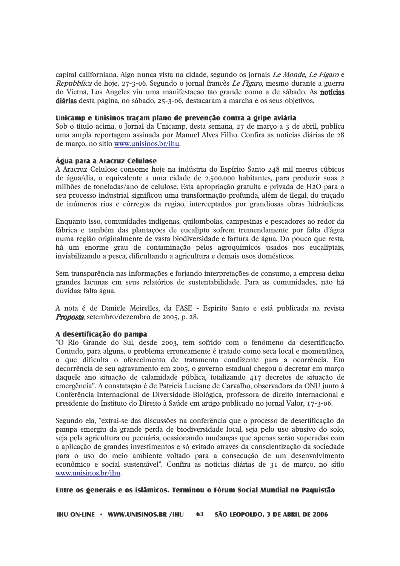capital californiana. Algo nunca vista na cidade, segundo os jornais Le Monde, Le Figaro e Repubblica de hoje, 27-3-06. Segundo o jornal francês Le Figaro, mesmo durante a guerra do Vietnã, Los Angeles viu uma manifestação tão grande como a de sábado. As notícias diárias desta página, no sábado, 25-3-06, destacaram a marcha e os seus objetivos.

#### Unicamp e Unisinos tracam plano de prevencão contra a gripe aviária

Sob o título acima, o Jornal da Unicamp, desta semana, 27 de marco a 3 de abril, publica uma ampla reportagem assinada por Manuel Alves Filho. Confira as noticias diárias de 28 de marco, no sítio www.unisinos.br/ihu.

#### Áoua para a Aracruz Celulose

A Aracruz Celulose consome hoje na indústria do Espírito Santo 248 mil metros cúbicos de água/dia, o equivalente a uma cidade de 2.500.000 habitantes, para produzir suas 2 milhões de toneladas/ano de celulose. Esta apropriação gratuita e privada de H2O para o seu processo industrial significou uma transformação profunda, além de ilegal, do traçado de inúmeros rios e córregos da região, interceptados por grandiosas obras hidráulicas.

Enquanto isso, comunidades indígenas, quilombolas, campesinas e pescadores ao redor da fábrica e também das plantações de eucalipto sofrem tremendamente por falta d'água numa região originalmente de vasta biodiversidade e fartura de água. Do pouco que resta, há um enorme grau de contaminação pelos agroquímicos usados nos eucaliptais, inviabilizando a pesca, dificultando a agricultura e demais usos domésticos.

Sem transparência nas informações e forjando interpretações de consumo, a empresa deixa grandes lacunas em seus relatórios de sustentabilidade. Para as comunidades, não há dúvidas: falta água.

A nota é de Daniele Meirelles, da FASE - Espírito Santo e está publicada na revista **Proposta**, setembro/dezembro de 2005, p. 28.

#### A desertificação do pampa

"O Rio Grande do Sul, desde 2003, tem sofrido com o fenômeno da desertificação. Contudo, para alguns, o problema erroneamente é tratado como seca local e momentânea, o que dificulta o oferecimento de tratamento condizente para a ocorrência. Em decorrência de seu agravamento em 2005, o governo estadual chegou a decretar em março daquele ano situação de calamidade pública, totalizando 417 decretos de situação de emergência". A constatação é de Patrícia Luciane de Carvalho, observadora da ONU junto à Conferência Internacional de Diversidade Biológica, professora de direito internacional e presidente do Instituto do Direito à Saúde em artigo publicado no jornal Valor, 17-3-06.

Segundo ela, "extrai-se das discussões na conferência que o processo de desertificação do pampa emergiu da grande perda de biodiversidade local, seja pelo uso abusivo do solo, seja pela agricultura ou pecuária, ocasionando mudanças que apenas serão superadas com a aplicação de grandes investimentos e só evitado através da conscientização da sociedade para o uso do meio ambiente voltado para a consecução de um desenvolvimento econômico e social sustentável". Confira as noticias diárias de 31 de março, no sítio www.unisinos.br/ihu.

#### Entre os generais e os islâmicos. Terminou o Fórum Social Mundial no Paquistão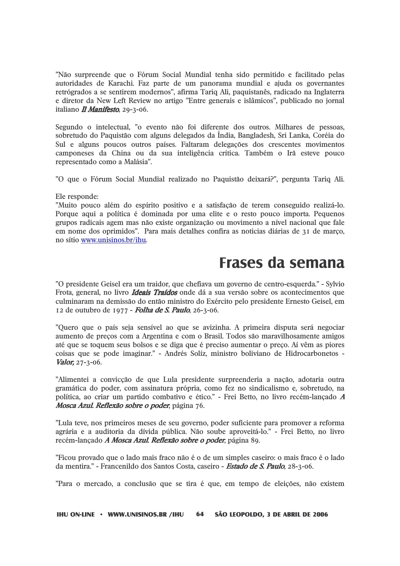"Não surpreende que o Fórum Social Mundial tenha sido permitido e facilitado pelas autoridades de Karachi. Faz parte de um panorama mundial e ajuda os governantes retrógrados a se sentirem modernos", afirma Tariq Ali, paquistanês, radicado na Inglaterra e diretor da New Left Review no artigo "Entre generais e islâmicos", publicado no jornal italiano *II Manifesto*. 29-3-06.

Segundo o intelectual, "o evento não foi diferente dos outros. Milhares de pessoas, sobretudo do Paquistão com alguns delegados da Índia, Bangladesh, Sri Lanka, Coréia do Sul e alguns poucos outros países. Faltaram delegações dos crescentes movimentos camponeses da China ou da sua inteligência crítica. Também o Irã esteve pouco representado como a Malásia".

"O que o Fórum Social Mundial realizado no Paquistão deixará?", pergunta Tariq Ali.

#### Ele responde:

"Muito pouco além do espírito positivo e a satisfação de terem conseguido realizá-lo. Porque aqui a política é dominada por uma elite e o resto pouco importa. Pequenos grupos radicais agem mas não existe organização ou movimento a nível nacional que fale em nome dos oprimidos". Para mais detalhes confira as noticias diárias de 31 de março, no sítio www.unisinos.br/ihu.

### Frases da semana

"O presidente Geisel era um traidor, que chefiava um governo de centro-esquerda." - Sylvio Frota, general, no livro *Ideais Traídos* onde dá a sua versão sobre os acontecimentos que culminaram na demissão do então ministro do Exército pelo presidente Ernesto Geisel, em 12 de outubro de 1977 - Folha de S. Paulo, 26-3-06.

"Quero que o país seja sensível ao que se avizinha. A primeira disputa será negociar aumento de preços com a Argentina e com o Brasil. Todos são maravilhosamente amigos até que se toquem seus bolsos e se diga que é preciso aumentar o preço. Aí vêm as piores coisas que se pode imaginar." - Andrés Solíz, ministro boliviano de Hidrocarbonetos -*Valor*,  $27 - 3 - 06$ .

"Alimentei a convicção de que Lula presidente surpreenderia a nação, adotaria outra gramática do poder, com assinatura própria, como fez no sindicalismo e, sobretudo, na política, ao criar um partido combativo e ético." - Frei Betto, no livro recém-lancado A Mosca Azul. Reflexão sobre o poder, página 76.

"Lula teve, nos primeiros meses de seu governo, poder suficiente para promover a reforma agrária e a auditoria da dívida pública. Não soube aproveitá-lo." - Frei Betto, no livro recém-lançado A Mosca Azul. Reflexão sobre o poder, página 89.

"Ficou provado que o lado mais fraco não é o de um simples caseiro: o mais fraco é o lado da mentira." - Francenildo dos Santos Costa, caseiro - Estado de S. Paulo, 28-3-06.

"Para o mercado, a conclusão que se tira é que, em tempo de eleições, não existem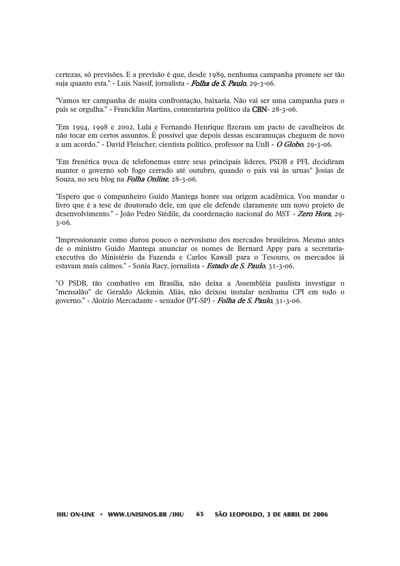certezas, só previsões. E a previsão é que, desde 1989, nenhuma campanha promete ser tão suja quanto esta." - Luis Nassif, jornalista - Folha de S. Paulo, 29-3-06.

"Vamos ter campanha de muita confrontação, baixaria. Não vai ser uma campanha para o país se orgulha." - Francklin Martins, comentarista político da CBN-28-3-06.

"Em 1994, 1998 e 2002, Lula e Fernando Henrique fizeram um pacto de cavalheiros de não tocar em certos assuntos. É possível que depois dessas escaramuças cheguem de novo a um acordo." - David Fleischer, cientista político, professor na UnB -  $\ddot{o}$  Globo, 29-3-06.

"Em frenética troca de telefonemas entre seus principais líderes, PSDB e PFL decidiram manter o governo sob fogo cerrado até outubro, quando o país vai às urnas" Josias de Souza, no seu blog na **Folha Online**, 28-3-06.

"Espero que o companheiro Guido Mantega honre sua origem acadêmica. Vou mandar o livro que é a tese de doutorado dele, em que ele defende claramente um novo projeto de desenvolvimento." - João Pedro Stédile, da coordenação nacional do MST - Zero Hora, 29- $3 - 06.$ 

"Impressionante como durou pouco o nervosismo dos mercados brasileiros. Mesmo antes de o ministro Guido Mantega anunciar os nomes de Bernard Appy para a secretariaexecutiva do Ministério da Fazenda e Carlos Kawall para o Tesouro, os mercados já estavam mais calmos." - Sonia Racy, jornalista - Estado de S. Paulo, 31-3-06.

"O PSDB, tão combativo em Brasília, não deixa a Assembléia paulista investigar o "mensalão" de Geraldo Alckmin. Aliás, não deixou instalar nenhuma CPI em todo o governo." - Aloizio Mercadante - senador (PT-SP) - Folha de S. Paulo, 31-3-06.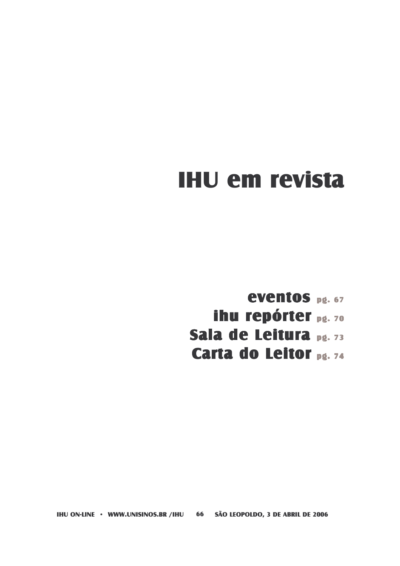# **IHU em revista**

**eventos** pg. 67 ihu repórter pg. 70 Sala de Leitura pg. 73 Carta do Leitor pg. 74

**IHU ON-LINE · WWW.UNISINOS.BR /IHU** 66 SÃO LEOPOLDO, 3 DE ABRIL DE 2006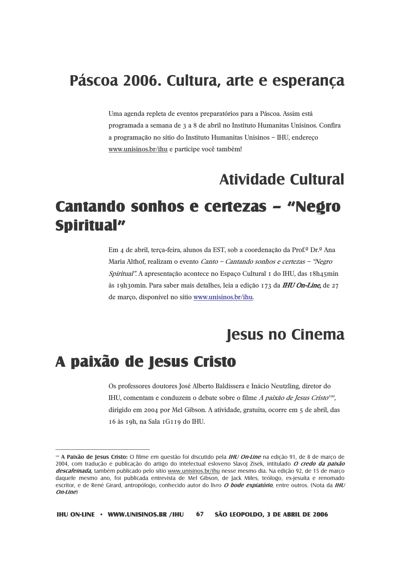### Páscoa 2006. Cultura, arte e esperança

Uma agenda repleta de eventos preparatórios para a Páscoa. Assim está programada a semana de 3 a 8 de abril no Instituto Humanitas Unisinos. Confira a programação no sítio do Instituto Humanitas Unisinos - IHU, endereço www.unisinos.br/ihu e participe você também!

### **Atividade Cultural**

### Cantando sonhos e certezas - "Negro Spiritual"

Em 4 de abril, terca-feira, alunos da EST, sob a coordenação da Prof.<sup>¤</sup> Dr.ª Ana Maria Althof, realizam o evento Canto - Cantando sonhos e certezas - "Negro" Spiritual". A apresentação acontece no Espaço Cultural I do IHU, das 18h45min às 19h30min. Para saber mais detalhes, leia a edição 173 da IHU On-Line, de 27 de março, disponível no sítio www.unisinos.br/ihu.

### **Jesus no Cinema**

### A paixão de Jesus Cristo

Os professores doutores José Alberto Baldissera e Inácio Neutzling, diretor do IHU, comentam e conduzem o debate sobre o filme A paixão de Jesus Cristo<sup>roo</sup>. dirigido em 2004 por Mel Gibson. A atividade, gratuita, ocorre em 5 de abril, das 16 às 19h, na Sala 1G119 do IHU.

**<sup>»</sup> A Paixão de Jesus Cristo:** O filme em questão foi discutido pela *IHU On-Line* na edição 91, de 8 de março de 2004, com tradução e publicação do artigo do intelectual esloveno Slavoj Zisek, intitulado O credo da paixão descafeinada, também publicado pelo sítio www.unisinos.br/ihu nesse mesmo dia. Na edição 92, de 15 de março daquele mesmo ano, foi publicada entrevista de Mel Gibson, de Jack Miles, teólogo, ex-jesuíta e renomado escritor, e de René Girard, antropólogo, conhecido autor do livro O bode expiatório, entre outros. (Nota da IHU  $On$ -line $)$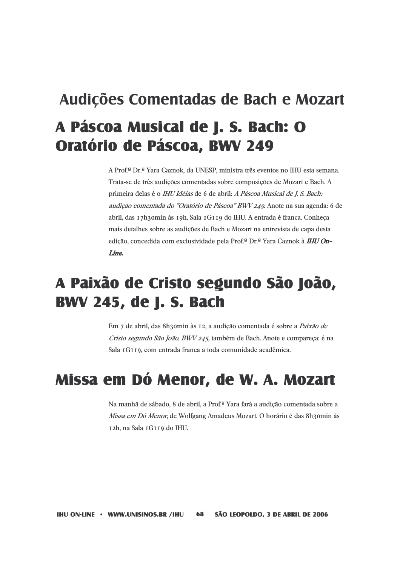# Audições Comentadas de Bach e Mozart A Páscoa Musical de J. S. Bach: O Oratório de Páscoa, BWV 249

A Prof.<sup>¤</sup> Dr.<sup>ª</sup> Yara Caznok, da UNESP, ministra três eventos no IHU esta semana. Trata-se de três audições comentadas sobre composições de Mozart e Bach. A primeira delas é o IHU Idéias de 6 de abril: A Páscoa Musical de J. S. Bach: audição comentada do "Oratório de Páscoa" BWV 249. Anote na sua agenda: 6 de abril, das 17h30min às 19h, Sala 1G119 do IHU. A entrada é franca. Conheca mais detalhes sobre as audições de Bach e Mozart na entrevista de capa desta edição, concedida com exclusividade pela Prof.<sup>o</sup> Dr.º Yara Caznok à **IHU On-**Line.

## A Paixão de Cristo segundo São João, **BWV 245, de J. S. Bach**

Em 7 de abril, das 8h3omin às 12, a audição comentada é sobre a Paixão de Cristo segundo São João, BWV 245, também de Bach. Anote e compareça: é na Sala 1G119, com entrada franca a toda comunidade acadêmica.

### Missa em Dó Menor, de W. A. Mozart

Na manhã de sábado, 8 de abril, a Prof.<sup>ª</sup> Yara fará a audição comentada sobre a Missa em Dó Menor, de Wolfgang Amadeus Mozart. O horário é das 8h30min às 12h, na Sala 1G119 do IHU.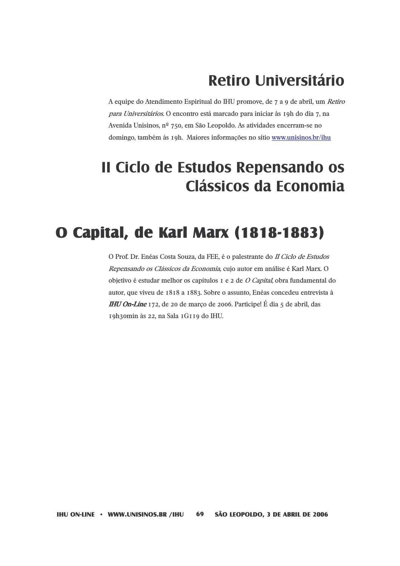## **Retiro Universitário**

A equipe do Atendimento Espiritual do IHU promove, de 7 a 9 de abril, um Retiro para Universitários. O encontro está marcado para iniciar às 19h do dia 7, na Avenida Unisinos, nº 750, em São Leopoldo. As atividades encerram-se no domingo, também às 19h. Maiores informações no sítio www.unisinos.br/ihu

## Il Ciclo de Estudos Repensando os Clássicos da Economia

## O Capital, de Karl Marx (1818-1883)

O Prof. Dr. Enéas Costa Souza, da FEE, é o palestrante do II Ciclo de Estudos Repensando os Clássicos da Economia, cujo autor em análise é Karl Marx. O objetivo é estudar melhor os capítulos I e 2 de O Capital, obra fundamental do autor, que viveu de 1818 a 1883. Sobre o assunto, Enéas concedeu entrevista à **IHU On-Line** 172, de 20 de março de 2006. Participe! É dia 5 de abril, das 19h3omin às 22, na Sala 1G119 do IHU.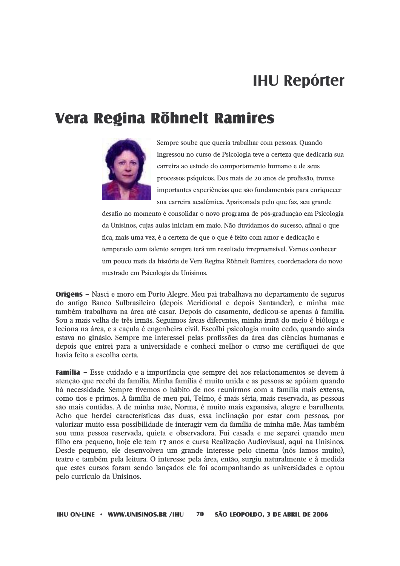## **IHU Repórter**

### Vera Regina Röhnelt Ramires



Sempre soube que queria trabalhar com pessoas. Quando ingressou no curso de Psicologia teve a certeza que dedicaria sua carreira ao estudo do comportamento humano e de seus processos psíquicos. Dos mais de 20 anos de profissão, trouxe importantes experiências que são fundamentais para enriquecer sua carreira acadêmica. Apaixonada pelo que faz, seu grande

desafio no momento é consolidar o novo programa de pós-graduação em Psicologia da Unisinos, cujas aulas iniciam em maio. Não duvidamos do sucesso, afinal o que fica, mais uma vez, é a certeza de que o que é feito com amor e dedicação e temperado com talento sempre terá um resultado irrepreensível. Vamos conhecer um pouco mais da história de Vera Regina Röhnelt Ramires, coordenadora do novo mestrado em Psicologia da Unisinos.

**Origens** – Nasci e moro em Porto Alegre. Meu pai trabalhava no departamento de seguros do antigo Banco Sulbrasileiro (depois Meridional e depois Santander), e minha mãe também trabalhava na área até casar. Depois do casamento, dedicou-se apenas à família. Sou a mais velha de três irmãs. Seguimos áreas diferentes, minha irmã do meio é bióloga e leciona na área, e a cacula é engenheira civil. Escolhi psicologia muito cedo, quando ainda estava no ginásio. Sempre me interessei pelas profissões da área das ciências humanas e depois que entrei para a universidade e conheci melhor o curso me certifiquei de que havia feito a escolha certa.

**Família –** Esse cuidado e a importância que sempre dei aos relacionamentos se devem à atenção que recebi da família. Minha família é muito unida e as pessoas se apóiam quando há necessidade. Sempre tivemos o hábito de nos reunirmos com a família mais extensa. como tios e primos. A família de meu pai, Telmo, é mais séria, mais reservada, as pessoas são mais contidas. A de minha mãe, Norma, é muito mais expansiva, alegre e barulhenta. Acho que herdei características das duas, essa inclinação por estar com pessoas, por valorizar muito essa possibilidade de interagir vem da família de minha mãe. Mas também sou uma pessoa reservada, quieta e observadora. Fui casada e me separei quando meu filho era pequeno, hoje ele tem 17 anos e cursa Realização Audiovisual, aqui na Unisinos. Desde pequeno, ele desenvolveu um grande interesse pelo cinema (nós íamos muito), teatro e também pela leitura. O interesse pela área, então, surgiu naturalmente e à medida que estes cursos foram sendo lancados ele foi acompanhando as universidades e optou pelo currículo da Unisinos.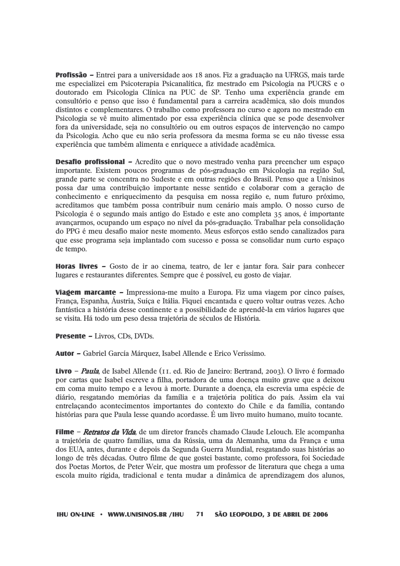**Profissão –** Entrei para a universidade aos 18 anos. Fiz a graduação na UFRGS, mais tarde me especializei em Psicoterapia Psicanalítica, fiz mestrado em Psicologia na PUCRS e o doutorado em Psicologia Clínica na PUC de SP. Tenho uma experiência grande em consultório e penso que isso é fundamental para a carreira acadêmica, são dois mundos distintos e complementares. O trabalho como professora no curso e agora no mestrado em Psicologia se vê muito alimentado por essa experiência clínica que se pode desenvolver fora da universidade, seja no consultório ou em outros espaços de intervenção no campo da Psicologia. Acho que eu não seria professora da mesma forma se eu não tivesse essa experiência que também alimenta e enriquece a atividade acadêmica.

**Desafio profissional** – Acredito que o novo mestrado venha para preencher um espaco importante. Existem poucos programas de pós-graduação em Psicologia na região Sul, grande parte se concentra no Sudeste e em outras regiões do Brasil. Penso que a Unisinos possa dar uma contribuição importante nesse sentido e colaborar com a geração de conhecimento e enriquecimento da pesquisa em nossa região e, num futuro próximo, acreditamos que também possa contribuir num cenário mais amplo. O nosso curso de Psicologia é o segundo mais antigo do Estado e este ano completa 35 anos, é importante avancarmos, ocupando um espaco no nível da pós-graduação. Trabalhar pela consolidação do PPG é meu desafio maior neste momento. Meus esforços estão sendo canalizados para que esse programa seja implantado com sucesso e possa se consolidar num curto espaco de tempo.

**Horas livres –** Gosto de ir ao cinema, teatro, de ler e jantar fora. Sair para conhecer lugares e restaurantes diferentes. Sempre que é possível, eu gosto de viajar.

**Viagem marcante –** Impressiona-me muito a Europa. Fiz uma viagem por cinco países. França, Espanha, Áustria, Suíça e Itália. Figuei encantada e quero voltar outras vezes. Acho fantástica a história desse continente e a possibilidade de aprendê-la em vários lugares que se visita. Há todo um peso dessa trajetória de séculos de História.

**Presente - Livros, CDs, DVDs.** 

Autor - Gabriel García Márquez, Isabel Allende e Erico Verissimo.

**Livro** – *Paula*, de Isabel Allende (11. ed. Rio de Janeiro: Bertrand, 2003). O livro é formado por cartas que Isabel escreve a filha, portadora de uma doença muito grave que a deixou em coma muito tempo e a levou à morte. Durante a doenca, ela escrevia uma espécie de diário, resgatando memórias da família e a trajetória política do país. Assim ela vai entrelacando acontecimentos importantes do contexto do Chile e da família, contando histórias para que Paula lesse quando acordasse. É um livro muito humano, muito tocante.

**Filme** – *Retratos da Vida*, de um diretor francês chamado Claude Lelouch. Ele acompanha a trajetória de quatro famílias, uma da Rússia, uma da Alemanha, uma da França e uma dos EUA, antes, durante e depois da Segunda Guerra Mundial, resgatando suas histórias ao longo de três décadas. Outro filme de que gostei bastante, como professora, foi Sociedade dos Poetas Mortos, de Peter Weir, que mostra um professor de literatura que chega a uma escola muito rígida, tradicional e tenta mudar a dinâmica de aprendizagem dos alunos.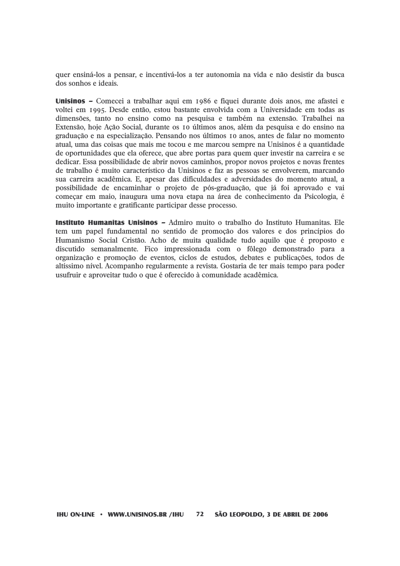quer ensiná-los a pensar, e incentivá-los a ter autonomia na vida e não desistir da busca dos sonhos e ideais.

Unisinos – Comecei a trabalhar aqui em 1986 e fiquei durante dois anos, me afastei e voltei em 1995. Desde então, estou bastante envolvida com a Universidade em todas as dimensões, tanto no ensino como na pesquisa e também na extensão. Trabalhei na Extensão, hoje Ação Social, durante os 10 últimos anos, além da pesquisa e do ensino na graduação e na especialização. Pensando nos últimos 10 anos, antes de falar no momento atual, uma das coisas que mais me tocou e me marcou sempre na Unisinos é a quantidade de oportunidades que ela oferece, que abre portas para quem quer investir na carreira e se dedicar. Essa possibilidade de abrir novos caminhos, propor novos projetos e novas frentes de trabalho é muito característico da Unisinos e faz as pessoas se envolverem, marcando sua carreira acadêmica. E, apesar das dificuldades e adversidades do momento atual, a possibilidade de encaminhar o projeto de pós-graduação, que já foi aprovado e vai comecar em maio, inaugura uma nova etapa na área de conhecimento da Psicologia, é muito importante e gratificante participar desse processo.

Instituto Humanitas Unisinos - Admiro muito o trabalho do Instituto Humanitas. Ele tem um papel fundamental no sentido de promoção dos valores e dos princípios do Humanismo Social Cristão. Acho de muita qualidade tudo aquilo que é proposto e discutido semanalmente. Fico impressionada com o fôlego demonstrado para a organização e promoção de eventos, ciclos de estudos, debates e publicações, todos de altíssimo nível. Acompanho regularmente a revista. Gostaria de ter mais tempo para poder usufruir e aproveitar tudo o que é oferecido à comunidade acadêmica.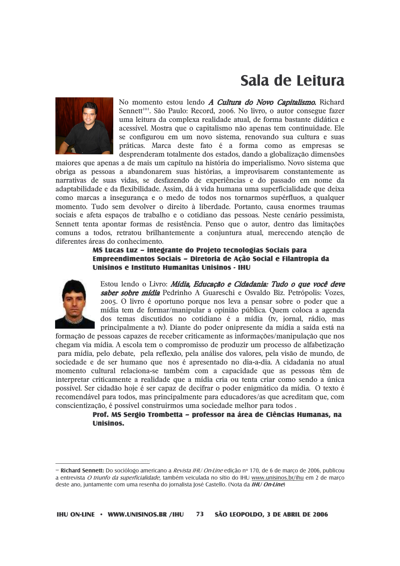## Sala de Leitura



No momento estou lendo A Cultura do Novo Capitalismo. Richard Sennett<sup>101</sup>. São Paulo: Record, 2006. No livro, o autor consegue fazer uma leitura da complexa realidade atual, de forma bastante didática e acessível. Mostra que o capitalismo não apenas tem continuidade. Ele se configurou em um novo sistema, renovando sua cultura e suas práticas. Marca deste fato é a forma como as empresas se desprenderam totalmente dos estados, dando a globalização dimensões

maiores que apenas a de mais um capítulo na história do imperialismo. Novo sistema que obriga as pessoas a abandonarem suas histórias, a improvisarem constantemente as narrativas de suas vidas, se desfazendo de experiências e do passado em nome da adaptabilidade e da flexibilidade. Assim, dá à vida humana uma superficialidade que deixa como marcas a insegurança e o medo de todos nos tornarmos supérfluos, a qualquer momento. Tudo sem devolver o direito à liberdade. Portanto, causa enormes traumas sociais e afeta espacos de trabalho e o cotidiano das pessoas. Neste cenário pessimista, Sennett tenta apontar formas de resistência. Penso que o autor, dentro das limitações comuns a todos, retratou brilhantemente a conjuntura atual, merecendo atenção de diferentes áreas do conhecimento.

## MS Lucas Luz - integrante do Proieto tecnologias Sociais para Empreendimentos Sociais - Diretoria de Ação Social e Filantropia da Unisinos e Instituto Humanitas Unisinos - IHU



Estou lendo o Livro: *Mídia, Educação e Cidadania: Tudo o que você deve* saber sobre mídia Pedrinho A Guareschi e Osvaldo Biz. Petrópolis: Vozes, 2005. O livro é oportuno porque nos leva a pensar sobre o poder que a mídia tem de formar/manipular a opinião pública. Quem coloca a agenda dos temas discutidos no cotidiano é a mídia (tv, jornal, rádio, mas principalmente a tv). Diante do poder onipresente da mídia a saída está na

formação de pessoas capazes de receber criticamente as informações/manipulação que nos chegam via mídia. A escola tem o compromisso de produzir um processo de alfabetização para mídia, pelo debate, pela reflexão, pela análise dos valores, pela visão de mundo, de sociedade e de ser humano que nos é apresentado no dia-a-dia. A cidadania no atual momento cultural relaciona-se também com a capacidade que as pessoas têm de interpretar criticamente a realidade que a mídia cria ou tenta criar como sendo a única possível. Ser cidadão hoje é ser capaz de decifrar o poder enigmático da mídia. O texto é recomendável para todos, mas principalmente para educadores/as que acreditam que, com conscientização, é possível construirmos uma sociedade melhor para todos.

> Prof. MS Sergio Trombetta - professor na área de Ciências Humanas, na **Unisinos.**

<sup>&</sup>lt;sup>ia</sup> Richard Sennett: Do sociólogo americano a Revista IHU On-Line edição nº 170, de 6 de março de 2006, publicou a entrevista O triunfo da superficialidade, também veiculada no sítio do IHU www.unisinos.br/ihu em 2 de março deste ano, juntamente com uma resenha do jornalista José Castello. (Nota da IHU On-Line)